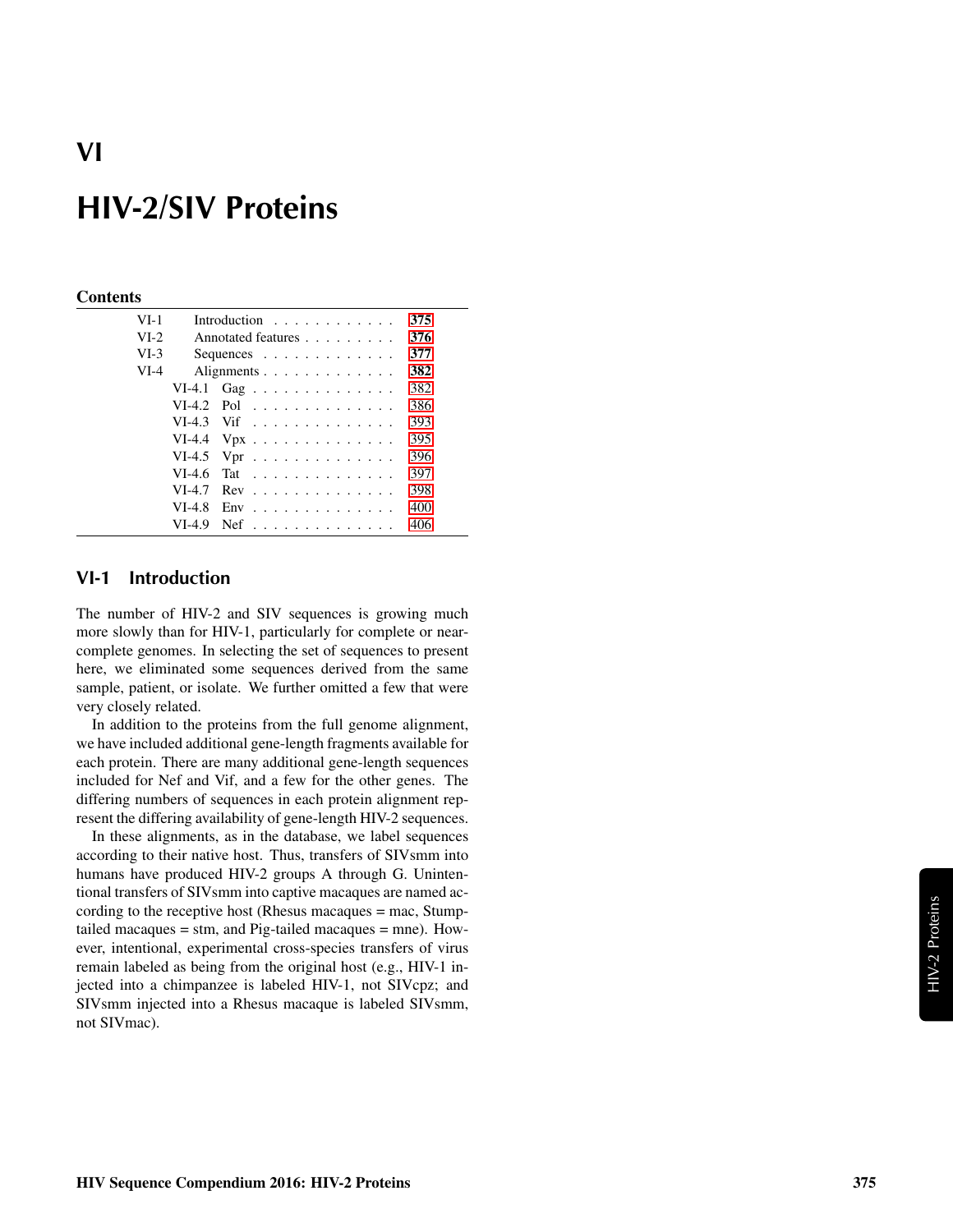#### **Contents**

| $VI-1$ |          | Introduction $\ldots$ ,                       | 375 |
|--------|----------|-----------------------------------------------|-----|
| $VI-2$ |          | Annotated features                            | 376 |
| $VI-3$ |          | Sequences $\ldots$ $\ldots$ $\ldots$ $\ldots$ | 377 |
| $VI-4$ |          | Alignments                                    | 382 |
|        |          | VI-4.1 Gag                                    | 382 |
|        |          | $VI-4.2$ Pol                                  | 386 |
|        |          | $VI-4.3$ Vif                                  | 393 |
|        |          | VI-4.4 $Vpx$                                  | 395 |
|        |          | VI-4.5 Vpr $\dots \dots \dots \dots \dots$    | 396 |
|        | $VI-4.6$ | Tat                                           | 397 |
|        | $VI-4.7$ | $Rev \dots \dots \dots \dots \dots \dots$     | 398 |
|        | $VI-4.8$ | $Env$ ,,,,,,,,,,,,,,,,,                       | 400 |
|        | $VI-4.9$ | $Nef$                                         | 406 |

### <span id="page-0-0"></span>VI-1 Introduction

The number of HIV-2 and SIV sequences is growing much more slowly than for HIV-1, particularly for complete or nearcomplete genomes. In selecting the set of sequences to present here, we eliminated some sequences derived from the same sample, patient, or isolate. We further omitted a few that were very closely related.

In addition to the proteins from the full genome alignment, we have included additional gene-length fragments available for each protein. There are many additional gene-length sequences included for Nef and Vif, and a few for the other genes. The differing numbers of sequences in each protein alignment represent the differing availability of gene-length HIV-2 sequences.

In these alignments, as in the database, we label sequences according to their native host. Thus, transfers of SIVsmm into humans have produced HIV-2 groups A through G. Unintentional transfers of SIVsmm into captive macaques are named according to the receptive host (Rhesus macaques = mac, Stumptailed macaques = stm, and Pig-tailed macaques = mne). However, intentional, experimental cross-species transfers of virus remain labeled as being from the original host (e.g., HIV-1 injected into a chimpanzee is labeled HIV-1, not SIVcpz; and SIVsmm injected into a Rhesus macaque is labeled SIVsmm, not SIVmac).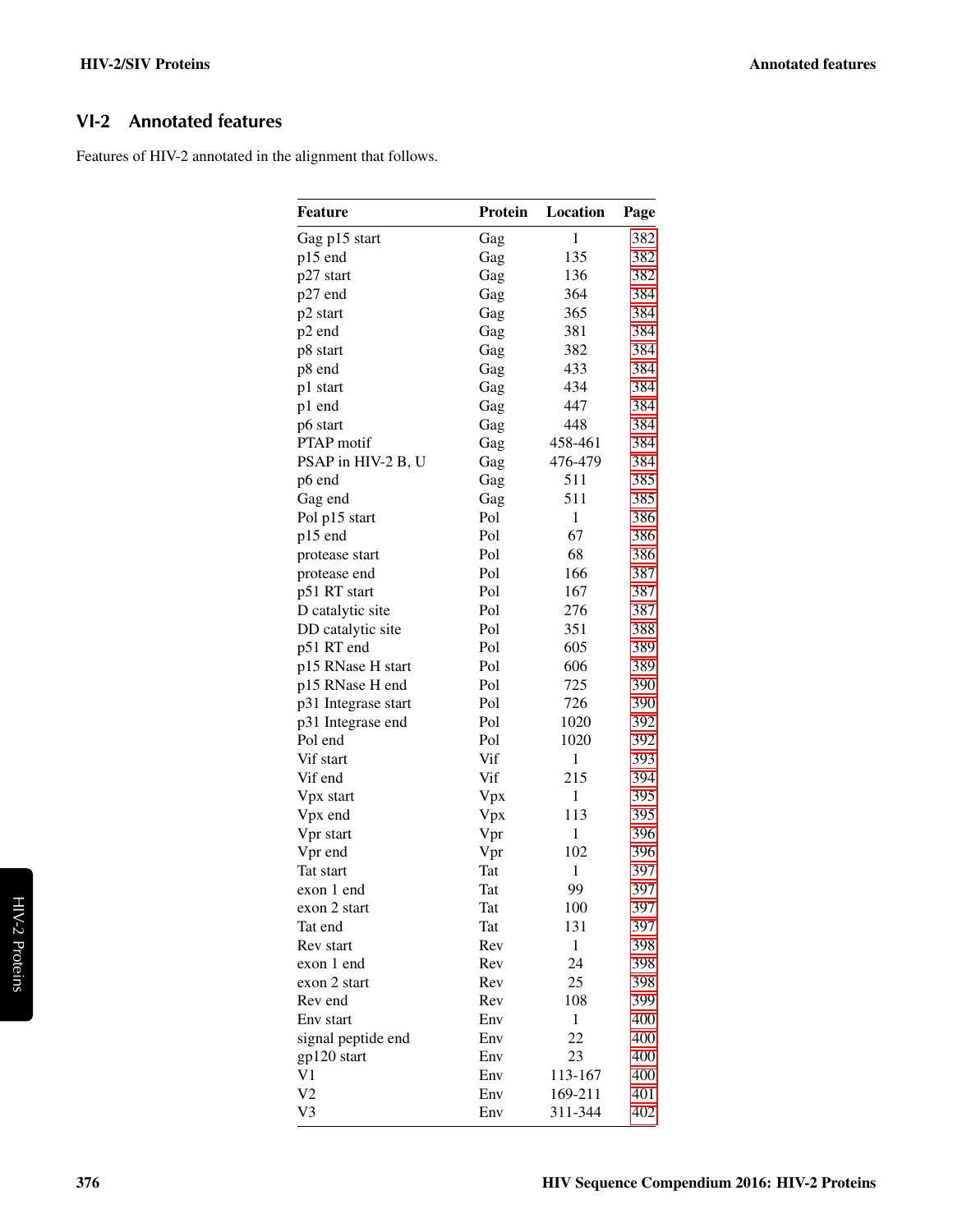# <span id="page-1-0"></span>VI-2 Annotated features

Features of HIV-2 annotated in the alignment that follows.

| $\mathbf{1}$<br>Gag p15 start<br>382<br>Gag<br>135<br>p15 end<br>382<br>Gag<br>136<br>382<br>p27 start<br>Gag<br>p27 end<br>364<br>384<br>Gag<br>365<br>384<br>p2 start<br>Gag<br>p2 end<br>381<br>384<br>Gag<br>382<br>384<br>p8 start<br>Gag<br>p8 end<br>433<br>384<br>Gag<br>434<br>384<br>p1 start<br>Gag<br>447<br>p1 end<br>384<br>Gag<br>448<br>384<br>p6 start<br>Gag<br><b>PTAP</b> motif<br>458-461<br>384<br>Gag<br>476-479<br>PSAP in HIV-2 B, U<br>384<br>Gag<br>511<br>Gag<br>385<br>p6 end<br>511<br>Gag end<br>Gag<br>385<br>Pol<br>$\mathbf{1}$<br>Pol p15 start<br>386<br>Pol<br>67<br>p15 end<br>386<br>Pol<br>68<br>386<br>protease start<br>Pol<br>166<br>387<br>protease end<br>Pol<br>p51 RT start<br>167<br>387<br>Pol<br>D catalytic site<br>276<br>387<br>Pol<br>DD catalytic site<br>351<br>388<br>p51 RT end<br>Pol<br>605<br>389<br>Pol<br>606<br>p15 RNase H start<br>389<br>Pol<br>p15 RNase H end<br>725<br>390<br>Pol<br>726<br>390<br>p31 Integrase start<br>Pol<br>1020<br>392<br>p31 Integrase end<br>Pol end<br>Pol<br>1020<br>392<br>Vif start<br>Vif<br>$\mathbf{1}$<br>393<br>Vif<br>Vif end<br>215<br>394<br>Vpx<br>1<br>395<br>Vpx start<br>Vpx end<br>Vpx<br>113<br>395<br>Vpr<br>1<br>396<br>Vpr start<br>Vpr end<br>Vpr<br>102<br>396<br>Tat<br>$\mathbf{1}$<br>Tat start<br>397<br>99<br>397<br>exon 1 end<br>Tat<br>exon 2 start<br>Tat<br>100<br>397<br>Tat<br>131<br>Tat end<br>397<br>1<br>Rev start<br>Rev<br>398<br>24<br>exon 1 end<br>Rev<br>398<br>25<br>exon 2 start<br>Rev<br>398<br>Rev end<br>Rev<br>108<br>399<br>Env start<br>1<br>400<br>Env<br>22<br>signal peptide end<br>Env<br>400<br>23<br>gp120 start<br>Env<br>400<br>V1<br>Env<br>113-167<br>400<br>V <sub>2</sub><br>Env<br>169-211<br>401 | <b>Feature</b> | Protein | Location | Page |
|--------------------------------------------------------------------------------------------------------------------------------------------------------------------------------------------------------------------------------------------------------------------------------------------------------------------------------------------------------------------------------------------------------------------------------------------------------------------------------------------------------------------------------------------------------------------------------------------------------------------------------------------------------------------------------------------------------------------------------------------------------------------------------------------------------------------------------------------------------------------------------------------------------------------------------------------------------------------------------------------------------------------------------------------------------------------------------------------------------------------------------------------------------------------------------------------------------------------------------------------------------------------------------------------------------------------------------------------------------------------------------------------------------------------------------------------------------------------------------------------------------------------------------------------------------------------------------------------------------------------------------------------------------------------------------------------------------------------------------------------------------------------|----------------|---------|----------|------|
|                                                                                                                                                                                                                                                                                                                                                                                                                                                                                                                                                                                                                                                                                                                                                                                                                                                                                                                                                                                                                                                                                                                                                                                                                                                                                                                                                                                                                                                                                                                                                                                                                                                                                                                                                                    |                |         |          |      |
|                                                                                                                                                                                                                                                                                                                                                                                                                                                                                                                                                                                                                                                                                                                                                                                                                                                                                                                                                                                                                                                                                                                                                                                                                                                                                                                                                                                                                                                                                                                                                                                                                                                                                                                                                                    |                |         |          |      |
|                                                                                                                                                                                                                                                                                                                                                                                                                                                                                                                                                                                                                                                                                                                                                                                                                                                                                                                                                                                                                                                                                                                                                                                                                                                                                                                                                                                                                                                                                                                                                                                                                                                                                                                                                                    |                |         |          |      |
|                                                                                                                                                                                                                                                                                                                                                                                                                                                                                                                                                                                                                                                                                                                                                                                                                                                                                                                                                                                                                                                                                                                                                                                                                                                                                                                                                                                                                                                                                                                                                                                                                                                                                                                                                                    |                |         |          |      |
|                                                                                                                                                                                                                                                                                                                                                                                                                                                                                                                                                                                                                                                                                                                                                                                                                                                                                                                                                                                                                                                                                                                                                                                                                                                                                                                                                                                                                                                                                                                                                                                                                                                                                                                                                                    |                |         |          |      |
|                                                                                                                                                                                                                                                                                                                                                                                                                                                                                                                                                                                                                                                                                                                                                                                                                                                                                                                                                                                                                                                                                                                                                                                                                                                                                                                                                                                                                                                                                                                                                                                                                                                                                                                                                                    |                |         |          |      |
|                                                                                                                                                                                                                                                                                                                                                                                                                                                                                                                                                                                                                                                                                                                                                                                                                                                                                                                                                                                                                                                                                                                                                                                                                                                                                                                                                                                                                                                                                                                                                                                                                                                                                                                                                                    |                |         |          |      |
|                                                                                                                                                                                                                                                                                                                                                                                                                                                                                                                                                                                                                                                                                                                                                                                                                                                                                                                                                                                                                                                                                                                                                                                                                                                                                                                                                                                                                                                                                                                                                                                                                                                                                                                                                                    |                |         |          |      |
|                                                                                                                                                                                                                                                                                                                                                                                                                                                                                                                                                                                                                                                                                                                                                                                                                                                                                                                                                                                                                                                                                                                                                                                                                                                                                                                                                                                                                                                                                                                                                                                                                                                                                                                                                                    |                |         |          |      |
|                                                                                                                                                                                                                                                                                                                                                                                                                                                                                                                                                                                                                                                                                                                                                                                                                                                                                                                                                                                                                                                                                                                                                                                                                                                                                                                                                                                                                                                                                                                                                                                                                                                                                                                                                                    |                |         |          |      |
|                                                                                                                                                                                                                                                                                                                                                                                                                                                                                                                                                                                                                                                                                                                                                                                                                                                                                                                                                                                                                                                                                                                                                                                                                                                                                                                                                                                                                                                                                                                                                                                                                                                                                                                                                                    |                |         |          |      |
|                                                                                                                                                                                                                                                                                                                                                                                                                                                                                                                                                                                                                                                                                                                                                                                                                                                                                                                                                                                                                                                                                                                                                                                                                                                                                                                                                                                                                                                                                                                                                                                                                                                                                                                                                                    |                |         |          |      |
|                                                                                                                                                                                                                                                                                                                                                                                                                                                                                                                                                                                                                                                                                                                                                                                                                                                                                                                                                                                                                                                                                                                                                                                                                                                                                                                                                                                                                                                                                                                                                                                                                                                                                                                                                                    |                |         |          |      |
|                                                                                                                                                                                                                                                                                                                                                                                                                                                                                                                                                                                                                                                                                                                                                                                                                                                                                                                                                                                                                                                                                                                                                                                                                                                                                                                                                                                                                                                                                                                                                                                                                                                                                                                                                                    |                |         |          |      |
|                                                                                                                                                                                                                                                                                                                                                                                                                                                                                                                                                                                                                                                                                                                                                                                                                                                                                                                                                                                                                                                                                                                                                                                                                                                                                                                                                                                                                                                                                                                                                                                                                                                                                                                                                                    |                |         |          |      |
|                                                                                                                                                                                                                                                                                                                                                                                                                                                                                                                                                                                                                                                                                                                                                                                                                                                                                                                                                                                                                                                                                                                                                                                                                                                                                                                                                                                                                                                                                                                                                                                                                                                                                                                                                                    |                |         |          |      |
|                                                                                                                                                                                                                                                                                                                                                                                                                                                                                                                                                                                                                                                                                                                                                                                                                                                                                                                                                                                                                                                                                                                                                                                                                                                                                                                                                                                                                                                                                                                                                                                                                                                                                                                                                                    |                |         |          |      |
|                                                                                                                                                                                                                                                                                                                                                                                                                                                                                                                                                                                                                                                                                                                                                                                                                                                                                                                                                                                                                                                                                                                                                                                                                                                                                                                                                                                                                                                                                                                                                                                                                                                                                                                                                                    |                |         |          |      |
|                                                                                                                                                                                                                                                                                                                                                                                                                                                                                                                                                                                                                                                                                                                                                                                                                                                                                                                                                                                                                                                                                                                                                                                                                                                                                                                                                                                                                                                                                                                                                                                                                                                                                                                                                                    |                |         |          |      |
|                                                                                                                                                                                                                                                                                                                                                                                                                                                                                                                                                                                                                                                                                                                                                                                                                                                                                                                                                                                                                                                                                                                                                                                                                                                                                                                                                                                                                                                                                                                                                                                                                                                                                                                                                                    |                |         |          |      |
|                                                                                                                                                                                                                                                                                                                                                                                                                                                                                                                                                                                                                                                                                                                                                                                                                                                                                                                                                                                                                                                                                                                                                                                                                                                                                                                                                                                                                                                                                                                                                                                                                                                                                                                                                                    |                |         |          |      |
|                                                                                                                                                                                                                                                                                                                                                                                                                                                                                                                                                                                                                                                                                                                                                                                                                                                                                                                                                                                                                                                                                                                                                                                                                                                                                                                                                                                                                                                                                                                                                                                                                                                                                                                                                                    |                |         |          |      |
|                                                                                                                                                                                                                                                                                                                                                                                                                                                                                                                                                                                                                                                                                                                                                                                                                                                                                                                                                                                                                                                                                                                                                                                                                                                                                                                                                                                                                                                                                                                                                                                                                                                                                                                                                                    |                |         |          |      |
|                                                                                                                                                                                                                                                                                                                                                                                                                                                                                                                                                                                                                                                                                                                                                                                                                                                                                                                                                                                                                                                                                                                                                                                                                                                                                                                                                                                                                                                                                                                                                                                                                                                                                                                                                                    |                |         |          |      |
|                                                                                                                                                                                                                                                                                                                                                                                                                                                                                                                                                                                                                                                                                                                                                                                                                                                                                                                                                                                                                                                                                                                                                                                                                                                                                                                                                                                                                                                                                                                                                                                                                                                                                                                                                                    |                |         |          |      |
|                                                                                                                                                                                                                                                                                                                                                                                                                                                                                                                                                                                                                                                                                                                                                                                                                                                                                                                                                                                                                                                                                                                                                                                                                                                                                                                                                                                                                                                                                                                                                                                                                                                                                                                                                                    |                |         |          |      |
|                                                                                                                                                                                                                                                                                                                                                                                                                                                                                                                                                                                                                                                                                                                                                                                                                                                                                                                                                                                                                                                                                                                                                                                                                                                                                                                                                                                                                                                                                                                                                                                                                                                                                                                                                                    |                |         |          |      |
|                                                                                                                                                                                                                                                                                                                                                                                                                                                                                                                                                                                                                                                                                                                                                                                                                                                                                                                                                                                                                                                                                                                                                                                                                                                                                                                                                                                                                                                                                                                                                                                                                                                                                                                                                                    |                |         |          |      |
|                                                                                                                                                                                                                                                                                                                                                                                                                                                                                                                                                                                                                                                                                                                                                                                                                                                                                                                                                                                                                                                                                                                                                                                                                                                                                                                                                                                                                                                                                                                                                                                                                                                                                                                                                                    |                |         |          |      |
|                                                                                                                                                                                                                                                                                                                                                                                                                                                                                                                                                                                                                                                                                                                                                                                                                                                                                                                                                                                                                                                                                                                                                                                                                                                                                                                                                                                                                                                                                                                                                                                                                                                                                                                                                                    |                |         |          |      |
|                                                                                                                                                                                                                                                                                                                                                                                                                                                                                                                                                                                                                                                                                                                                                                                                                                                                                                                                                                                                                                                                                                                                                                                                                                                                                                                                                                                                                                                                                                                                                                                                                                                                                                                                                                    |                |         |          |      |
|                                                                                                                                                                                                                                                                                                                                                                                                                                                                                                                                                                                                                                                                                                                                                                                                                                                                                                                                                                                                                                                                                                                                                                                                                                                                                                                                                                                                                                                                                                                                                                                                                                                                                                                                                                    |                |         |          |      |
|                                                                                                                                                                                                                                                                                                                                                                                                                                                                                                                                                                                                                                                                                                                                                                                                                                                                                                                                                                                                                                                                                                                                                                                                                                                                                                                                                                                                                                                                                                                                                                                                                                                                                                                                                                    |                |         |          |      |
|                                                                                                                                                                                                                                                                                                                                                                                                                                                                                                                                                                                                                                                                                                                                                                                                                                                                                                                                                                                                                                                                                                                                                                                                                                                                                                                                                                                                                                                                                                                                                                                                                                                                                                                                                                    |                |         |          |      |
|                                                                                                                                                                                                                                                                                                                                                                                                                                                                                                                                                                                                                                                                                                                                                                                                                                                                                                                                                                                                                                                                                                                                                                                                                                                                                                                                                                                                                                                                                                                                                                                                                                                                                                                                                                    |                |         |          |      |
|                                                                                                                                                                                                                                                                                                                                                                                                                                                                                                                                                                                                                                                                                                                                                                                                                                                                                                                                                                                                                                                                                                                                                                                                                                                                                                                                                                                                                                                                                                                                                                                                                                                                                                                                                                    |                |         |          |      |
|                                                                                                                                                                                                                                                                                                                                                                                                                                                                                                                                                                                                                                                                                                                                                                                                                                                                                                                                                                                                                                                                                                                                                                                                                                                                                                                                                                                                                                                                                                                                                                                                                                                                                                                                                                    |                |         |          |      |
|                                                                                                                                                                                                                                                                                                                                                                                                                                                                                                                                                                                                                                                                                                                                                                                                                                                                                                                                                                                                                                                                                                                                                                                                                                                                                                                                                                                                                                                                                                                                                                                                                                                                                                                                                                    |                |         |          |      |
|                                                                                                                                                                                                                                                                                                                                                                                                                                                                                                                                                                                                                                                                                                                                                                                                                                                                                                                                                                                                                                                                                                                                                                                                                                                                                                                                                                                                                                                                                                                                                                                                                                                                                                                                                                    |                |         |          |      |
|                                                                                                                                                                                                                                                                                                                                                                                                                                                                                                                                                                                                                                                                                                                                                                                                                                                                                                                                                                                                                                                                                                                                                                                                                                                                                                                                                                                                                                                                                                                                                                                                                                                                                                                                                                    |                |         |          |      |
|                                                                                                                                                                                                                                                                                                                                                                                                                                                                                                                                                                                                                                                                                                                                                                                                                                                                                                                                                                                                                                                                                                                                                                                                                                                                                                                                                                                                                                                                                                                                                                                                                                                                                                                                                                    |                |         |          |      |
|                                                                                                                                                                                                                                                                                                                                                                                                                                                                                                                                                                                                                                                                                                                                                                                                                                                                                                                                                                                                                                                                                                                                                                                                                                                                                                                                                                                                                                                                                                                                                                                                                                                                                                                                                                    |                |         |          |      |
|                                                                                                                                                                                                                                                                                                                                                                                                                                                                                                                                                                                                                                                                                                                                                                                                                                                                                                                                                                                                                                                                                                                                                                                                                                                                                                                                                                                                                                                                                                                                                                                                                                                                                                                                                                    |                |         |          |      |
|                                                                                                                                                                                                                                                                                                                                                                                                                                                                                                                                                                                                                                                                                                                                                                                                                                                                                                                                                                                                                                                                                                                                                                                                                                                                                                                                                                                                                                                                                                                                                                                                                                                                                                                                                                    |                |         |          |      |
|                                                                                                                                                                                                                                                                                                                                                                                                                                                                                                                                                                                                                                                                                                                                                                                                                                                                                                                                                                                                                                                                                                                                                                                                                                                                                                                                                                                                                                                                                                                                                                                                                                                                                                                                                                    |                |         |          |      |
|                                                                                                                                                                                                                                                                                                                                                                                                                                                                                                                                                                                                                                                                                                                                                                                                                                                                                                                                                                                                                                                                                                                                                                                                                                                                                                                                                                                                                                                                                                                                                                                                                                                                                                                                                                    |                |         |          |      |
|                                                                                                                                                                                                                                                                                                                                                                                                                                                                                                                                                                                                                                                                                                                                                                                                                                                                                                                                                                                                                                                                                                                                                                                                                                                                                                                                                                                                                                                                                                                                                                                                                                                                                                                                                                    |                |         |          |      |
|                                                                                                                                                                                                                                                                                                                                                                                                                                                                                                                                                                                                                                                                                                                                                                                                                                                                                                                                                                                                                                                                                                                                                                                                                                                                                                                                                                                                                                                                                                                                                                                                                                                                                                                                                                    | V3             | Env     | 311-344  | 402  |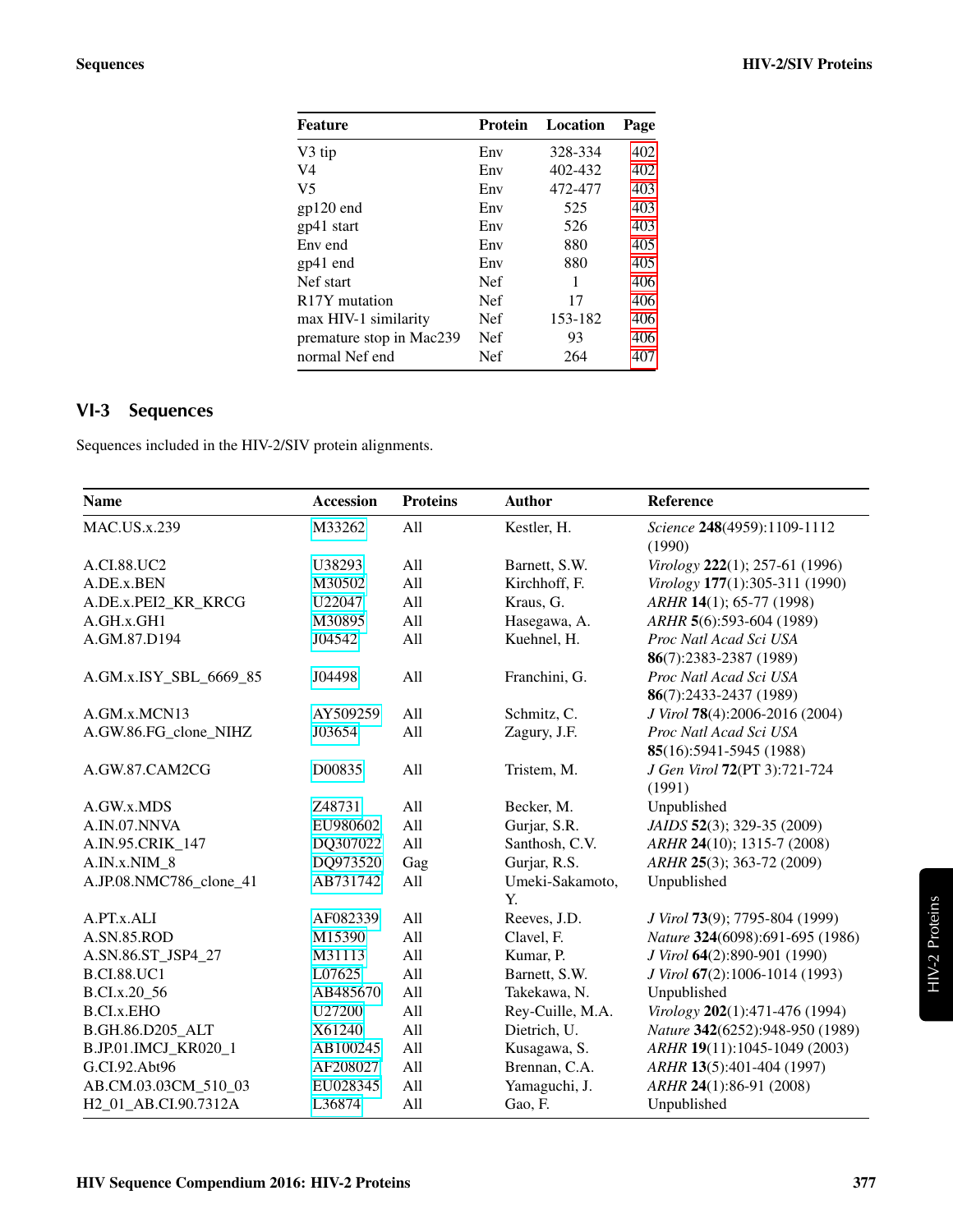| Feature                    | Protein    | Location | Page |
|----------------------------|------------|----------|------|
| V3 tip                     | Env        | 328-334  | 402  |
| V4                         | Env        | 402-432  | 402  |
| V5                         | Env        | 472-477  | 403  |
| $gp120$ end                | Env        | 525      | 403  |
| gp41 start                 | Env        | 526      | 403  |
| Env end                    | Env        | 880      | 405  |
| gp41 end                   | Env        | 880      | 405  |
| Nef start                  | <b>Nef</b> | 1        | 406  |
| R <sub>17</sub> Y mutation | <b>Nef</b> | 17       | 406  |
| max HIV-1 similarity       | <b>Nef</b> | 153-182  | 406  |
| premature stop in Mac239   | <b>Nef</b> | 93       | 406  |
| normal Nef end             | Nef        | 264      | 407  |
|                            |            |          |      |

# <span id="page-2-0"></span>VI-3 Sequences

Sequences included in the HIV-2/SIV protein alignments.

| <b>Name</b>                       | <b>Accession</b> | <b>Proteins</b> | <b>Author</b>         | Reference                                         |
|-----------------------------------|------------------|-----------------|-----------------------|---------------------------------------------------|
| <b>MAC.US.x.239</b>               | M33262           | All             | Kestler, H.           | Science 248(4959):1109-1112<br>(1990)             |
| A.CI.88.UC2                       | U38293           | All             | Barnett, S.W.         | Virology 222(1); 257-61 (1996)                    |
| A.DE.x.BEN                        | M30502           | All             | Kirchhoff, F.         | Virology 177(1):305-311 (1990)                    |
| A.DE.x.PEI2_KR_KRCG               | U22047           | All             | Kraus, G.             | ARHR 14(1); 65-77 (1998)                          |
| A.GH.x.GH1                        | M30895           | All             | Hasegawa, A.          | ARHR 5(6):593-604 (1989)                          |
| A.GM.87.D194                      | J04542           | All             | Kuehnel, H.           | Proc Natl Acad Sci USA<br>86(7):2383-2387 (1989)  |
| A.GM.x.ISY_SBL_6669_85            | J04498           | All             | Franchini, G.         | Proc Natl Acad Sci USA<br>86(7):2433-2437 (1989)  |
| A.GM.x.MCN13                      | AY509259         | All             | Schmitz, C.           | J Virol 78(4):2006-2016 (2004)                    |
| A.GW.86.FG_clone_NIHZ             | J03654           | All             | Zagury, J.F.          | Proc Natl Acad Sci USA<br>85(16):5941-5945 (1988) |
| A.GW.87.CAM2CG                    | D00835           | All             | Tristem, M.           | J Gen Virol 72(PT 3):721-724<br>(1991)            |
| A.GW.x.MDS                        | Z48731           | All             | Becker, M.            | Unpublished                                       |
| A.IN.07.NNVA                      | EU980602         | All             | Gurjar, S.R.          | JAIDS 52(3); 329-35 (2009)                        |
| A.IN.95.CRIK_147                  | DQ307022         | All             | Santhosh, C.V.        | ARHR 24(10); 1315-7 (2008)                        |
| A.IN.x.NIM_8                      | DQ973520         | Gag             | Gurjar, R.S.          | ARHR 25(3); 363-72 (2009)                         |
| A.JP.08.NMC786_clone_41           | AB731742         | All             | Umeki-Sakamoto,<br>Y. | Unpublished                                       |
| A.PT.x.ALI                        | AF082339         | All             | Reeves, J.D.          | J Virol 73(9); 7795-804 (1999)                    |
| A.SN.85.ROD                       | M15390           | All             | Clavel, F.            | Nature 324(6098):691-695 (1986)                   |
| A.SN.86.ST_JSP4_27                | M31113           | All             | Kumar, P.             | J Virol 64(2):890-901 (1990)                      |
| <b>B.CI.88.UC1</b>                | L07625           | All             | Barnett, S.W.         | J Virol 67(2):1006-1014 (1993)                    |
| B.CI.x.20_56                      | AB485670         | All             | Takekawa, N.          | Unpublished                                       |
| <b>B.CI.x.EHO</b>                 | U27200           | All             | Rey-Cuille, M.A.      | Virology 202(1):471-476 (1994)                    |
| B.GH.86.D205 ALT                  | X61240           | All             | Dietrich, U.          | Nature 342(6252):948-950 (1989)                   |
| B.JP.01.IMCJ_KR020_1              | AB100245         | All             | Kusagawa, S.          | ARHR 19(11):1045-1049 (2003)                      |
| G.CI.92.Abt96                     | AF208027         | All             | Brennan, C.A.         | ARHR 13(5):401-404 (1997)                         |
| AB.CM.03.03CM_510_03              | EU028345         | All             | Yamaguchi, J.         | ARHR 24(1):86-91 (2008)                           |
| H <sub>2_01_AB</sub> .CI.90.7312A | L36874           | All             | Gao, F.               | Unpublished                                       |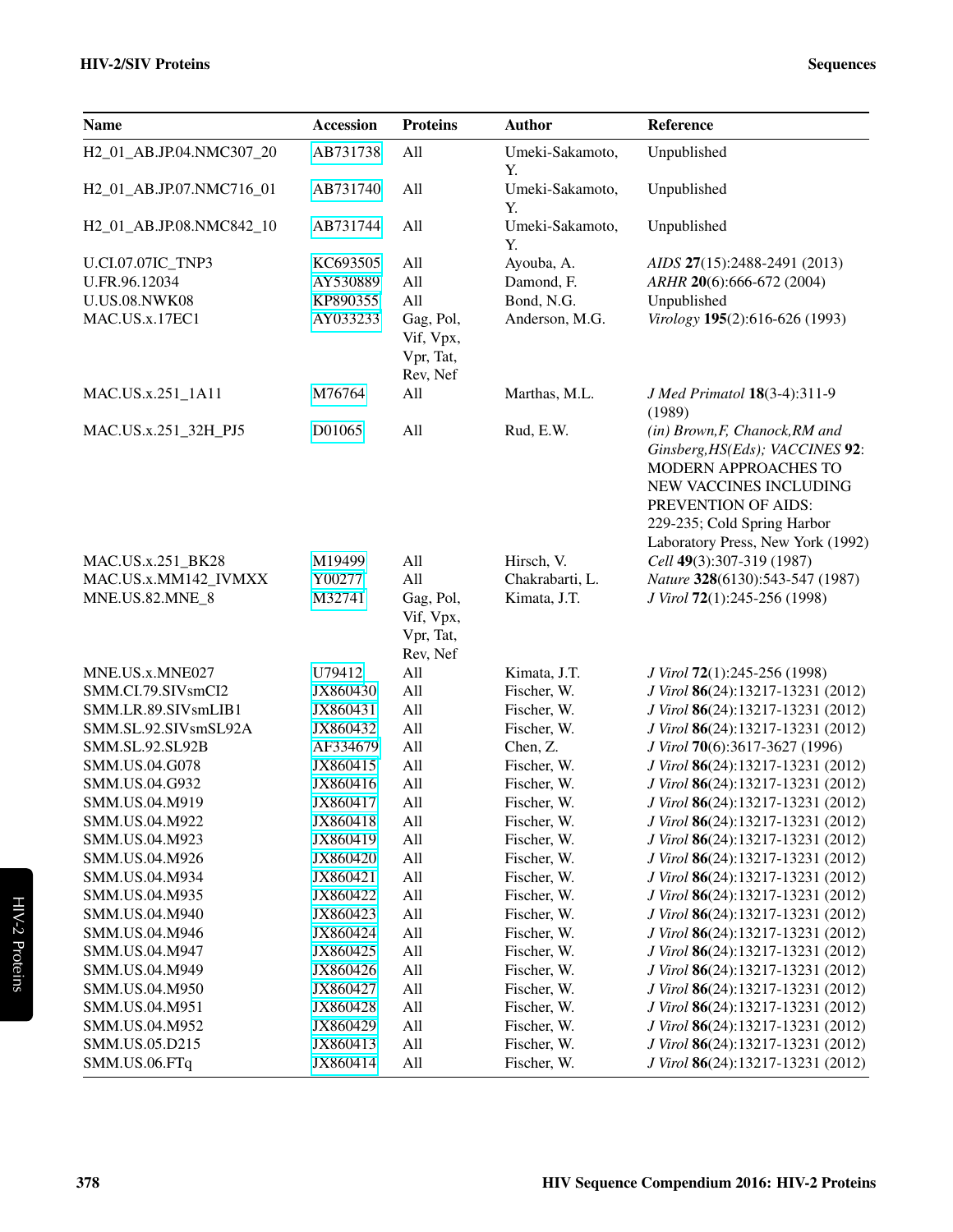| <b>Name</b>              | <b>Accession</b> | <b>Proteins</b>                                 | <b>Author</b>         | Reference                                                                                                                                                                                                      |
|--------------------------|------------------|-------------------------------------------------|-----------------------|----------------------------------------------------------------------------------------------------------------------------------------------------------------------------------------------------------------|
| H2_01_AB.JP.04.NMC307_20 | AB731738         | All                                             | Umeki-Sakamoto,<br>Υ. | Unpublished                                                                                                                                                                                                    |
| H2_01_AB.JP.07.NMC716_01 | AB731740         | All                                             | Umeki-Sakamoto,<br>Y. | Unpublished                                                                                                                                                                                                    |
| H2_01_AB.JP.08.NMC842_10 | AB731744         | All                                             | Umeki-Sakamoto,<br>Y. | Unpublished                                                                                                                                                                                                    |
| U.CI.07.07IC_TNP3        | KC693505         | All                                             | Ayouba, A.            | AIDS 27(15):2488-2491 (2013)                                                                                                                                                                                   |
| U.FR.96.12034            | AY530889         | All                                             | Damond, F.            | ARHR 20(6):666-672 (2004)                                                                                                                                                                                      |
| <b>U.US.08.NWK08</b>     | KP890355         | All                                             | Bond, N.G.            | Unpublished                                                                                                                                                                                                    |
| MAC.US.x.17EC1           | AY033233         | Gag, Pol,<br>Vif, Vpx,<br>Vpr, Tat,<br>Rev, Nef | Anderson, M.G.        | Virology 195(2):616-626 (1993)                                                                                                                                                                                 |
| MAC.US.x.251_1A11        | M76764           | All                                             | Marthas, M.L.         | J Med Primatol 18(3-4):311-9<br>(1989)                                                                                                                                                                         |
| MAC.US.x.251_32H_PJ5     | D01065           | All                                             | Rud, E.W.             | (in) Brown, F, Chanock, RM and<br>Ginsberg, HS(Eds); VACCINES 92:<br>MODERN APPROACHES TO<br>NEW VACCINES INCLUDING<br>PREVENTION OF AIDS:<br>229-235; Cold Spring Harbor<br>Laboratory Press, New York (1992) |
| MAC.US.x.251_BK28        | M19499           | All                                             | Hirsch, V.            | Cell 49(3):307-319 (1987)                                                                                                                                                                                      |
| MAC.US.x.MM142_IVMXX     | Y00277           | All                                             | Chakrabarti, L.       | Nature 328(6130):543-547 (1987)                                                                                                                                                                                |
| MNE.US.82.MNE_8          | M32741           | Gag, Pol,<br>Vif, Vpx,<br>Vpr, Tat,<br>Rev, Nef | Kimata, J.T.          | J Virol 72(1):245-256 (1998)                                                                                                                                                                                   |
| MNE.US.x.MNE027          | U79412           | All                                             | Kimata, J.T.          | J Virol 72(1):245-256 (1998)                                                                                                                                                                                   |
| SMM.CI.79.SIVsmCI2       | JX860430         | All                                             | Fischer, W.           | J Virol 86(24):13217-13231 (2012)                                                                                                                                                                              |
| SMM.LR.89.SIVsmLIB1      | JX860431         | All                                             | Fischer, W.           | J Virol 86(24):13217-13231 (2012)                                                                                                                                                                              |
| SMM.SL.92.SIVsmSL92A     | JX860432         | All                                             | Fischer, W.           | J Virol 86(24):13217-13231 (2012)                                                                                                                                                                              |
| SMM.SL.92.SL92B          | AF334679         | All                                             | Chen, Z.              | J Virol 70(6):3617-3627 (1996)                                                                                                                                                                                 |
| SMM.US.04.G078           | JX860415         | All                                             | Fischer, W.           | J Virol 86(24):13217-13231 (2012)                                                                                                                                                                              |
| SMM.US.04.G932           | JX860416         | All                                             | Fischer, W.           | J Virol 86(24):13217-13231 (2012)                                                                                                                                                                              |
| SMM.US.04.M919           | JX860417         | All                                             | Fischer, W.           | J Virol 86(24):13217-13231 (2012)                                                                                                                                                                              |
| SMM.US.04.M922           | JX860418         | All                                             | Fischer, W.           | J Virol 86(24):13217-13231 (2012)                                                                                                                                                                              |
| SMM.US.04.M923           | JX860419         | All                                             | Fischer, W.           | J Virol 86(24):13217-13231 (2012)                                                                                                                                                                              |
| SMM.US.04.M926           | JX860420         | All                                             | Fischer, W.           | J Virol 86(24):13217-13231 (2012)                                                                                                                                                                              |
| SMM.US.04.M934           | JX860421         | All                                             | Fischer, W.           | J Virol 86(24):13217-13231 (2012)                                                                                                                                                                              |
| SMM.US.04.M935           | JX860422         | All                                             | Fischer, W.           | J Virol 86(24):13217-13231 (2012)                                                                                                                                                                              |
| SMM.US.04.M940           | JX860423         | All                                             | Fischer, W.           | J Virol 86(24):13217-13231 (2012)                                                                                                                                                                              |
| SMM.US.04.M946           | JX860424         | All                                             | Fischer, W.           | J Virol 86(24):13217-13231 (2012)                                                                                                                                                                              |
| SMM.US.04.M947           | JX860425         | All                                             | Fischer, W.           | J Virol 86(24):13217-13231 (2012)                                                                                                                                                                              |
| SMM.US.04.M949           | JX860426         | All                                             | Fischer, W.           | J Virol 86(24):13217-13231 (2012)                                                                                                                                                                              |
| SMM.US.04.M950           | JX860427         | All                                             | Fischer, W.           | J Virol 86(24):13217-13231 (2012)                                                                                                                                                                              |
| SMM.US.04.M951           | JX860428         | All                                             | Fischer, W.           | J Virol 86(24):13217-13231 (2012)                                                                                                                                                                              |
| SMM.US.04.M952           | JX860429         | All                                             | Fischer, W.           | J Virol 86(24):13217-13231 (2012)                                                                                                                                                                              |
| SMM.US.05.D215           | JX860413         | All                                             | Fischer, W.           | J Virol 86(24):13217-13231 (2012)                                                                                                                                                                              |
| SMM.US.06.FTq            | JX860414         | All                                             | Fischer, W.           | J Virol 86(24):13217-13231 (2012)                                                                                                                                                                              |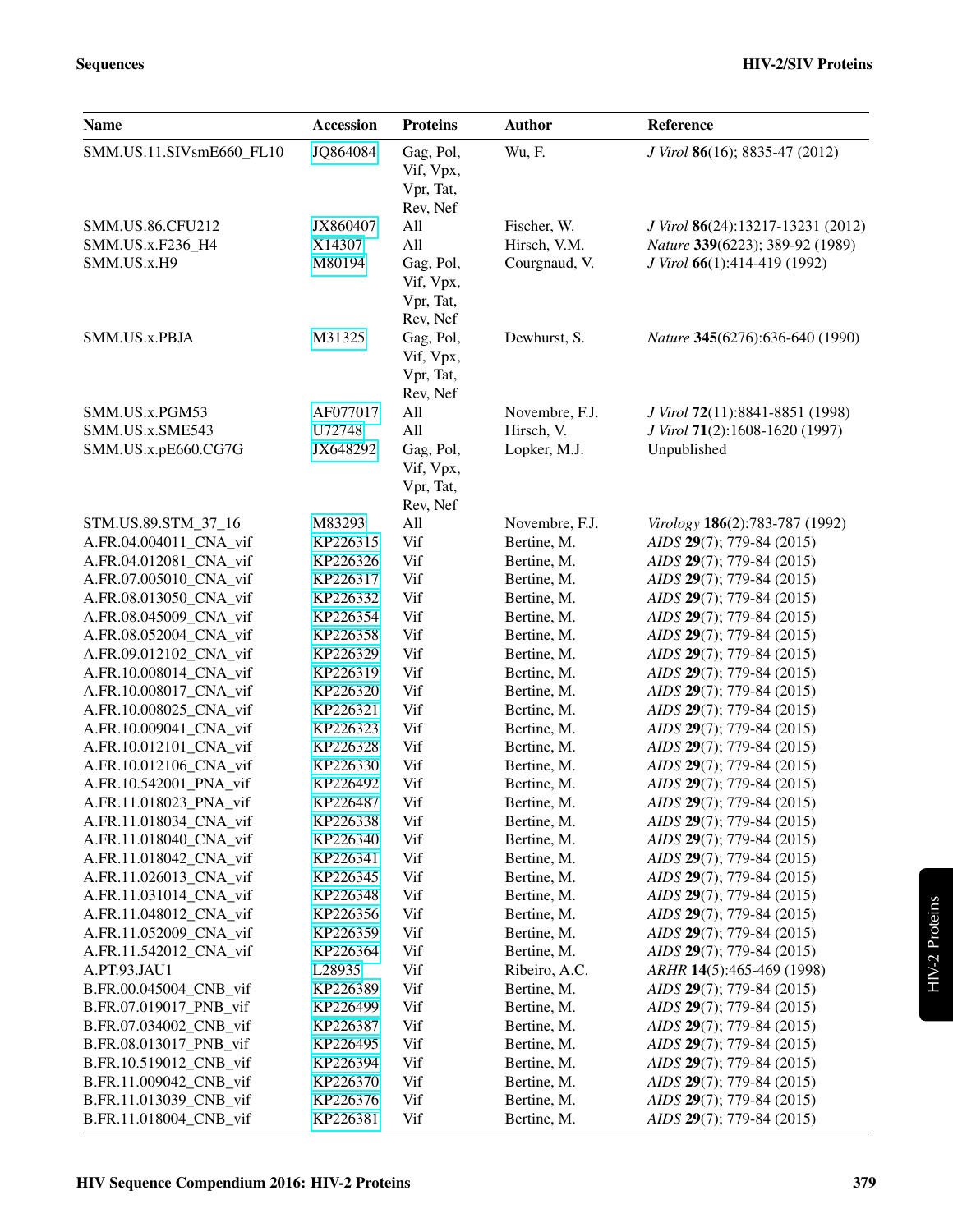| <b>Name</b>                                         | <b>Accession</b>             | <b>Proteins</b>                                             | <b>Author</b>                                | Reference                                                                                            |
|-----------------------------------------------------|------------------------------|-------------------------------------------------------------|----------------------------------------------|------------------------------------------------------------------------------------------------------|
| SMM.US.11.SIVsmE660_FL10                            | JQ864084                     | Gag, Pol,<br>Vif, Vpx,<br>Vpr, Tat,<br>Rev, Nef             | Wu, F.                                       | J Virol 86(16); 8835-47 (2012)                                                                       |
| SMM.US.86.CFU212<br>SMM.US.x.F236_H4<br>SMM.US.x.H9 | JX860407<br>X14307<br>M80194 | All<br>All<br>Gag, Pol,<br>Vif, Vpx,<br>Vpr, Tat,           | Fischer, W.<br>Hirsch, V.M.<br>Courgnaud, V. | J Virol 86(24):13217-13231 (2012)<br>Nature 339(6223); 389-92 (1989)<br>J Virol 66(1):414-419 (1992) |
| SMM.US.x.PBJA                                       | M31325                       | Rev, Nef<br>Gag, Pol,<br>Vif, Vpx,<br>Vpr, Tat,<br>Rev, Nef | Dewhurst, S.                                 | Nature 345(6276):636-640 (1990)                                                                      |
| SMM.US.x.PGM53                                      | AF077017                     | All                                                         | Novembre, F.J.                               | J Virol 72(11):8841-8851 (1998)                                                                      |
| SMM.US.x.SME543<br>SMM.US.x.pE660.CG7G              | U72748<br>JX648292           | All<br>Gag, Pol,<br>Vif, Vpx,<br>Vpr, Tat,<br>Rev, Nef      | Hirsch, V.<br>Lopker, M.J.                   | J Virol 71(2):1608-1620 (1997)<br>Unpublished                                                        |
| STM.US.89.STM 37 16                                 | M83293                       | All                                                         | Novembre, F.J.                               | Virology 186(2):783-787 (1992)                                                                       |
| A.FR.04.004011 CNA vif                              | KP226315                     | Vif                                                         | Bertine, M.                                  | AIDS 29(7); 779-84 (2015)                                                                            |
| A.FR.04.012081_CNA_vif                              | KP226326                     | Vif                                                         | Bertine, M.                                  | AIDS 29(7); 779-84 (2015)                                                                            |
| A.FR.07.005010_CNA_vif                              | KP226317                     | Vif                                                         | Bertine, M.                                  | AIDS 29(7); 779-84 (2015)                                                                            |
| A.FR.08.013050_CNA_vif                              | KP226332                     | Vif                                                         | Bertine, M.                                  | AIDS 29(7); 779-84 (2015)                                                                            |
| A.FR.08.045009_CNA_vif                              | KP226354                     | Vif                                                         | Bertine, M.                                  | AIDS 29(7); 779-84 (2015)                                                                            |
| A.FR.08.052004_CNA_vif                              | KP226358                     | Vif                                                         | Bertine, M.                                  | AIDS 29(7); 779-84 (2015)                                                                            |
| A.FR.09.012102_CNA_vif                              | KP226329                     | Vif                                                         | Bertine, M.                                  | AIDS 29(7); 779-84 (2015)                                                                            |
| A.FR.10.008014_CNA_vif                              | KP226319                     | Vif                                                         | Bertine, M.                                  | AIDS 29(7); 779-84 (2015)                                                                            |
| A.FR.10.008017_CNA_vif                              | KP226320                     | Vif                                                         | Bertine, M.                                  | AIDS 29(7); 779-84 (2015)                                                                            |
| A.FR.10.008025_CNA_vif                              | KP226321                     | Vif                                                         | Bertine, M.                                  | AIDS 29(7); 779-84 (2015)                                                                            |
| A.FR.10.009041_CNA_vif                              | KP226323                     | Vif                                                         | Bertine, M.                                  | AIDS 29(7); 779-84 (2015)                                                                            |
| A.FR.10.012101_CNA_vif                              | KP226328                     | Vif                                                         | Bertine, M.                                  | AIDS 29(7); 779-84 (2015)                                                                            |
| A.FR.10.012106_CNA_vif                              | KP226330                     | Vif                                                         | Bertine, M.                                  | AIDS 29(7); 779-84 (2015)                                                                            |
| A.FR.10.542001_PNA_vif                              | KP226492                     | Vif                                                         | Bertine, M.                                  | AIDS 29(7); 779-84 (2015)                                                                            |
| A.FR.11.018023_PNA_vif                              | KP226487                     | Vif                                                         | Bertine, M.                                  | AIDS 29(7); 779-84 (2015)                                                                            |
| A.FR.11.018034_CNA_vif                              | KP226338                     | Vif                                                         | Bertine, M.                                  | AIDS 29(7); 779-84 (2015)                                                                            |
| A.FR.11.018040_CNA_vif                              | KP226340                     | Vif                                                         | Bertine, M.                                  | AIDS 29(7); 779-84 (2015)                                                                            |
| A.FR.11.018042_CNA_vif                              | KP226341                     | Vif                                                         | Bertine, M.                                  | AIDS 29(7); 779-84 (2015)                                                                            |
| A.FR.11.026013_CNA_vif                              | KP226345                     | Vif                                                         | Bertine, M.                                  | AIDS 29(7); 779-84 (2015)                                                                            |
| A.FR.11.031014_CNA_vif                              | KP226348                     | Vif                                                         | Bertine, M.                                  | AIDS 29(7); 779-84 (2015)                                                                            |
| A.FR.11.048012_CNA_vif                              | KP226356                     | Vif                                                         | Bertine, M.                                  | AIDS 29(7); 779-84 (2015)                                                                            |
| A.FR.11.052009_CNA_vif<br>A.FR.11.542012_CNA_vif    | KP226359                     | Vif<br>Vif                                                  | Bertine, M.<br>Bertine, M.                   | AIDS 29(7); 779-84 (2015)<br>AIDS 29(7); 779-84 (2015)                                               |
| A.PT.93.JAU1                                        | KP226364<br>L28935           | Vif                                                         | Ribeiro, A.C.                                | ARHR 14(5):465-469 (1998)                                                                            |
| B.FR.00.045004_CNB_vif                              | KP226389                     | Vif                                                         | Bertine, M.                                  | AIDS 29(7); 779-84 (2015)                                                                            |
| B.FR.07.019017_PNB_vif                              | KP226499                     | Vif                                                         | Bertine, M.                                  | AIDS 29(7); 779-84 (2015)                                                                            |
| B.FR.07.034002_CNB_vif                              | KP226387                     | Vif                                                         | Bertine, M.                                  | AIDS 29(7); 779-84 (2015)                                                                            |
| B.FR.08.013017_PNB_vif                              | KP226495                     | Vif                                                         | Bertine, M.                                  | AIDS 29(7); 779-84 (2015)                                                                            |
| B.FR.10.519012_CNB_vif                              | KP226394                     | Vif                                                         | Bertine, M.                                  | AIDS 29(7); 779-84 (2015)                                                                            |
| B.FR.11.009042_CNB_vif                              | KP226370                     | Vif                                                         | Bertine, M.                                  | AIDS 29(7); 779-84 (2015)                                                                            |
| B.FR.11.013039_CNB_vif                              | KP226376                     | Vif                                                         | Bertine, M.                                  | AIDS 29(7); 779-84 (2015)                                                                            |
| B.FR.11.018004_CNB_vif                              | KP226381                     | Vif                                                         | Bertine, M.                                  | AIDS 29(7); 779-84 (2015)                                                                            |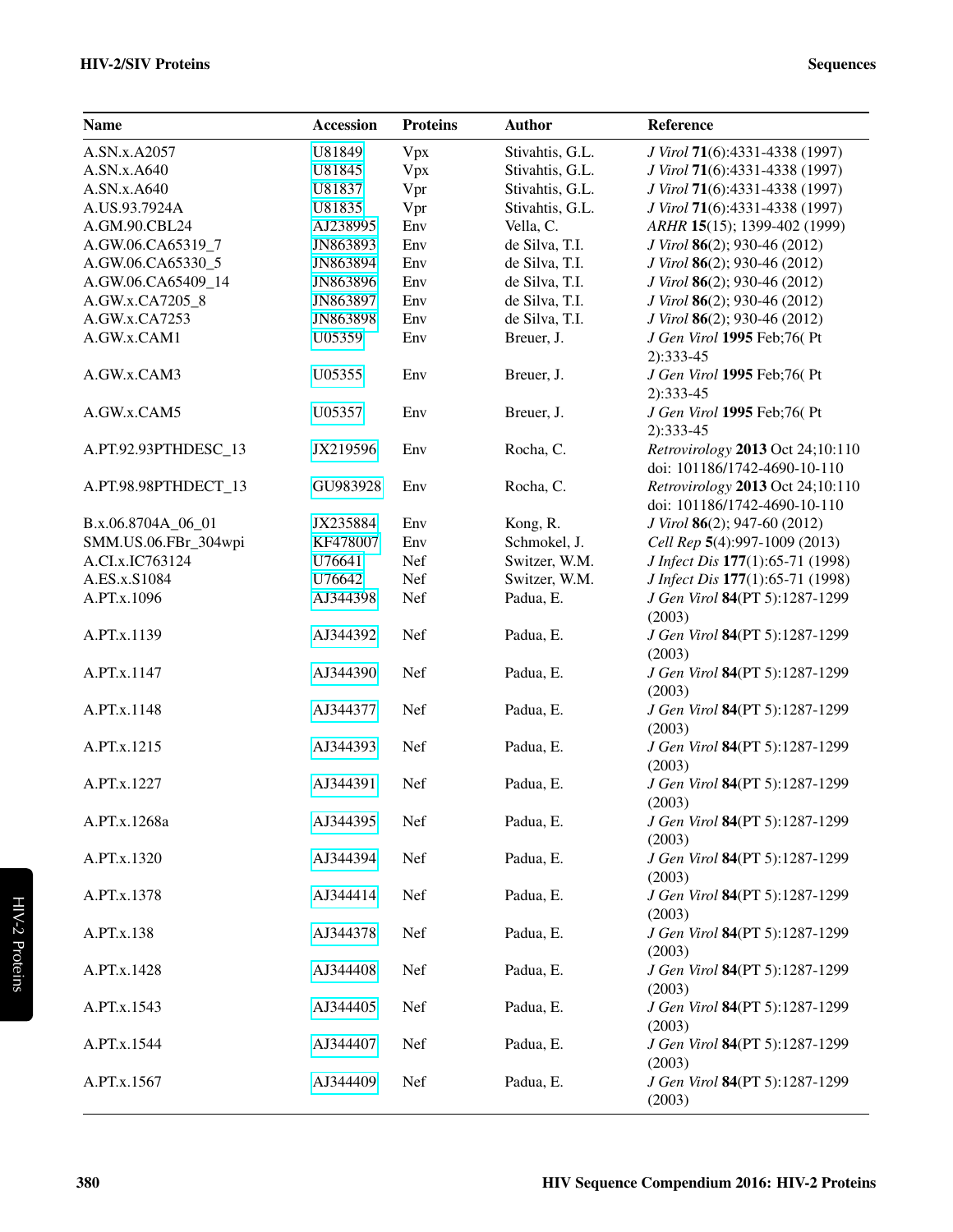#### HIV-2/SIV Proteins Sequences

| <b>Name</b>          | <b>Accession</b> | <b>Proteins</b> | <b>Author</b>   | Reference                                                        |
|----------------------|------------------|-----------------|-----------------|------------------------------------------------------------------|
| A.SN.x.A2057         | U81849           | Vpx             | Stivahtis, G.L. | J Virol 71(6):4331-4338 (1997)                                   |
| A.SN.x.A640          | U81845           | Vpx             | Stivahtis, G.L. | J Virol 71(6):4331-4338 (1997)                                   |
| A.SN.x.A640          | U81837           | Vpr             | Stivahtis, G.L. | J Virol 71(6):4331-4338 (1997)                                   |
| A.US.93.7924A        | U81835           | Vpr             | Stivahtis, G.L. | J Virol 71(6):4331-4338 (1997)                                   |
| A.GM.90.CBL24        | AJ238995         | Env             | Vella, C.       | ARHR 15(15); 1399-402 (1999)                                     |
| A.GW.06.CA65319_7    | JN863893         | Env             | de Silva, T.I.  | J Virol 86(2); 930-46 (2012)                                     |
| A.GW.06.CA65330_5    | JN863894         | Env             | de Silva, T.I.  | J Virol 86(2); 930-46 (2012)                                     |
| A.GW.06.CA65409_14   | JN863896         | Env             | de Silva, T.I.  | J Virol 86(2); 930-46 (2012)                                     |
| A.GW.x.CA7205_8      | JN863897         | Env             | de Silva, T.I.  | J Virol 86(2); 930-46 (2012)                                     |
| A.GW.x.CA7253        | JN863898         | Env             | de Silva, T.I.  | J Virol 86(2); 930-46 (2012)                                     |
| A.GW.x.CAM1          | U05359           | Env             | Breuer, J.      | J Gen Virol 1995 Feb;76(Pt<br>$2):333-45$                        |
| A.GW.x.CAM3          | U05355           | Env             | Breuer, J.      | J Gen Virol 1995 Feb;76(Pt<br>$2):333-45$                        |
| A.GW.x.CAM5          | U05357           | Env             | Breuer, J.      | J Gen Virol 1995 Feb;76(Pt<br>$2):333-45$                        |
| A.PT.92.93PTHDESC_13 | JX219596         | Env             | Rocha, C.       | Retrovirology 2013 Oct 24;10:110<br>doi: 101186/1742-4690-10-110 |
| A.PT.98.98PTHDECT_13 | GU983928         | Env             | Rocha, C.       | Retrovirology 2013 Oct 24;10:110<br>doi: 101186/1742-4690-10-110 |
| B.x.06.8704A_06_01   | JX235884         | Env             | Kong, R.        | J Virol 86(2); 947-60 (2012)                                     |
| SMM.US.06.FBr_304wpi | KF478007         | Env             | Schmokel, J.    | Cell Rep 5(4):997-1009 (2013)                                    |
| A.CI.x.IC763124      | U76641           | Nef             | Switzer, W.M.   | J Infect Dis 177(1):65-71 (1998)                                 |
| A.ES.x.S1084         | U76642           | Nef             | Switzer, W.M.   | J Infect Dis 177(1):65-71 (1998)                                 |
| A.PT.x.1096          | AJ344398         | Nef             | Padua, E.       | J Gen Virol 84(PT 5):1287-1299<br>(2003)                         |
| A.PT.x.1139          | AJ344392         | Nef             | Padua, E.       | J Gen Virol 84(PT 5):1287-1299<br>(2003)                         |
| A.PT.x.1147          | AJ344390         | Nef             | Padua, E.       | J Gen Virol 84(PT 5):1287-1299<br>(2003)                         |
| A.PT.x.1148          | AJ344377         | Nef             | Padua, E.       | J Gen Virol 84(PT 5):1287-1299<br>(2003)                         |
| A.PT.x.1215          | AJ344393         | Nef             | Padua, E.       | J Gen Virol 84(PT 5):1287-1299<br>(2003)                         |
| A.PT.x.1227          | AJ344391         | Nef             | Padua, E.       | J Gen Virol 84(PT 5):1287-1299<br>(2003)                         |
| A.PT.x.1268a         | AJ344395         | Nef             | Padua, E.       | J Gen Virol 84(PT 5):1287-1299<br>(2003)                         |
| A.PT.x.1320          | AJ344394         | Nef             | Padua, E.       | J Gen Virol 84(PT 5):1287-1299<br>(2003)                         |
| A.PT.x.1378          | AJ344414         | Nef             | Padua, E.       | J Gen Virol 84(PT 5):1287-1299<br>(2003)                         |
| A.PT.x.138           | AJ344378         | Nef             | Padua, E.       | J Gen Virol 84(PT 5):1287-1299<br>(2003)                         |
| A.PT.x.1428          | AJ344408         | Nef             | Padua, E.       | J Gen Virol 84(PT 5):1287-1299<br>(2003)                         |
| A.PT.x.1543          | AJ344405         | Nef             | Padua, E.       | J Gen Virol 84(PT 5):1287-1299<br>(2003)                         |
| A.PT.x.1544          | AJ344407         | Nef             | Padua, E.       | J Gen Virol 84(PT 5):1287-1299<br>(2003)                         |
| A.PT.x.1567          | AJ344409         | Nef             | Padua, E.       | J Gen Virol 84(PT 5):1287-1299<br>(2003)                         |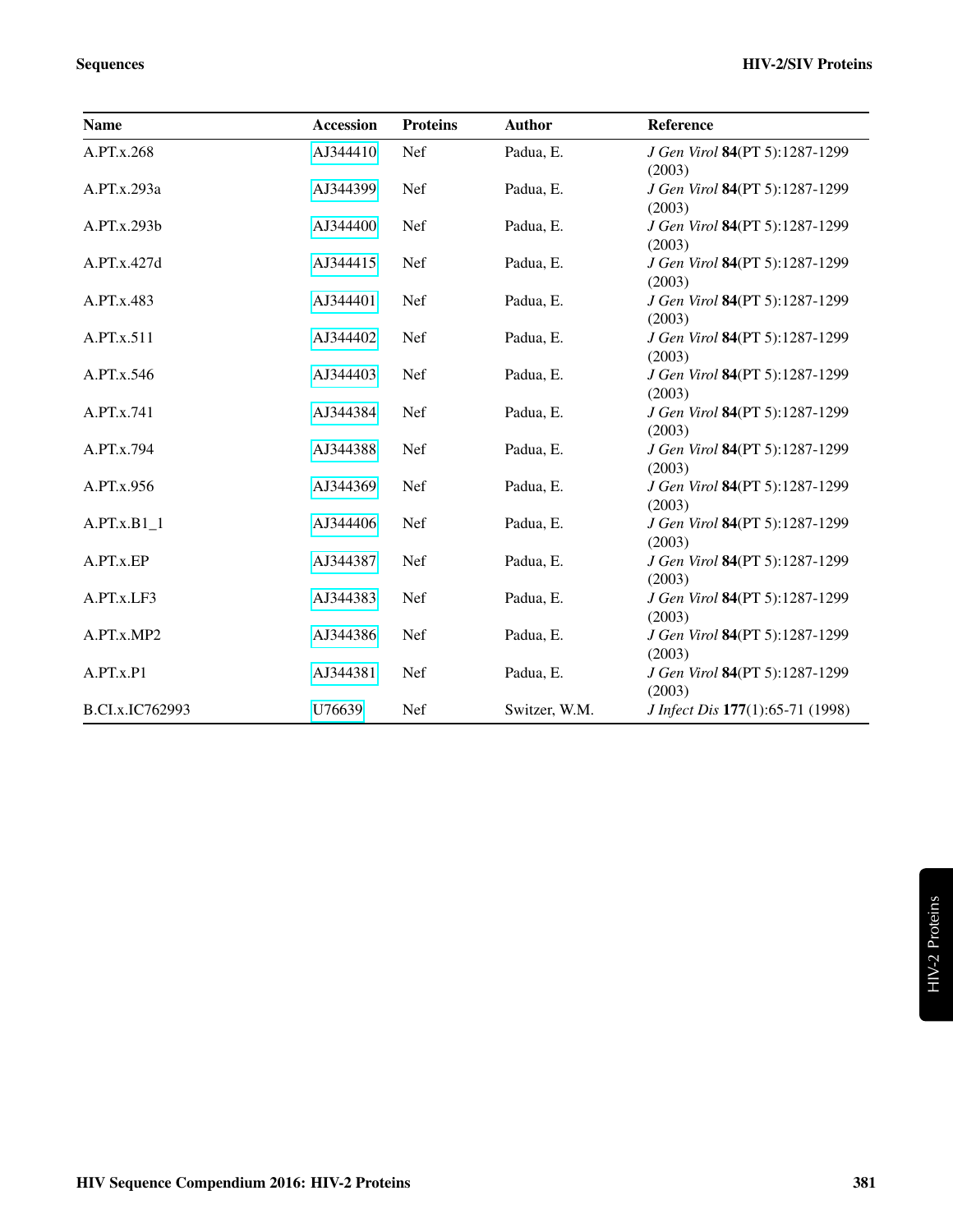| <b>Name</b>     | <b>Accession</b> | <b>Proteins</b> | <b>Author</b> | Reference                                |
|-----------------|------------------|-----------------|---------------|------------------------------------------|
| A.PT.x.268      | AJ344410         | Nef             | Padua, E.     | J Gen Virol 84(PT 5):1287-1299<br>(2003) |
| A.PT.x.293a     | AJ344399         | Nef             | Padua, E.     | J Gen Virol 84(PT 5):1287-1299<br>(2003) |
| A.PT.x.293b     | AJ344400         | Nef             | Padua, E.     | J Gen Virol 84(PT 5):1287-1299<br>(2003) |
| A.PT.x.427d     | AJ344415         | Nef             | Padua, E.     | J Gen Virol 84(PT 5):1287-1299<br>(2003) |
| A.PT.x.483      | AJ344401         | Nef             | Padua, E.     | J Gen Virol 84(PT 5):1287-1299<br>(2003) |
| A.PT.x.511      | AJ344402         | <b>Nef</b>      | Padua, E.     | J Gen Virol 84(PT 5):1287-1299<br>(2003) |
| A.PT.x.546      | AJ344403         | <b>Nef</b>      | Padua, E.     | J Gen Virol 84(PT 5):1287-1299<br>(2003) |
| A.PT.x.741      | AJ344384         | Nef             | Padua, E.     | J Gen Virol 84(PT 5):1287-1299<br>(2003) |
| A.PT.x.794      | AJ344388         | <b>Nef</b>      | Padua, E.     | J Gen Virol 84(PT 5):1287-1299<br>(2003) |
| A.PT.x.956      | AJ344369         | Nef             | Padua, E.     | J Gen Virol 84(PT 5):1287-1299<br>(2003) |
| $A.PT.x.B1_1$   | AJ344406         | Nef             | Padua, E.     | J Gen Virol 84(PT 5):1287-1299<br>(2003) |
| A.PT.x.EP       | AJ344387         | Nef             | Padua, E.     | J Gen Virol 84(PT 5):1287-1299<br>(2003) |
| A.PT.x.LF3      | AJ344383         | Nef             | Padua, E.     | J Gen Virol 84(PT 5):1287-1299<br>(2003) |
| A.PT.x.MP2      | AJ344386         | <b>Nef</b>      | Padua, E.     | J Gen Virol 84(PT 5):1287-1299<br>(2003) |
| A.PT.x.P1       | AJ344381         | Nef             | Padua, E.     | J Gen Virol 84(PT 5):1287-1299<br>(2003) |
| B.CI.x.IC762993 | U76639           | Nef             | Switzer, W.M. | J Infect Dis 177(1):65-71 (1998)         |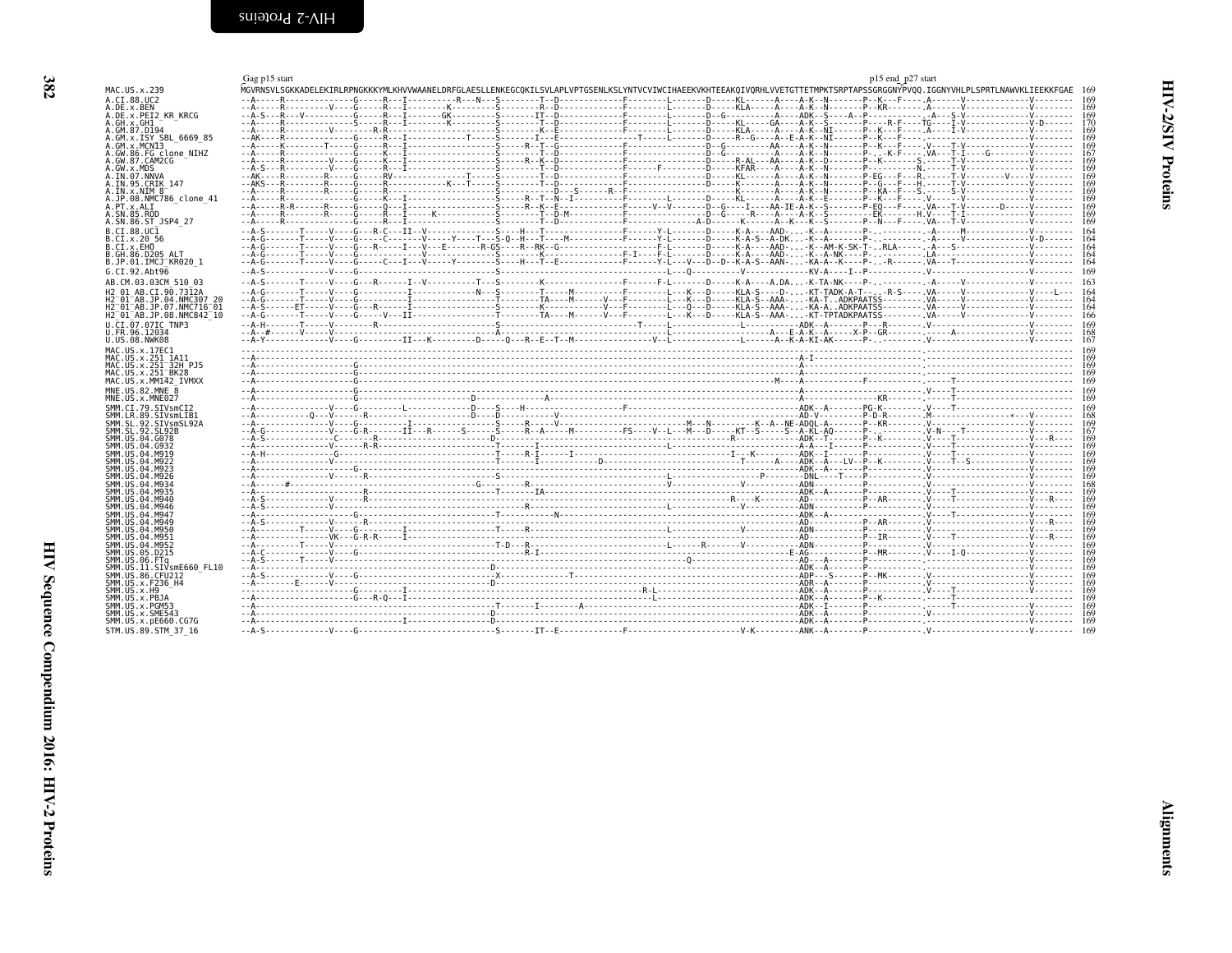<span id="page-7-2"></span><span id="page-7-1"></span><span id="page-7-0"></span>

|                                        | Gag p15 start | p15 end_p27 start                                                                                                                                                              |
|----------------------------------------|---------------|--------------------------------------------------------------------------------------------------------------------------------------------------------------------------------|
| MAC.US.x.239                           |               | MGVRNSVLSGKKADELEKIRLRPNGKKKYMLKHVVWAANELDRFGLAESLLENKEGCOKILSVLAPLVPTGSENLKSLYNTVCVIWCIHAEEKVKHTEEAKOIVORHLVVETGTTETMPKTSRPTAPSSGRGGNYPV00.IGGNYVHLPLSPRTLNAWVKLIEEKKFGAE 169 |
| A.CT.88.UC2                            |               |                                                                                                                                                                                |
| A.DE.x.BEN                             |               |                                                                                                                                                                                |
| A.DE.X.PEI2 KR KRCG                    |               |                                                                                                                                                                                |
| A.GH.x.GH1                             |               |                                                                                                                                                                                |
| A.GM.87.D194<br>A.GM.x.ISY SBL 6669 85 |               |                                                                                                                                                                                |
| A.GM.x.MCNI3                           |               |                                                                                                                                                                                |
| A.GW.86.FG clone NIHZ                  |               |                                                                                                                                                                                |
| A.GW.87.CAM2CG                         |               |                                                                                                                                                                                |
| A.GW.x.MDS                             |               |                                                                                                                                                                                |
| A.IN.07.NNVA                           |               |                                                                                                                                                                                |
| A.IN.95.CRIK 147                       |               |                                                                                                                                                                                |
| $A. IN. \times . NIM 8^-$              |               |                                                                                                                                                                                |
| A.JP.08.NMC786 clone 41<br>A.PT.x.ALI  |               |                                                                                                                                                                                |
| A.SN.85.ROD                            |               |                                                                                                                                                                                |
| A.SN.86.ST JSP4 27                     |               |                                                                                                                                                                                |
| B.CI.88.UC1                            |               |                                                                                                                                                                                |
| B.CI.X.20 56                           |               |                                                                                                                                                                                |
| B.CI.x.EHO                             |               |                                                                                                                                                                                |
| B.GH.86.D205 ALT                       |               |                                                                                                                                                                                |
| B.JP.01.IMCJ KR020 1                   |               |                                                                                                                                                                                |
| G.CI.92.Ah <sub>t</sub> 96             |               |                                                                                                                                                                                |
| AB.CM.03.03CM 510 03                   |               |                                                                                                                                                                                |
| H2 01 AB.CI.90.7312A                   |               |                                                                                                                                                                                |
| H2 01 AB.JP.04.NMC307 20               |               |                                                                                                                                                                                |
| H2 01 AB.JP.07.NMC716 01               |               |                                                                                                                                                                                |
| H2 01 AB.JP.08.NMC842 10               |               |                                                                                                                                                                                |
| U.CI.07.07IC TNP3                      |               |                                                                                                                                                                                |
| U.FR.96.12034                          |               |                                                                                                                                                                                |
| U.US.08.NWK08                          |               |                                                                                                                                                                                |
| MAC.US.x.17EC1                         |               |                                                                                                                                                                                |
| MAC.US.x.251 1A11                      |               |                                                                                                                                                                                |
| MAC.US.x.251 <sup>-32H</sup> PJ5       |               |                                                                                                                                                                                |
| MAC.US.x.251 BK28                      |               |                                                                                                                                                                                |
| MAC.US.x.MM142 IVMXX                   |               |                                                                                                                                                                                |
| MNE.US.82.MNE 8                        |               |                                                                                                                                                                                |
| MNE.US.x.MNE027                        |               |                                                                                                                                                                                |
| SMM.CI.79.SIVsmCI2                     |               |                                                                                                                                                                                |
| SMM.LR.89.SIVsmLIB1                    |               |                                                                                                                                                                                |
| SMM.SL.92.SIVsmSL92A                   |               |                                                                                                                                                                                |
| SMM. SL. 92. SL92B<br>SMM.US.04.G078   |               |                                                                                                                                                                                |
| SMM.US.04.G932                         |               |                                                                                                                                                                                |
| SMM.US.04.M919                         |               |                                                                                                                                                                                |
| SMM. U.S. 04. M922                     |               |                                                                                                                                                                                |
| SMM. US. 04. M923                      |               |                                                                                                                                                                                |
| SMM. U.S. 04. M926                     |               |                                                                                                                                                                                |
| SMM.US.04.M934                         |               |                                                                                                                                                                                |
| SMM, US.04.M935                        |               |                                                                                                                                                                                |
| SMM.US.04.M940<br>SMM. US.04.M946      |               |                                                                                                                                                                                |
| SMM.US.04.M947                         |               |                                                                                                                                                                                |
| SMM. U.S. 04. M949                     |               |                                                                                                                                                                                |
| SMM.US.04.M950                         |               |                                                                                                                                                                                |
| SMM.US.04.M951                         |               |                                                                                                                                                                                |
| SMM. US.04.M952                        |               |                                                                                                                                                                                |
| SMM. US. 05. D215                      |               |                                                                                                                                                                                |
| SMM. US.06. FTq                        |               |                                                                                                                                                                                |
| SMM.US.11.SIVsmE660 FL10               |               |                                                                                                                                                                                |
| SMM.US.86.CFU212                       |               |                                                                                                                                                                                |
| SMM.US.x.F236 H4<br>SMM.US.x.H9        |               |                                                                                                                                                                                |
| SMM.US.x.PBJA                          |               |                                                                                                                                                                                |
| SMM.US.x.PGM53                         |               |                                                                                                                                                                                |
| SMM. US. x. SME543                     |               |                                                                                                                                                                                |
| SMM.US.x.pE660.CG7G                    |               |                                                                                                                                                                                |
| STM.US.89.STM 37 16                    |               |                                                                                                                                                                                |
|                                        |               |                                                                                                                                                                                |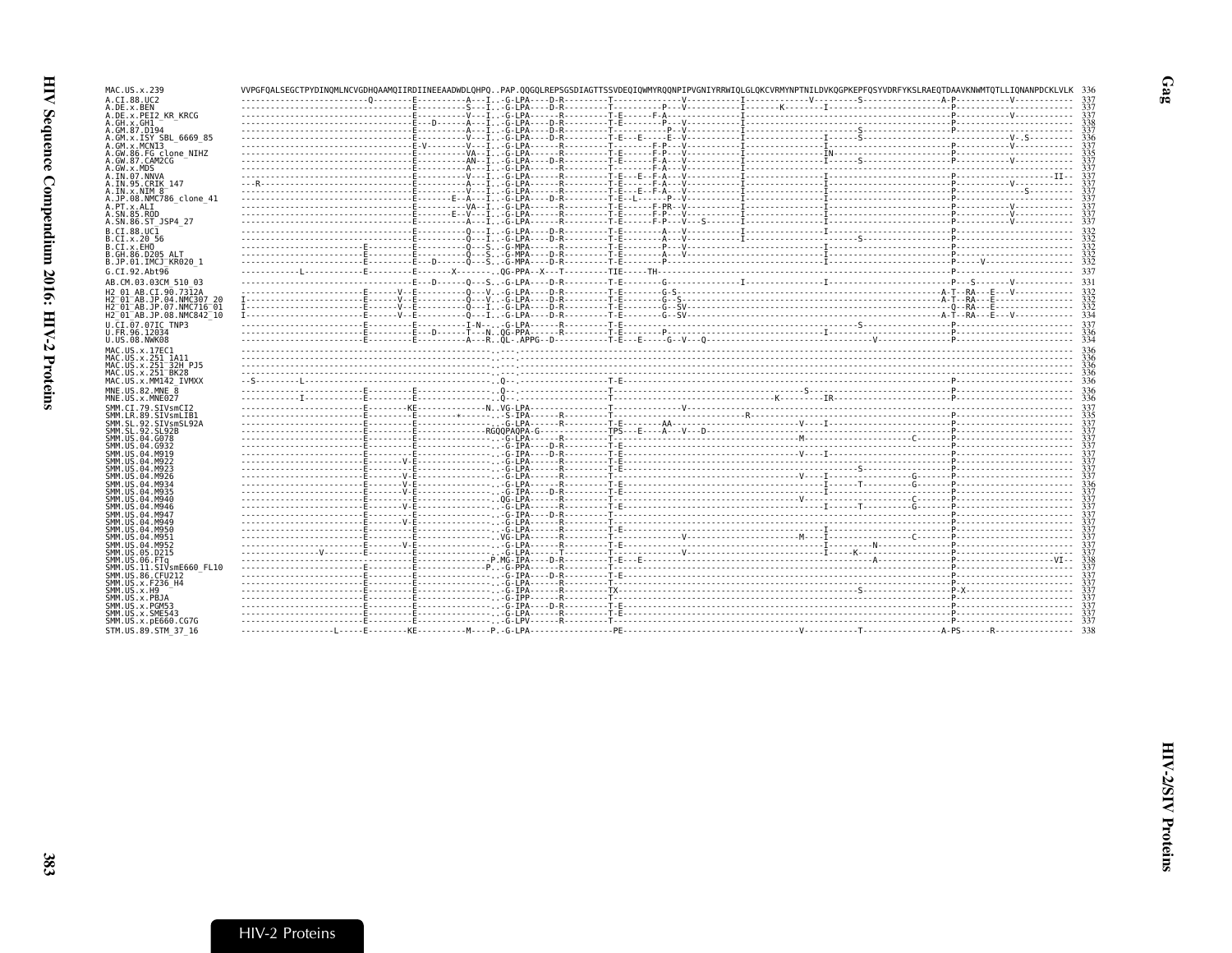| MAC.US.x.239                                    |  | VVPGFOALSEGCTPYDINOMLNCVGDHOAAMOIIRDIINEEAADWDLOHPOPAP.OOGOLREPSGSDIAGTTSSVDEOIOWMYROONPIPVGNIYRRWIOLGLOKCVRMYNPTNILDVKOGPKEPFOSYVDRFYKSLRAEOTDAAVKNWMTOTLLIONANPDCKLVLK |  |
|-------------------------------------------------|--|--------------------------------------------------------------------------------------------------------------------------------------------------------------------------|--|
| A.CI.88.UC2                                     |  |                                                                                                                                                                          |  |
| A.DE.X.BEN<br>A.DE.x.PEI2 KR KRCG               |  |                                                                                                                                                                          |  |
| A.GH.x.GH1                                      |  |                                                                                                                                                                          |  |
| A.GM.87.D194                                    |  |                                                                                                                                                                          |  |
| A.GM.x.ISY SBL 6669 85                          |  |                                                                                                                                                                          |  |
| A.GM.x.MCNI3                                    |  |                                                                                                                                                                          |  |
| A.GW.86.FG clone NIHZ<br>A.GW.87.CAM2CG         |  |                                                                                                                                                                          |  |
| A.GW.x.MDS                                      |  |                                                                                                                                                                          |  |
| A.IN.07.NNVA                                    |  |                                                                                                                                                                          |  |
| A. IN. 95. CRIK 147                             |  |                                                                                                                                                                          |  |
| A.IN.x.NIM 8<br>A.JP.08.NMC786 clone 41         |  |                                                                                                                                                                          |  |
| A.PT.x.ALT                                      |  |                                                                                                                                                                          |  |
| A.SN.85.ROD                                     |  |                                                                                                                                                                          |  |
| A.SN.86.ST JSP4 27                              |  |                                                                                                                                                                          |  |
| B.CI.88.UC1                                     |  |                                                                                                                                                                          |  |
| B.CI.x.20 56                                    |  |                                                                                                                                                                          |  |
| B.CI.X.EHO<br>B.GH.86.D205 ALT                  |  |                                                                                                                                                                          |  |
| B.JP.01.IMCJ <sup>-</sup> KR020 1               |  |                                                                                                                                                                          |  |
| G.CI.92.Abt96                                   |  |                                                                                                                                                                          |  |
| AB.CM.03.03CM 510 03                            |  |                                                                                                                                                                          |  |
| H2 01 AB.CI.90.7312A                            |  |                                                                                                                                                                          |  |
| H2 <sup>-01-AB.JP.04.NMC307 20</sup>            |  |                                                                                                                                                                          |  |
| H2 01 AB.JP.07.NMC716 01                        |  |                                                                                                                                                                          |  |
| H2 <sup>-01-AB.JP.08.NMC842<sup>-10</sup></sup> |  |                                                                                                                                                                          |  |
| U.CI.07.07IC TNP3                               |  |                                                                                                                                                                          |  |
| U.FR.96.12034<br>U.US.08.NWK08                  |  |                                                                                                                                                                          |  |
| MAC.US.x.17EC1                                  |  |                                                                                                                                                                          |  |
| MAC.US.x.251 1A11                               |  |                                                                                                                                                                          |  |
|                                                 |  |                                                                                                                                                                          |  |
| MAC.US.x.251 <sup>-32H</sup> P.15               |  |                                                                                                                                                                          |  |
| MAC.US.x.251 <sup>-</sup> BK28                  |  |                                                                                                                                                                          |  |
| MAC.US.x.MM142 IVMXX                            |  |                                                                                                                                                                          |  |
| MNE.US.82.MNE 8                                 |  |                                                                                                                                                                          |  |
| MNE.US.x.MNE027                                 |  |                                                                                                                                                                          |  |
| SMM.CI.79.SIVsmCI2                              |  |                                                                                                                                                                          |  |
| SMM.LR.89.SIVsmLIB1<br>SMM.SL.92.SIVsmSL92A     |  |                                                                                                                                                                          |  |
| SMM.SL.92.SL92B                                 |  |                                                                                                                                                                          |  |
| SMM. US.04.G078                                 |  |                                                                                                                                                                          |  |
| SMM.US.04.G932                                  |  |                                                                                                                                                                          |  |
| SMM.US.04.M919<br>SMM. U.S. 04. M922            |  |                                                                                                                                                                          |  |
| SMM.US.04.M923                                  |  |                                                                                                                                                                          |  |
| SMM. U.S. 04. M926                              |  |                                                                                                                                                                          |  |
| SMM.US.04.M934<br>SMM. U.S. 04. M935            |  |                                                                                                                                                                          |  |
| SMM.US.04.M940                                  |  |                                                                                                                                                                          |  |
| SMM. US.04.M946                                 |  |                                                                                                                                                                          |  |
| SMM. U.S. 04. M947                              |  |                                                                                                                                                                          |  |
| SMM.US.04.M949                                  |  |                                                                                                                                                                          |  |
| SMM.US.04.M950<br>SMM.US.04.M951                |  |                                                                                                                                                                          |  |
| SMM. U.S. 04. M952                              |  |                                                                                                                                                                          |  |
| SMM.US.05.D215                                  |  |                                                                                                                                                                          |  |
| SMM.US.06.FTq<br>SMM.US.11.SIVsmE660 FL10       |  |                                                                                                                                                                          |  |
| SMM.US.86.CFU212                                |  |                                                                                                                                                                          |  |
| SMM. US. x. F236 H4                             |  |                                                                                                                                                                          |  |
| SMM. US. x.H9                                   |  |                                                                                                                                                                          |  |
| SMM.US.x.PBJA                                   |  |                                                                                                                                                                          |  |
| SMM.US.x.PGM53<br>SMM.US.x.SME543               |  |                                                                                                                                                                          |  |
| SMM.US.x.pE660.CG7G<br>STM.US.89.STM 37 16      |  |                                                                                                                                                                          |  |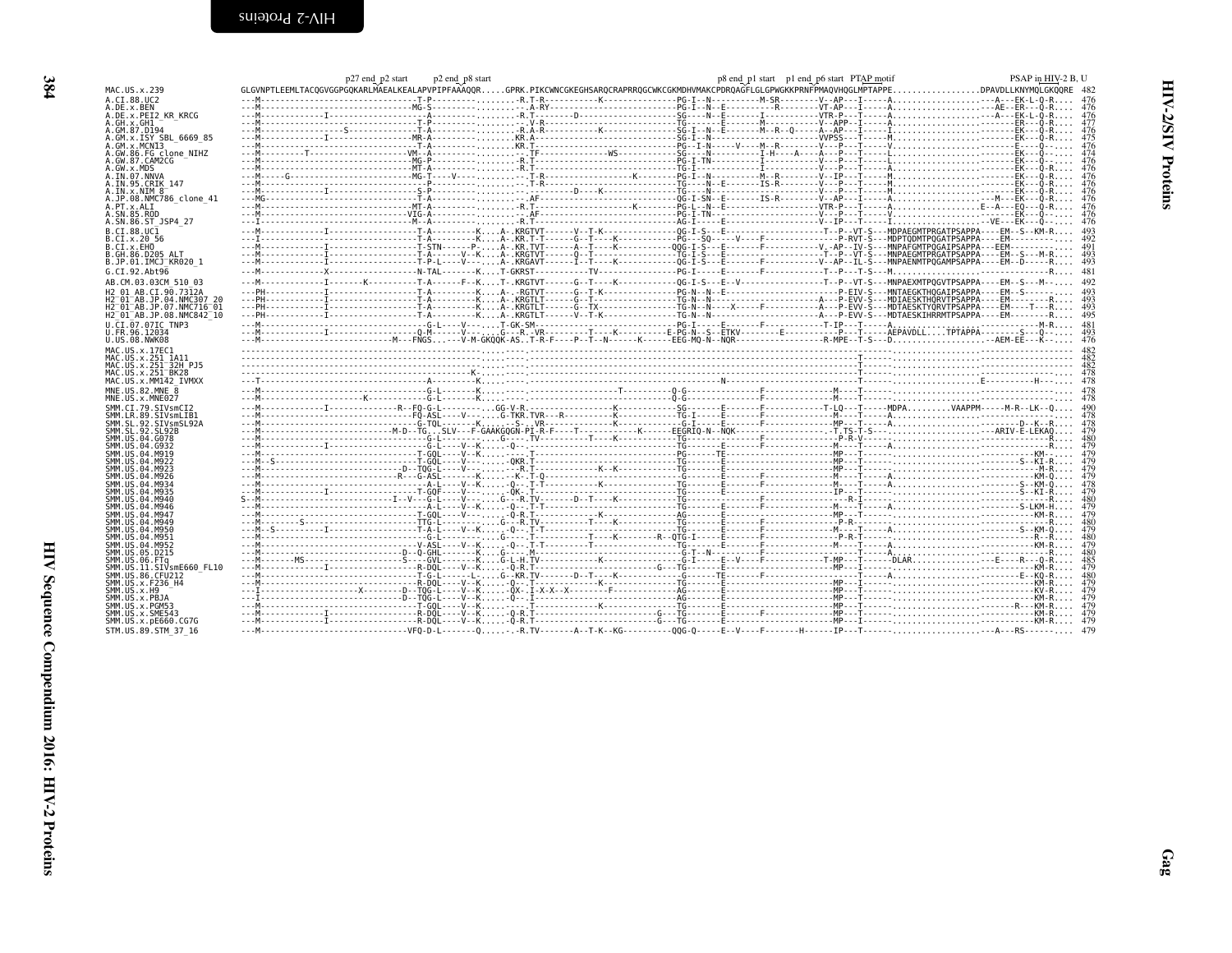<span id="page-9-0"></span>

| MAC.US.x.239                                                     |  |  | p27 end_p2 start p2 end_p8 start p2 end_p8 start p3 end_p8 start p3 end_p8 start p1 end_p6 start p1 end_p6 start PTAP_motif<br>GLGVNPTLEEMLTACQGVGGPGQKARLMAEALKEALAPVPIPFAAAQQRGPRK.PIKCWNCGKEGHSARQCRAPRRQGCWKCGKMDHVMAKCP         |
|------------------------------------------------------------------|--|--|--------------------------------------------------------------------------------------------------------------------------------------------------------------------------------------------------------------------------------------|
| A.CI.88.UC2                                                      |  |  |                                                                                                                                                                                                                                      |
| A.DE.x.BEN<br>A.DE.X.PEI2 KR KRCG                                |  |  |                                                                                                                                                                                                                                      |
| A.GH.x.GH1                                                       |  |  |                                                                                                                                                                                                                                      |
| A.GM.87.D194                                                     |  |  |                                                                                                                                                                                                                                      |
| A.GM.X.ISY SBL 6669 85<br>A.GM.x.MCN13                           |  |  |                                                                                                                                                                                                                                      |
| A.GW.86.FG clone NIHZ                                            |  |  |                                                                                                                                                                                                                                      |
| A.GW.87.CAM2CG<br>A.GW.x.MDS                                     |  |  |                                                                                                                                                                                                                                      |
| A.IN.07.NNVA                                                     |  |  |                                                                                                                                                                                                                                      |
| A.IN.95.CRIK 147                                                 |  |  |                                                                                                                                                                                                                                      |
| $A. IN. \times . NIM 8^-$<br>A.JP.08.NMC786 clone 41             |  |  |                                                                                                                                                                                                                                      |
| A.PT.x.ALI                                                       |  |  |                                                                                                                                                                                                                                      |
| A.SN.85.ROD<br>A.SN.86.ST JSP4 27                                |  |  |                                                                                                                                                                                                                                      |
| B.CI.88.UC1                                                      |  |  |                                                                                                                                                                                                                                      |
| B.CI.X.20 56                                                     |  |  |                                                                                                                                                                                                                                      |
| B.CI.X.EHO<br>B.GH.86.D205 ALT                                   |  |  |                                                                                                                                                                                                                                      |
| B.JP.01.IMCJ KR020 1                                             |  |  |                                                                                                                                                                                                                                      |
| G.CI.92.Abt96                                                    |  |  |                                                                                                                                                                                                                                      |
| AB.CM.03.03CM 510 03                                             |  |  |                                                                                                                                                                                                                                      |
| H2 01 AB.CI.90.7312A                                             |  |  |                                                                                                                                                                                                                                      |
| H2 01 AB JP 04 NMC307 26<br>H2 <sup>-01-AB.JP.07.NMC716-01</sup> |  |  |                                                                                                                                                                                                                                      |
| H2 <sup>-01-AB.JP.08.NMC842<sup>-10</sup></sup>                  |  |  |                                                                                                                                                                                                                                      |
| U.CI.07.07IC TNP3                                                |  |  |                                                                                                                                                                                                                                      |
| U.FR.96.12034<br>U.US.08.NWK08                                   |  |  |                                                                                                                                                                                                                                      |
| MAC.US.x.17EC1                                                   |  |  | <u> 1990 - 1990 - 1990 - 1990 - 1990 - 1990 - 1990 - 1990 - 1990 - 1990 - 1990 - 1990 - 1990 - 1990 - 1990 - 1990 - 1990 - 1990 - 1990 - 1990 - 1990 - 1990 - 1990 - 1990 - 1990 - 1990 - 1990 - 1990 - 1990 - 1990 - 1990 - 199</u> |
| MAC.US.x.251 1A11                                                |  |  |                                                                                                                                                                                                                                      |
|                                                                  |  |  |                                                                                                                                                                                                                                      |
| MAC.US.x.251 32H PJ5                                             |  |  |                                                                                                                                                                                                                                      |
| MAC. US. x. 251 BK28                                             |  |  |                                                                                                                                                                                                                                      |
| MAC.US.x.MM142 IVMXX<br>MNE.US.82.MNE 8                          |  |  |                                                                                                                                                                                                                                      |
| MNE.US.x.MNE027                                                  |  |  |                                                                                                                                                                                                                                      |
| SMM.CI.79.SIVsmCI2                                               |  |  |                                                                                                                                                                                                                                      |
| SMM.LR.89.SIVsmLIB1                                              |  |  |                                                                                                                                                                                                                                      |
| SMM.SL.92.SIVsmSL92A<br>SMM.SL.92.SL92B                          |  |  |                                                                                                                                                                                                                                      |
| SMM.US.04.G078                                                   |  |  |                                                                                                                                                                                                                                      |
| SMM. U.S. 04. G932<br>SMM. U.S. 04. M919                         |  |  |                                                                                                                                                                                                                                      |
| SMM. U.S. 04. M922                                               |  |  |                                                                                                                                                                                                                                      |
| SMM.US.04.M923<br>SMM.US.04.M926                                 |  |  |                                                                                                                                                                                                                                      |
| SMM IIS 04 M934                                                  |  |  |                                                                                                                                                                                                                                      |
| SMM IIS 04 M935<br>SMM IIS 04 M940                               |  |  |                                                                                                                                                                                                                                      |
| SMM IIS 04 M946                                                  |  |  |                                                                                                                                                                                                                                      |
| SMM US 04 M947                                                   |  |  |                                                                                                                                                                                                                                      |
| SMM IIS 04 M949<br>SMM US 04 M956                                |  |  |                                                                                                                                                                                                                                      |
| SMM.US.04.M951                                                   |  |  |                                                                                                                                                                                                                                      |
| SMM. U.S. 04. M952<br>SMM.US.05.D215                             |  |  |                                                                                                                                                                                                                                      |
| SMM.US.06.FTg                                                    |  |  |                                                                                                                                                                                                                                      |
| SMM.US.11.SIVsmE660 FL10                                         |  |  |                                                                                                                                                                                                                                      |
| SMM.US.86.CFU212<br>SMM.US.x.F236 H4                             |  |  |                                                                                                                                                                                                                                      |
| SMM.US.x.H9                                                      |  |  |                                                                                                                                                                                                                                      |
| SMM.US.x.PBJA<br>SMM.US.x.PGM53                                  |  |  |                                                                                                                                                                                                                                      |
| SMM.US.x.SME543                                                  |  |  |                                                                                                                                                                                                                                      |
| SMM.US.x.pE660.CG7G<br>STM.US.89.STM 37 16                       |  |  |                                                                                                                                                                                                                                      |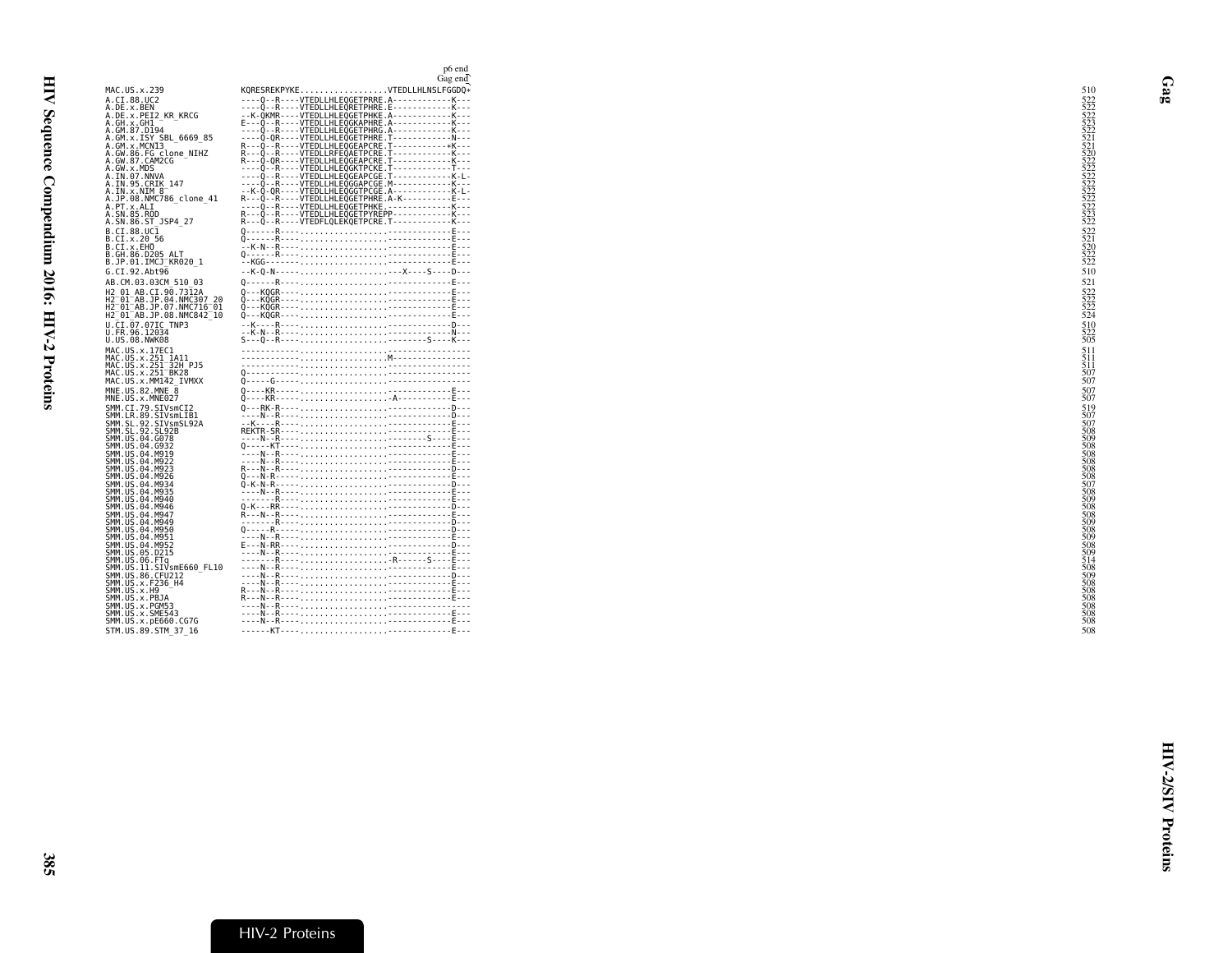<span id="page-10-0"></span>

|                                                                  | p6 end<br>Gag end                                                                                                                                      |                                                                    |
|------------------------------------------------------------------|--------------------------------------------------------------------------------------------------------------------------------------------------------|--------------------------------------------------------------------|
| MAC.US.x.239                                                     | KQRESREKPYKEVTEDLLHLNSLFGGDQ*                                                                                                                          | 510                                                                |
| A.CI.88.UC2<br>A.DE.x.BEN                                        | ----0--R----VTEDLLHLEOGETPRRE.A------------K---<br>----Q--R----VTEDLLHLEQRETPHRE.E------------K---                                                     |                                                                    |
| A.DE.X.PEI2 KR KRCG                                              |                                                                                                                                                        |                                                                    |
| A.GH.x.GH1<br>A.GM.87.D194                                       |                                                                                                                                                        |                                                                    |
| A.GM.x.ISY SBL 6669 85<br>A.GM.x.MCN13                           |                                                                                                                                                        |                                                                    |
| A.GW.86.FG clone NIHZ<br>A.GW.87.CAM2CG                          | R---0--R-----VTEDLLHLEQGEAPCRE.T-------------K---<br>R---Q--R----VTEDLLRFEQAETPCRE.T-----------K---<br>R---O-OR----VTEDLLHLEOGEAPCRE.T------------K--- |                                                                    |
| A.GW.x.MDS                                                       | 0. . R VTEDLLHLEOGKTPCKE.T<br>0RVTEDLLHLEOGEAPCGE.TK.L.                                                                                                |                                                                    |
| A.IN.07.NNVA<br>A.IN.95.CRIK 147                                 | ∂RVTEDLLHLEÒGGAPCGE.M------------K---                                                                                                                  |                                                                    |
| A.IN.x.NIM 8<br>A.JP.08.NMC786 clone 41                          | --K-Q-QR----VTEDLLHLEQGGTPCGE.A------------K-L-<br>R---Q--R----VTEDLLHLEQGETPHRE.A-K----------E---                                                     | 523522215222<br>52255222552225522255222<br>52255222552225522235222 |
| A.PT.x.ALI<br>A.SN.85.ROD                                        | R---Q--R----VTEDLLHLEQGETPYREPP------------K---                                                                                                        |                                                                    |
| A.SN.86.ST JSP4 27                                               | R---Q--R----VTEDFLQLEKQETPCRE.T------------K---                                                                                                        |                                                                    |
| B.CI.88.UC1<br>B.CI.X.20 56                                      |                                                                                                                                                        | 522<br>522<br>520<br>522<br>522<br>522                             |
| B.CI.X.EHO<br>B.GH.86.D205 ALT                                   |                                                                                                                                                        |                                                                    |
| B.JP.01.IMCJ KR020 1                                             |                                                                                                                                                        |                                                                    |
| G.CI.92.Abt96<br>AB.CM.03.03CM 510 03                            | --K-Q-N--------X----S----D---                                                                                                                          | 510<br>521                                                         |
| H2 01 AB.CI.90.7312A                                             |                                                                                                                                                        |                                                                    |
| H2 01 AB.JP.04.NMC307 20<br>H2 <sup>-01-AB.JP.07.NMC716-01</sup> |                                                                                                                                                        | 522<br>522<br>522<br>522<br>524                                    |
| H2 01 AB.JP.08.NMC842 10<br>U.CI.07.07IC TNP3                    |                                                                                                                                                        | 510                                                                |
| U.FR.96.12034<br>U.US.08.NWK08                                   |                                                                                                                                                        | $\frac{522}{505}$                                                  |
| MAC.US.x.17EC1                                                   |                                                                                                                                                        | 511                                                                |
| MAC.US.x.251 1A11<br>MAC.US.x.251 32H PJ5                        |                                                                                                                                                        | $\frac{511}{511}$                                                  |
| MAC.US.x.251 BK28<br>MAC.US.x.MM142 IVMXX                        |                                                                                                                                                        | 507<br>507                                                         |
| MNE.US.82.MNE 8                                                  |                                                                                                                                                        | 507                                                                |
| MNE.US.x.MNE027<br>SMM.CI.79.SIVsmCI2                            |                                                                                                                                                        |                                                                    |
| SMM.LR.89.SIVsmLIB1<br>SMM.SL.92.SIVsmSL92A                      |                                                                                                                                                        | 519<br>507<br>507                                                  |
| SMM. SL. 92. SL92B                                               |                                                                                                                                                        | 508                                                                |
| SMM.US.04.G078<br>SMM.US.04.G932                                 |                                                                                                                                                        | 509<br>508                                                         |
| SMM.US.04.M919<br>SMM.US.04.M922                                 |                                                                                                                                                        | 508<br>508                                                         |
| SMM.US.04.M923<br>SMM.US.04.M926                                 |                                                                                                                                                        | 508<br>508                                                         |
| SMM.US.04.M934<br>SMM.US.04.M935                                 |                                                                                                                                                        | 507<br>508                                                         |
| SMM.US.04.M940                                                   |                                                                                                                                                        | 509<br>508                                                         |
| SMM.US.04.M946<br>SMM.US.04.M947                                 |                                                                                                                                                        | 508                                                                |
| SMM.US.04.M949<br>SMM.US.04.M950                                 |                                                                                                                                                        | 509<br>508                                                         |
| SMM.US.04.M951<br>SMM.US.04.M952                                 |                                                                                                                                                        | 509<br>508                                                         |
| SMM. US. 05. D215<br>SMM.US.06.FTq                               |                                                                                                                                                        | 509<br>514                                                         |
| SMM.US.11.SIVsmE660 FL10                                         |                                                                                                                                                        | 508<br>509                                                         |
| SMM.US.86.CFU212<br>SMM.US.x.F236 H4                             |                                                                                                                                                        | 508                                                                |
| SMM.US.x.H9<br>SMM.US.x.PBJA                                     |                                                                                                                                                        | 508<br>508                                                         |
| SMM.US.x.PGM53<br>SMM.US.x.SME543                                |                                                                                                                                                        |                                                                    |
| SMM.US.x.pE660.CG7G                                              |                                                                                                                                                        | 508                                                                |
| STM.US.89.STM 37 16                                              |                                                                                                                                                        | 508                                                                |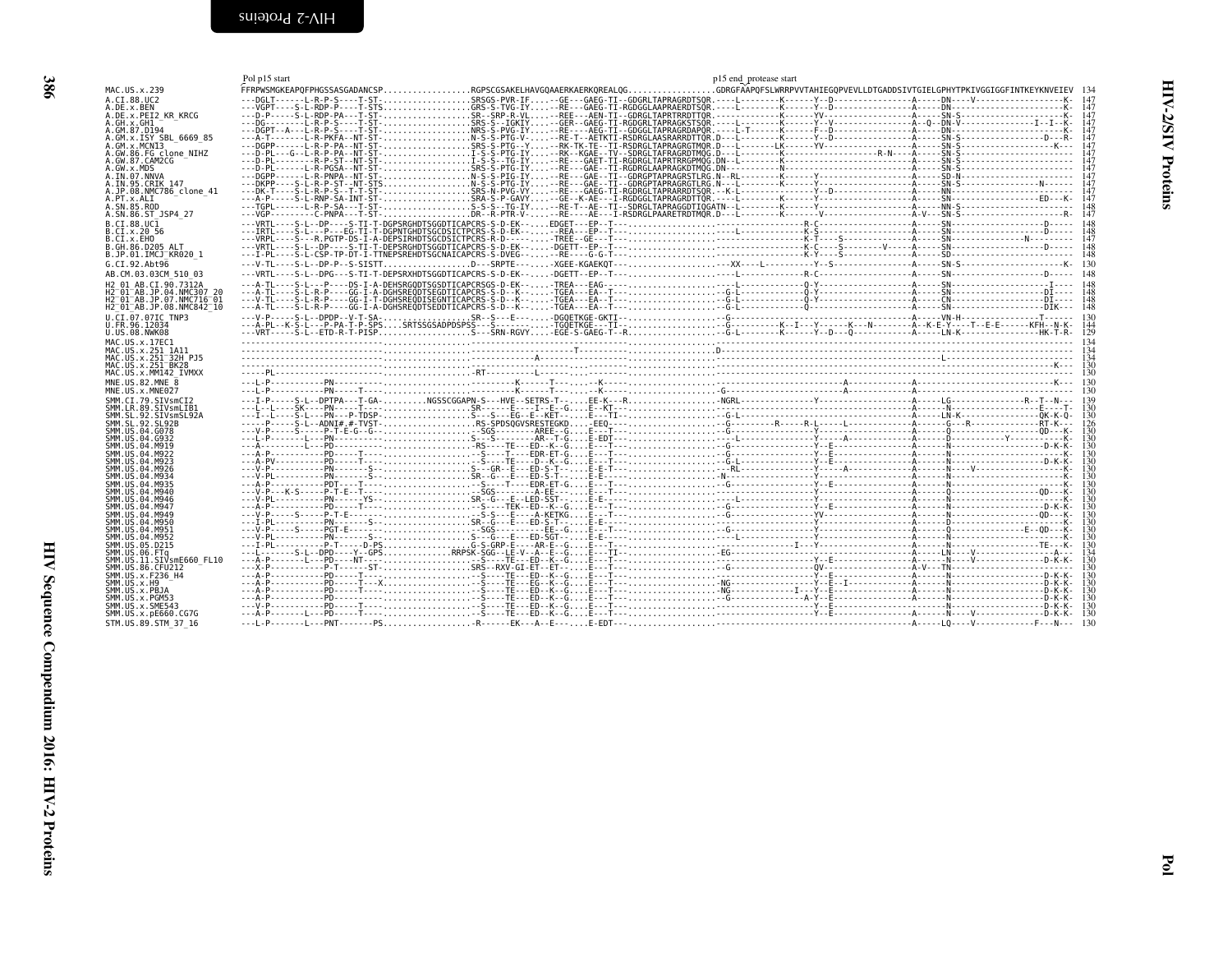Pol p15 start

<span id="page-11-0"></span>

| MAC.US.x.239                                                    |  | FFRPWSMGKEAPOFPHGSSASGADANCSPRGPSCGSAKELHAVGOAAERKAERKOREALOGGDRGFÄÄPOFSLWRRPVVTAHIEGOPVEVLLDTGADDSIVTGIELGPHYTPKIVGGIGGFINTKEYKNVEIEV 134                                                                                                                                                                                                                                                                                                           |            |
|-----------------------------------------------------------------|--|------------------------------------------------------------------------------------------------------------------------------------------------------------------------------------------------------------------------------------------------------------------------------------------------------------------------------------------------------------------------------------------------------------------------------------------------------|------------|
| A.CI.88.UC2                                                     |  |                                                                                                                                                                                                                                                                                                                                                                                                                                                      |            |
| A.DE.x.BEN<br>A.DE.x.PEI2 KR KRCG                               |  |                                                                                                                                                                                                                                                                                                                                                                                                                                                      | 147        |
| A.GH.X.GH1                                                      |  |                                                                                                                                                                                                                                                                                                                                                                                                                                                      | 147        |
| A.GM.87.D194<br>A.GM.x.ISY SBL 6669 85                          |  |                                                                                                                                                                                                                                                                                                                                                                                                                                                      | 147<br>147 |
| A.GM.X.MCNI3                                                    |  |                                                                                                                                                                                                                                                                                                                                                                                                                                                      |            |
| A.GW.86.FG clone NIHZ                                           |  |                                                                                                                                                                                                                                                                                                                                                                                                                                                      |            |
| A.GW.87.CAM2CG<br>A.GW.x.MDS                                    |  |                                                                                                                                                                                                                                                                                                                                                                                                                                                      |            |
| A.IN.07.NNVA                                                    |  |                                                                                                                                                                                                                                                                                                                                                                                                                                                      |            |
| A. IN. 95. CRIK 147                                             |  |                                                                                                                                                                                                                                                                                                                                                                                                                                                      |            |
| A.JP.08.NMC786 clone 41<br>A.PT.x.ALI                           |  |                                                                                                                                                                                                                                                                                                                                                                                                                                                      |            |
| A.SN.85.ROD                                                     |  |                                                                                                                                                                                                                                                                                                                                                                                                                                                      |            |
| A.SN.86.ST JSP4 27                                              |  |                                                                                                                                                                                                                                                                                                                                                                                                                                                      |            |
| B.CI.88.UC1                                                     |  |                                                                                                                                                                                                                                                                                                                                                                                                                                                      |            |
| B.CI.x.20 56<br>B.CI.X.EHO                                      |  |                                                                                                                                                                                                                                                                                                                                                                                                                                                      |            |
| B.GH.86.D205 ALT                                                |  |                                                                                                                                                                                                                                                                                                                                                                                                                                                      |            |
| B.JP.01.IMCJ KR020 1                                            |  |                                                                                                                                                                                                                                                                                                                                                                                                                                                      |            |
| G.CI.92.Abt96                                                   |  |                                                                                                                                                                                                                                                                                                                                                                                                                                                      |            |
| AB.CM.03.03CM 510 03                                            |  |                                                                                                                                                                                                                                                                                                                                                                                                                                                      |            |
| H <sub>2</sub> 01 AB.CT.90.7312A<br>H2 01 AB.JP.04.NMC307 20    |  |                                                                                                                                                                                                                                                                                                                                                                                                                                                      |            |
| H2 <sup>-</sup> 01 <sup>-</sup> AB.JP.07.NMC716 <sup>-</sup> 01 |  |                                                                                                                                                                                                                                                                                                                                                                                                                                                      |            |
| H2 01 AB. JP. 08. NMC842 10                                     |  |                                                                                                                                                                                                                                                                                                                                                                                                                                                      |            |
| U.CI.07.07IC TNP3                                               |  |                                                                                                                                                                                                                                                                                                                                                                                                                                                      |            |
| U.FR.96.12034<br>U.US.08.NWK08                                  |  |                                                                                                                                                                                                                                                                                                                                                                                                                                                      |            |
| MAC. US. x. 17EC1                                               |  |                                                                                                                                                                                                                                                                                                                                                                                                                                                      |            |
| MAC.US.x.251 1A11                                               |  |                                                                                                                                                                                                                                                                                                                                                                                                                                                      |            |
|                                                                 |  |                                                                                                                                                                                                                                                                                                                                                                                                                                                      |            |
| MAC.US.x.251 32H PJ5                                            |  |                                                                                                                                                                                                                                                                                                                                                                                                                                                      |            |
| MAC.US.x.251 BK28<br>MAC.US.x.MM142 IVMXX                       |  |                                                                                                                                                                                                                                                                                                                                                                                                                                                      |            |
| MNE.US.82.MNE $\overline{8}$                                    |  |                                                                                                                                                                                                                                                                                                                                                                                                                                                      |            |
| MNE.US.x.MNE027                                                 |  |                                                                                                                                                                                                                                                                                                                                                                                                                                                      |            |
| SMM.CI.79.SIVsmCI2                                              |  |                                                                                                                                                                                                                                                                                                                                                                                                                                                      |            |
| SMM.LR.89.SIVsmLIB1<br>SMM.SL.92.SIVsmSL92A                     |  |                                                                                                                                                                                                                                                                                                                                                                                                                                                      |            |
| SMM. SL. 92. SL92B                                              |  |                                                                                                                                                                                                                                                                                                                                                                                                                                                      |            |
| SMM.US.04.G078                                                  |  | $\begin{minipage}[1000] {\begin{minipage}[1000] {\begin{minipage}[1000] {\begin{minipage}[1000] {\begin{minipage}[1000] {\color{blue} \includegraphics{0.15\textwidth{0.15\textwidth{0.15\textwidth{0.15\textwidth{0.15\textwidth{0.15\textwidth{0.15\textwidth{0.15\textwidth{0.15\textwidth{0.15\textwidth{0.15\textwidth{0.15\textwidth{0.15\textwidth{0.15\textwidth{0.15\textwidth{0.15\textwidth{0.15\textwidth{0.15\textwidth{0.15\textwidth$ |            |
| SMM.US.04.G932<br>SMM.US.04.M919                                |  |                                                                                                                                                                                                                                                                                                                                                                                                                                                      |            |
| SMM.US.04.M922                                                  |  |                                                                                                                                                                                                                                                                                                                                                                                                                                                      |            |
| SMM.US.04.M923                                                  |  |                                                                                                                                                                                                                                                                                                                                                                                                                                                      |            |
| SMM.US.04.M926<br>SMM.US.04.M934                                |  |                                                                                                                                                                                                                                                                                                                                                                                                                                                      |            |
| SMM. U.S. 04. M935                                              |  |                                                                                                                                                                                                                                                                                                                                                                                                                                                      |            |
| SMM.US.04.M940<br>SMM. US. 04. M946                             |  |                                                                                                                                                                                                                                                                                                                                                                                                                                                      |            |
| SMM. U.S. 04. M947                                              |  |                                                                                                                                                                                                                                                                                                                                                                                                                                                      |            |
| SMM. US. 04. M949                                               |  |                                                                                                                                                                                                                                                                                                                                                                                                                                                      |            |
| SMM. US. 04. M950<br>SMM.US.04.M951                             |  |                                                                                                                                                                                                                                                                                                                                                                                                                                                      |            |
| SMM.US.04.M952                                                  |  |                                                                                                                                                                                                                                                                                                                                                                                                                                                      |            |
| SMM. US. 05. D215                                               |  |                                                                                                                                                                                                                                                                                                                                                                                                                                                      |            |
| SMM.US.06.FTq<br>SMM.US.11.SIVsmE660 FL10                       |  |                                                                                                                                                                                                                                                                                                                                                                                                                                                      | 30         |
| SMM.US.86.CFU212                                                |  |                                                                                                                                                                                                                                                                                                                                                                                                                                                      |            |
| SMM.US.x.F236 H4<br>SMM. US. x. H9                              |  |                                                                                                                                                                                                                                                                                                                                                                                                                                                      |            |
| SMM.US.x.PBJA                                                   |  |                                                                                                                                                                                                                                                                                                                                                                                                                                                      |            |
| SMM.US.x.PGM53                                                  |  |                                                                                                                                                                                                                                                                                                                                                                                                                                                      |            |
| SMM. U.S. x. SME543<br>SMM.US.x.pE660.CG7G                      |  |                                                                                                                                                                                                                                                                                                                                                                                                                                                      |            |

<span id="page-11-1"></span>p15 end\_protease start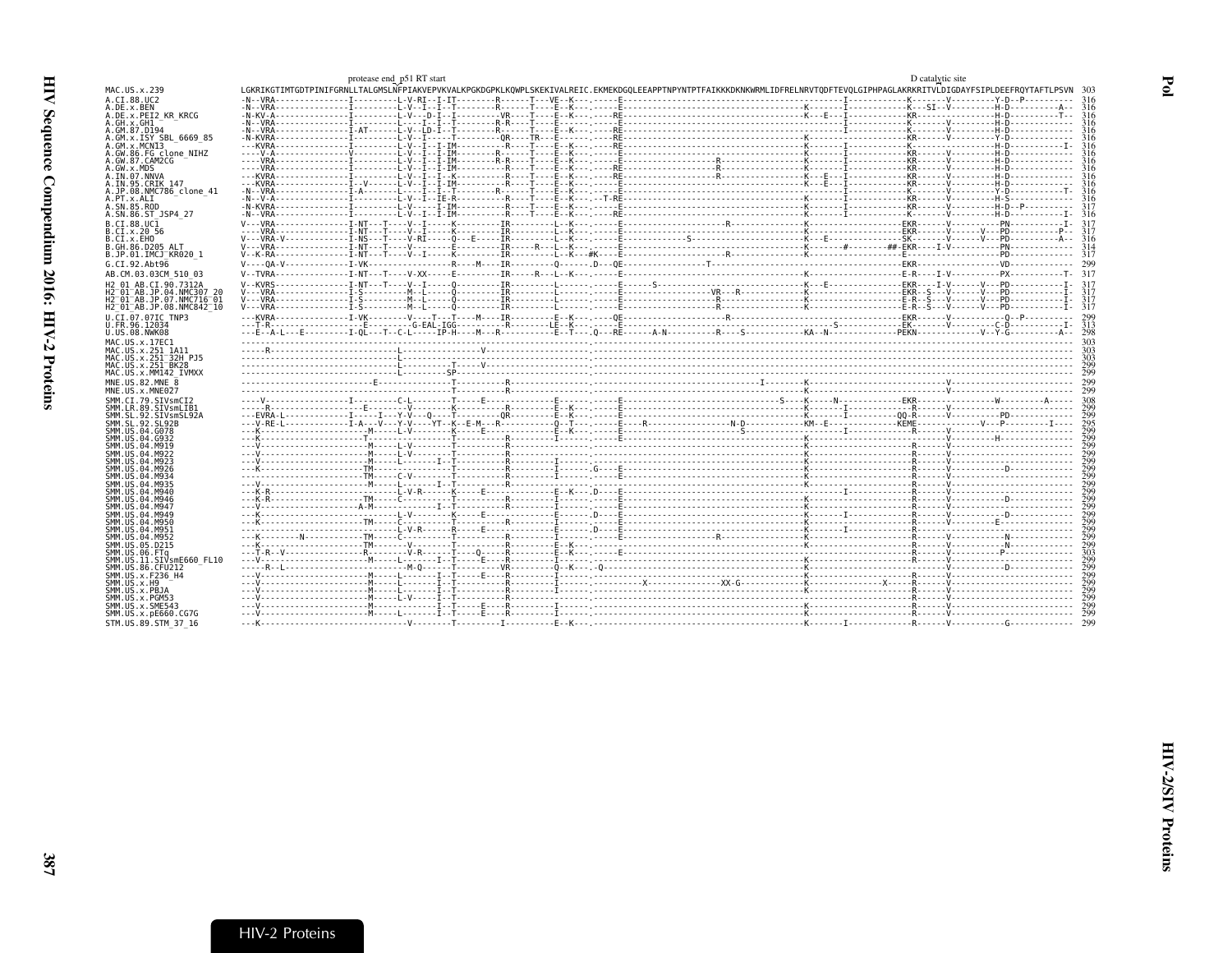<span id="page-12-0"></span>

|                                                                 | protease end p51 RT start |  |                                                                                                                                                                                | D catalytic site |  |
|-----------------------------------------------------------------|---------------------------|--|--------------------------------------------------------------------------------------------------------------------------------------------------------------------------------|------------------|--|
| MAC.US.x.239                                                    |                           |  | LGKRIKGTIMTGDTPINIFGRNLLTALGMSLNFPIAKVEPVKVALKPGKDGPKLKQWPLSKEKIVALREIC.EKMEKDGQLEEAPPTNPYNTPTFAIKKKDKNKWRMLIDFRELNRVTQDFTEVQLGIPHPAGLAKRKRITVLDIGDAYFSIPLDEEFRQYTAFTLPSVN 303 |                  |  |
| A.CT.88.UC2                                                     |                           |  |                                                                                                                                                                                |                  |  |
| A.DE.x.BEN                                                      |                           |  |                                                                                                                                                                                |                  |  |
| A.DE.X.PEI2 KR KRCG                                             |                           |  |                                                                                                                                                                                |                  |  |
| A.GH.x.GH1<br>A.GM.87.D194                                      |                           |  |                                                                                                                                                                                |                  |  |
| A.GM.x.ISY SBL 6669 85                                          |                           |  |                                                                                                                                                                                |                  |  |
| A.GM.X.MCNI3                                                    |                           |  |                                                                                                                                                                                |                  |  |
| A.GW.86.FG clone NIHZ                                           |                           |  |                                                                                                                                                                                |                  |  |
| A.GW.87.CAM2CG                                                  |                           |  |                                                                                                                                                                                |                  |  |
| A.GW.x.MDS                                                      |                           |  |                                                                                                                                                                                |                  |  |
| A.IN.07.NNVA                                                    |                           |  |                                                                                                                                                                                |                  |  |
| A.IN.95.CRIK 147<br>A.JP.08.NMC786 clone 41                     |                           |  |                                                                                                                                                                                |                  |  |
| A.PT.x.ALI                                                      |                           |  |                                                                                                                                                                                |                  |  |
| A.SN.85.ROD                                                     |                           |  |                                                                                                                                                                                |                  |  |
| A.SN.86.ST JSP4 27                                              |                           |  |                                                                                                                                                                                |                  |  |
| B.CI.88.UC1                                                     |                           |  |                                                                                                                                                                                |                  |  |
| B.CI.x.20 56                                                    |                           |  |                                                                                                                                                                                |                  |  |
| B.CI.x.EHO                                                      |                           |  |                                                                                                                                                                                |                  |  |
| B.GH.86.D205 ALT                                                |                           |  |                                                                                                                                                                                |                  |  |
| B.JP.01.IMCJ KR020 1                                            |                           |  |                                                                                                                                                                                |                  |  |
| G.CI.92.Abt96                                                   |                           |  |                                                                                                                                                                                |                  |  |
| AB.CM.03.03CM 510 03                                            |                           |  |                                                                                                                                                                                |                  |  |
| H2 01 AB.CI.90.7312A                                            |                           |  |                                                                                                                                                                                |                  |  |
| H2 01 AB. JP.04. NMC307 20                                      |                           |  |                                                                                                                                                                                |                  |  |
| H2 <sup>-</sup> 01 <sup>-</sup> AB.JP.07.NMC716 <sup>-</sup> 01 |                           |  |                                                                                                                                                                                |                  |  |
| H2 01 AB.JP.08.NMC842 10                                        |                           |  |                                                                                                                                                                                |                  |  |
| U.CI.07.07IC TNP3                                               |                           |  |                                                                                                                                                                                |                  |  |
| U.FR.96.12034                                                   |                           |  |                                                                                                                                                                                |                  |  |
| U.US.08.NWK08                                                   |                           |  |                                                                                                                                                                                |                  |  |
| MAC.US.x.17EC1                                                  |                           |  |                                                                                                                                                                                |                  |  |
| MAC.US.x.251 1A11<br>MAC.US.x.251 32H PJ5                       |                           |  |                                                                                                                                                                                |                  |  |
| MAC.US.x.251 BK28                                               |                           |  |                                                                                                                                                                                |                  |  |
| MAC.US.x.MM142 IVMXX                                            |                           |  |                                                                                                                                                                                |                  |  |
| MNE.US.82.MNE 8                                                 |                           |  |                                                                                                                                                                                |                  |  |
| MNE.US.x.MNE027                                                 |                           |  |                                                                                                                                                                                |                  |  |
| SMM.CT.79.SIVsmCT2                                              |                           |  |                                                                                                                                                                                |                  |  |
| SMM.LR.89.SIVsmLIB1                                             |                           |  |                                                                                                                                                                                |                  |  |
| SMM.SL.92.SIVsmSL92A                                            |                           |  |                                                                                                                                                                                |                  |  |
| SMM. SL. 92. SL92B                                              |                           |  |                                                                                                                                                                                |                  |  |
| SMM. U.S. 04. G078                                              |                           |  |                                                                                                                                                                                |                  |  |
| SMM.US.04.G932<br>SMM.US.04.M919                                |                           |  |                                                                                                                                                                                |                  |  |
| SMM.US.04.M922                                                  |                           |  |                                                                                                                                                                                |                  |  |
| SMM. US. 04. M923                                               |                           |  |                                                                                                                                                                                |                  |  |
|                                                                 |                           |  |                                                                                                                                                                                |                  |  |
| SMM. U.S. 04. M926                                              |                           |  |                                                                                                                                                                                |                  |  |
| SMM. U.S. 04. M934                                              |                           |  |                                                                                                                                                                                |                  |  |
| SMM.US.04.M935                                                  |                           |  |                                                                                                                                                                                |                  |  |
| SMM.US.04.M940                                                  |                           |  |                                                                                                                                                                                |                  |  |
| SMM.US.04.M946                                                  |                           |  |                                                                                                                                                                                |                  |  |
| SMM.US.04.M947                                                  |                           |  |                                                                                                                                                                                |                  |  |
| SMM. US.04.M949                                                 |                           |  |                                                                                                                                                                                |                  |  |
| SMM.US.04.M950<br>SMM.US.04.M951                                |                           |  |                                                                                                                                                                                |                  |  |
| SMM.US.04.M952                                                  |                           |  |                                                                                                                                                                                |                  |  |
| SMM.US.05.D215                                                  |                           |  |                                                                                                                                                                                |                  |  |
| SMM.US.06.FTa                                                   |                           |  |                                                                                                                                                                                |                  |  |
| SMM.US.11.SIVsmE660 FL10                                        |                           |  |                                                                                                                                                                                |                  |  |
| SMM. US.86. CFU212                                              |                           |  |                                                                                                                                                                                |                  |  |
| SMM.US.x.F236 H4<br>SMM. US. x.H9                               |                           |  |                                                                                                                                                                                |                  |  |
| SMM.US.x.PBJA                                                   |                           |  |                                                                                                                                                                                |                  |  |
| SMM.US.x.PGM53                                                  |                           |  |                                                                                                                                                                                |                  |  |
| SMM.US.x.SME543                                                 |                           |  |                                                                                                                                                                                |                  |  |
| SMM.US.x.pE660.CG7G                                             |                           |  |                                                                                                                                                                                |                  |  |
| STM.US.89.STM 37 16                                             |                           |  |                                                                                                                                                                                |                  |  |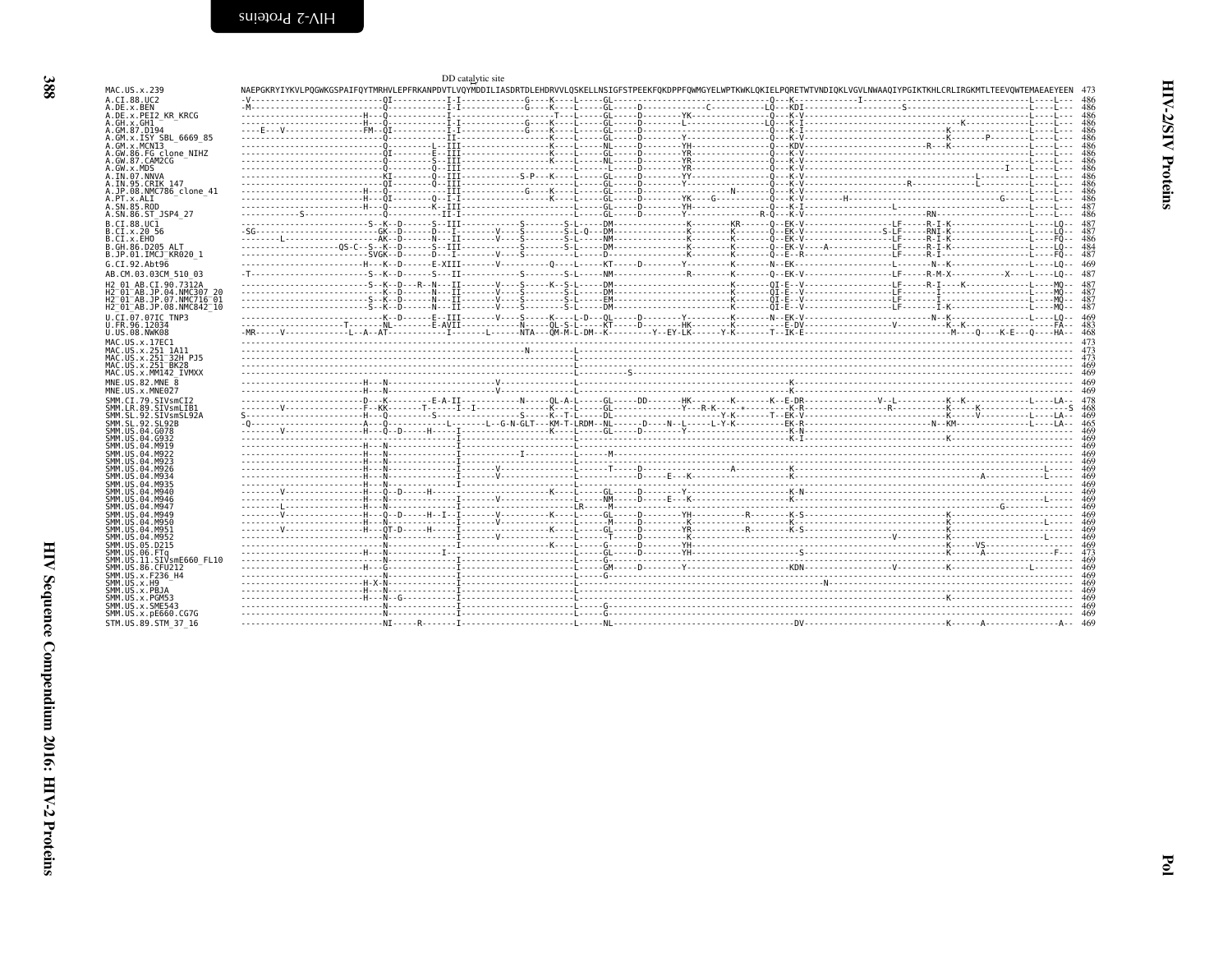| A.GM.87.D194                                                                                                                                                                                                                                                                                                                                                                                                                                                                                                                                                                  |  |  |  |  |  |  |
|-------------------------------------------------------------------------------------------------------------------------------------------------------------------------------------------------------------------------------------------------------------------------------------------------------------------------------------------------------------------------------------------------------------------------------------------------------------------------------------------------------------------------------------------------------------------------------|--|--|--|--|--|--|
| A.GM.x.ISY SBL 6669 85<br>A.GM.X.MCNI3                                                                                                                                                                                                                                                                                                                                                                                                                                                                                                                                        |  |  |  |  |  |  |
| A.GW.86.FG clone NIHZ                                                                                                                                                                                                                                                                                                                                                                                                                                                                                                                                                         |  |  |  |  |  |  |
| A.GW.87.CAM2CG                                                                                                                                                                                                                                                                                                                                                                                                                                                                                                                                                                |  |  |  |  |  |  |
| A.GW.x.MDS                                                                                                                                                                                                                                                                                                                                                                                                                                                                                                                                                                    |  |  |  |  |  |  |
| A.IN.07.NNVA<br>A.IN.95.CRIK 147                                                                                                                                                                                                                                                                                                                                                                                                                                                                                                                                              |  |  |  |  |  |  |
| A.JP.08.NMC786 clone 41                                                                                                                                                                                                                                                                                                                                                                                                                                                                                                                                                       |  |  |  |  |  |  |
| A.PT.x.ALI                                                                                                                                                                                                                                                                                                                                                                                                                                                                                                                                                                    |  |  |  |  |  |  |
| A.SN.85.ROD                                                                                                                                                                                                                                                                                                                                                                                                                                                                                                                                                                   |  |  |  |  |  |  |
| A.SN.86.ST JSP4 27                                                                                                                                                                                                                                                                                                                                                                                                                                                                                                                                                            |  |  |  |  |  |  |
| B.CI.88.UC1                                                                                                                                                                                                                                                                                                                                                                                                                                                                                                                                                                   |  |  |  |  |  |  |
| B.CI.X.20 56<br>B.CI.X.EHO                                                                                                                                                                                                                                                                                                                                                                                                                                                                                                                                                    |  |  |  |  |  |  |
| B.GH.86.D205 ALT                                                                                                                                                                                                                                                                                                                                                                                                                                                                                                                                                              |  |  |  |  |  |  |
| B.JP.01.IMCJ KR020 1                                                                                                                                                                                                                                                                                                                                                                                                                                                                                                                                                          |  |  |  |  |  |  |
| G.CI.92.Abt96                                                                                                                                                                                                                                                                                                                                                                                                                                                                                                                                                                 |  |  |  |  |  |  |
| AB.CM.03.03CM 510 03                                                                                                                                                                                                                                                                                                                                                                                                                                                                                                                                                          |  |  |  |  |  |  |
|                                                                                                                                                                                                                                                                                                                                                                                                                                                                                                                                                                               |  |  |  |  |  |  |
| H2 01 AB.CI.90.7312A<br>H2 01 AB. JP. 04. NMC307 20                                                                                                                                                                                                                                                                                                                                                                                                                                                                                                                           |  |  |  |  |  |  |
| H2 <sup>-01-AB.JP.07.NMC716-01</sup>                                                                                                                                                                                                                                                                                                                                                                                                                                                                                                                                          |  |  |  |  |  |  |
| H2 <sup>-</sup> 01 <sup>-</sup> AB.JP.08.NMC842 <sup>-10</sup>                                                                                                                                                                                                                                                                                                                                                                                                                                                                                                                |  |  |  |  |  |  |
| U.CI.07.07IC TNP3                                                                                                                                                                                                                                                                                                                                                                                                                                                                                                                                                             |  |  |  |  |  |  |
| U.FR.96.12034                                                                                                                                                                                                                                                                                                                                                                                                                                                                                                                                                                 |  |  |  |  |  |  |
| U.US.08.NWK08                                                                                                                                                                                                                                                                                                                                                                                                                                                                                                                                                                 |  |  |  |  |  |  |
| MAC.US.x.17EC1                                                                                                                                                                                                                                                                                                                                                                                                                                                                                                                                                                |  |  |  |  |  |  |
| MAC.US.x.251 1A11                                                                                                                                                                                                                                                                                                                                                                                                                                                                                                                                                             |  |  |  |  |  |  |
| MAC.US.x.251 <sup>-32H</sup> PJ5                                                                                                                                                                                                                                                                                                                                                                                                                                                                                                                                              |  |  |  |  |  |  |
|                                                                                                                                                                                                                                                                                                                                                                                                                                                                                                                                                                               |  |  |  |  |  |  |
| MAC.US.x.251 <sup>-</sup> BK28                                                                                                                                                                                                                                                                                                                                                                                                                                                                                                                                                |  |  |  |  |  |  |
|                                                                                                                                                                                                                                                                                                                                                                                                                                                                                                                                                                               |  |  |  |  |  |  |
|                                                                                                                                                                                                                                                                                                                                                                                                                                                                                                                                                                               |  |  |  |  |  |  |
|                                                                                                                                                                                                                                                                                                                                                                                                                                                                                                                                                                               |  |  |  |  |  |  |
|                                                                                                                                                                                                                                                                                                                                                                                                                                                                                                                                                                               |  |  |  |  |  |  |
|                                                                                                                                                                                                                                                                                                                                                                                                                                                                                                                                                                               |  |  |  |  |  |  |
|                                                                                                                                                                                                                                                                                                                                                                                                                                                                                                                                                                               |  |  |  |  |  |  |
|                                                                                                                                                                                                                                                                                                                                                                                                                                                                                                                                                                               |  |  |  |  |  |  |
|                                                                                                                                                                                                                                                                                                                                                                                                                                                                                                                                                                               |  |  |  |  |  |  |
|                                                                                                                                                                                                                                                                                                                                                                                                                                                                                                                                                                               |  |  |  |  |  |  |
|                                                                                                                                                                                                                                                                                                                                                                                                                                                                                                                                                                               |  |  |  |  |  |  |
|                                                                                                                                                                                                                                                                                                                                                                                                                                                                                                                                                                               |  |  |  |  |  |  |
|                                                                                                                                                                                                                                                                                                                                                                                                                                                                                                                                                                               |  |  |  |  |  |  |
|                                                                                                                                                                                                                                                                                                                                                                                                                                                                                                                                                                               |  |  |  |  |  |  |
|                                                                                                                                                                                                                                                                                                                                                                                                                                                                                                                                                                               |  |  |  |  |  |  |
|                                                                                                                                                                                                                                                                                                                                                                                                                                                                                                                                                                               |  |  |  |  |  |  |
|                                                                                                                                                                                                                                                                                                                                                                                                                                                                                                                                                                               |  |  |  |  |  |  |
|                                                                                                                                                                                                                                                                                                                                                                                                                                                                                                                                                                               |  |  |  |  |  |  |
|                                                                                                                                                                                                                                                                                                                                                                                                                                                                                                                                                                               |  |  |  |  |  |  |
|                                                                                                                                                                                                                                                                                                                                                                                                                                                                                                                                                                               |  |  |  |  |  |  |
|                                                                                                                                                                                                                                                                                                                                                                                                                                                                                                                                                                               |  |  |  |  |  |  |
|                                                                                                                                                                                                                                                                                                                                                                                                                                                                                                                                                                               |  |  |  |  |  |  |
|                                                                                                                                                                                                                                                                                                                                                                                                                                                                                                                                                                               |  |  |  |  |  |  |
|                                                                                                                                                                                                                                                                                                                                                                                                                                                                                                                                                                               |  |  |  |  |  |  |
| MAC.US.x.MM142 IVMXX<br>MNE.US.82.MNE 8<br>MNE.US.x.MNE027<br>SMM.CI.79.SIVsmCI2<br>SMM.LR.89.SIVsmLIB1<br>SMM.SL.92.SIVsmSL92A<br>SMM. SL. 92. SL92B<br>SMM. US. 04. G078<br>SMM. US. 04. G932<br>SMM.US.04.M919<br>SMM. U.S. 04. M922<br>SMM.US.04.M923<br>SMM.US.04.M926<br>SMM. US.04.M934<br>SMM.US.04.M935<br>SMM.US.04.M940<br>SMM.US.04.M946<br>SMM.US.04.M947<br>SMM. U.S. 04, M949<br>SMM.US.04.M950<br>SMM.US.04.M951<br>SMM.US.04.M952<br>SMM. US. 05. D215<br>SMM.US.06.FTg<br>SMM.US.11.SIVsmE660 FL10<br>SMM.US.86.CFU212<br>SMM.US.x.F236 H4<br>SMM. US. x.H9 |  |  |  |  |  |  |
| SMM.US.x.PBJA                                                                                                                                                                                                                                                                                                                                                                                                                                                                                                                                                                 |  |  |  |  |  |  |
|                                                                                                                                                                                                                                                                                                                                                                                                                                                                                                                                                                               |  |  |  |  |  |  |
| SMM.US.x.PGM53<br>SMM.US.x.SME543<br>SMM.US.x.pE660.CG7G                                                                                                                                                                                                                                                                                                                                                                                                                                                                                                                      |  |  |  |  |  |  |

<span id="page-13-0"></span>

388

MAC US x 239 A.CT.88.UC2

 $A.GH.x.GH1$ 

A.DE.x.BEN<br>A.DE.x.BEN<br>A.DE.x.PEI2 KR KRCG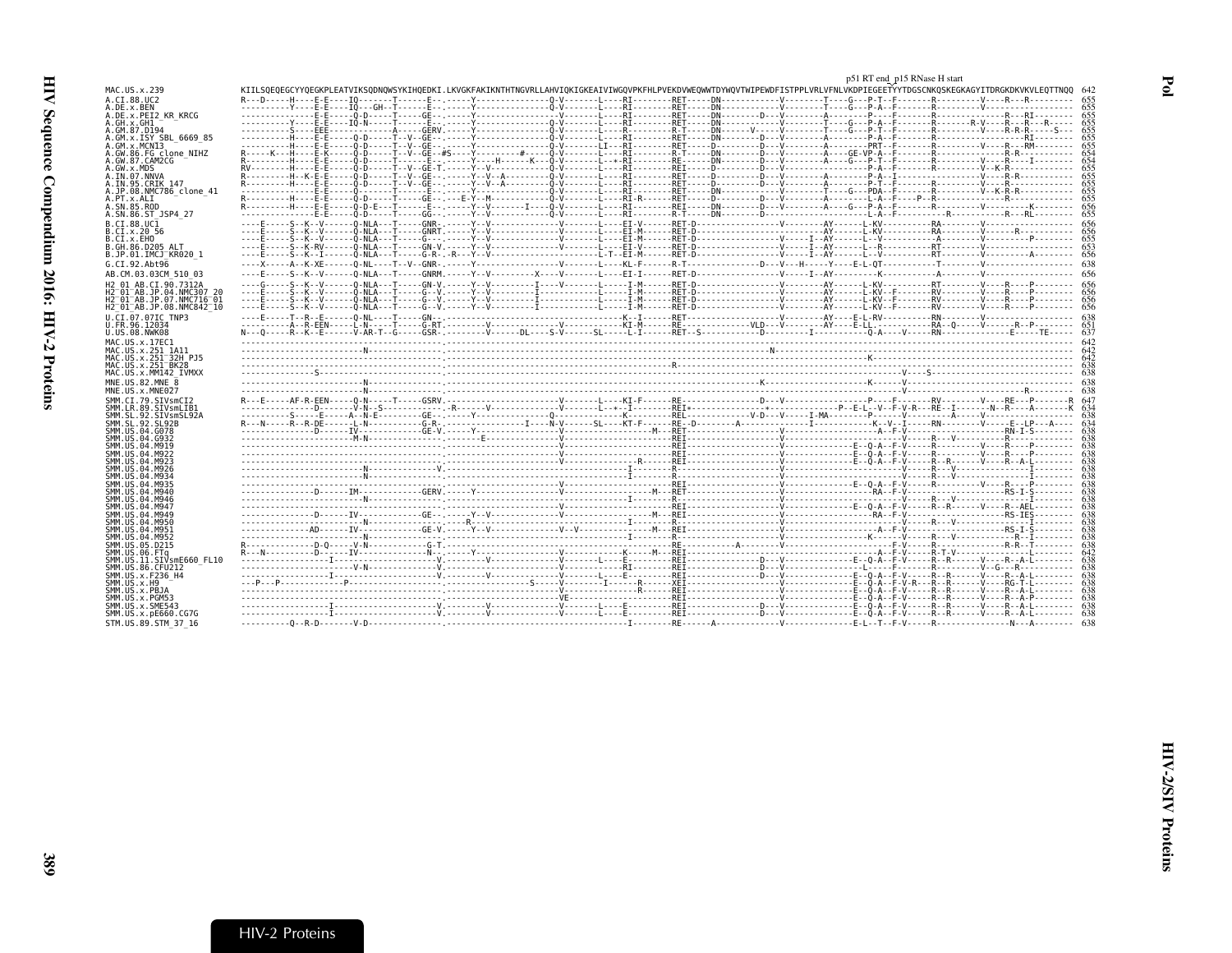<span id="page-14-0"></span>

|                                                               |                                                                                                                                                                                | p51 RT end_p15 RNase H start |
|---------------------------------------------------------------|--------------------------------------------------------------------------------------------------------------------------------------------------------------------------------|------------------------------|
| MAC.US.x.239                                                  | KIILSOEOEGCYYOEGKPLEATVIKSODNOWSYKIHOEDKI.LKVGKFAKIKNTHTNGVRLLAHVIOKIGKEAIVIWGOVPKFHLPVEKDVWEOWWTDYWOVTWIPEWDFISTPPLVRLVFNLVKDPIEGEETYYTDGSCNKOSKEGKAGYITDRGKDKVKVLEOTTNOO 642 |                              |
| A.CI.88.UC2<br>A.DE.x.BEN                                     |                                                                                                                                                                                |                              |
| A.DE.x.PEI2 KR KRCG                                           |                                                                                                                                                                                |                              |
| A.GH.x.GH1<br>A.GM.87.D194                                    | ----------Y----E-E----IÔ-N-----T------E-- -----Y-----------------O-V-------ET-------RET-----DN----------------V---------G---P-A--F------------R-V----R---R---R-----            |                              |
| A.GM.x.ISY SBL 6669 85                                        | -----------H----E-E-----0-D-----T--V--GE--,-----Y----------------ô-V-------L---RI--------RET-----DD--V--------A-------A--------P-A--F--------RI-----------------RI             |                              |
| A.GM.X.MCNI3                                                  | -----------H----E-E-----Ô-D-----T--V--GE-- .-----Y-----------------Ô-V-------LI---RI--------RET-----D--------D---V-------A--------PRT--F--------R-----R----R----RN--------     |                              |
| A.GW.86.FG clone NIHZ<br>A.GW.87.CAM2CG                       | R---------H----E-E------D-D-----T-----E---T-----Y----H------K----Q-V-------E--*-RT--------RE------D---V-------Q----A----G---P-T--F--------R--------V----R-----I---------       |                              |
| A.GW.x.MDS                                                    |                                                                                                                                                                                |                              |
| A.IN.07.NNVA<br>A.IN.95.CRIK 147                              |                                                                                                                                                                                |                              |
| A.JP.08.NMC786 clone 41                                       |                                                                                                                                                                                |                              |
| A.PT.x.ALT<br>A.SN.85.ROD                                     |                                                                                                                                                                                | -655<br>.656                 |
| A.SN.86.ST JSP4 27                                            |                                                                                                                                                                                |                              |
| B.CI.88.UC1                                                   |                                                                                                                                                                                |                              |
| B.CI.x.20 56<br>B.CI.X.EHO                                    |                                                                                                                                                                                |                              |
| B.GH.86.D205 ALT                                              |                                                                                                                                                                                |                              |
| B.JP.01.IMCJ KR020 1                                          |                                                                                                                                                                                |                              |
| G.CI.92.Abt96                                                 |                                                                                                                                                                                |                              |
| AB.CM.03.03CM 510 03<br>H2 01 AB.CI.90.7312A                  |                                                                                                                                                                                |                              |
| H2 01 AB.JP.04.NMC307 20                                      |                                                                                                                                                                                |                              |
| $H2^-01^-AB$ .JP.07.NMC716 $^-01$<br>H2 01 AB.JP.08.NMC842 10 |                                                                                                                                                                                |                              |
| U.CI.07.07IC TNP3                                             |                                                                                                                                                                                |                              |
| U.FR.96.12034                                                 |                                                                                                                                                                                |                              |
| U.US.08.NWK08                                                 |                                                                                                                                                                                |                              |
| MAC.US.x.17EC1<br>MAC.US.x.251 1A11                           |                                                                                                                                                                                |                              |
| MAC.US.x.251 32H PJ5                                          |                                                                                                                                                                                |                              |
| MAC.US.x.251 BK28<br>MAC.US.x.MM142 IVMXX                     |                                                                                                                                                                                |                              |
| MNE.US.82.MNE 8                                               |                                                                                                                                                                                |                              |
| MNE.US.x.MNE027                                               |                                                                                                                                                                                |                              |
| SMM.CI.79.SIVsmCI2<br>SMM.LR.89.SIVsmLIB1                     |                                                                                                                                                                                |                              |
| SMM.SL.92.SIVsmSL92A                                          |                                                                                                                                                                                |                              |
| SMM. SL. 92. SL92B<br>SMM.US.04.G078                          |                                                                                                                                                                                |                              |
| SMM. US. 04. G932                                             |                                                                                                                                                                                |                              |
| SMM.US.04.M919<br>SMM. US. 04. M922                           |                                                                                                                                                                                |                              |
| SMM. US. 04. M923                                             |                                                                                                                                                                                |                              |
| SMM.US.04.M926<br>SMM. U.S. 04. M934                          |                                                                                                                                                                                |                              |
| SMM. US. 04. M935                                             |                                                                                                                                                                                |                              |
| SMM.US.04.M940<br>SMM.US.04.M946                              |                                                                                                                                                                                |                              |
| SMM.US.04.M947                                                |                                                                                                                                                                                |                              |
| SMM. US. 04. M949                                             |                                                                                                                                                                                |                              |
| SMM.US.04.M950<br>SMM.US.04.M951                              |                                                                                                                                                                                |                              |
| SMM.US.04.M952                                                |                                                                                                                                                                                |                              |
| SMM.US.05.D215<br>SMM.US.06.FTq                               |                                                                                                                                                                                |                              |
| SMM.US.11.SIVsmE660 FL10                                      |                                                                                                                                                                                |                              |
| SMM.US.86.CFU212<br>SMM. US. x. F236 H4                       |                                                                                                                                                                                |                              |
| SMM.US.x.H9                                                   |                                                                                                                                                                                |                              |
| SMM.US.x.PBJA<br>SMM.US.x.PGM53                               |                                                                                                                                                                                |                              |
| SMM.US.x.SME543                                               |                                                                                                                                                                                |                              |
| SMM.US.x.pE660.CG7G                                           |                                                                                                                                                                                |                              |
| STM.US.89.STM 37 16                                           |                                                                                                                                                                                |                              |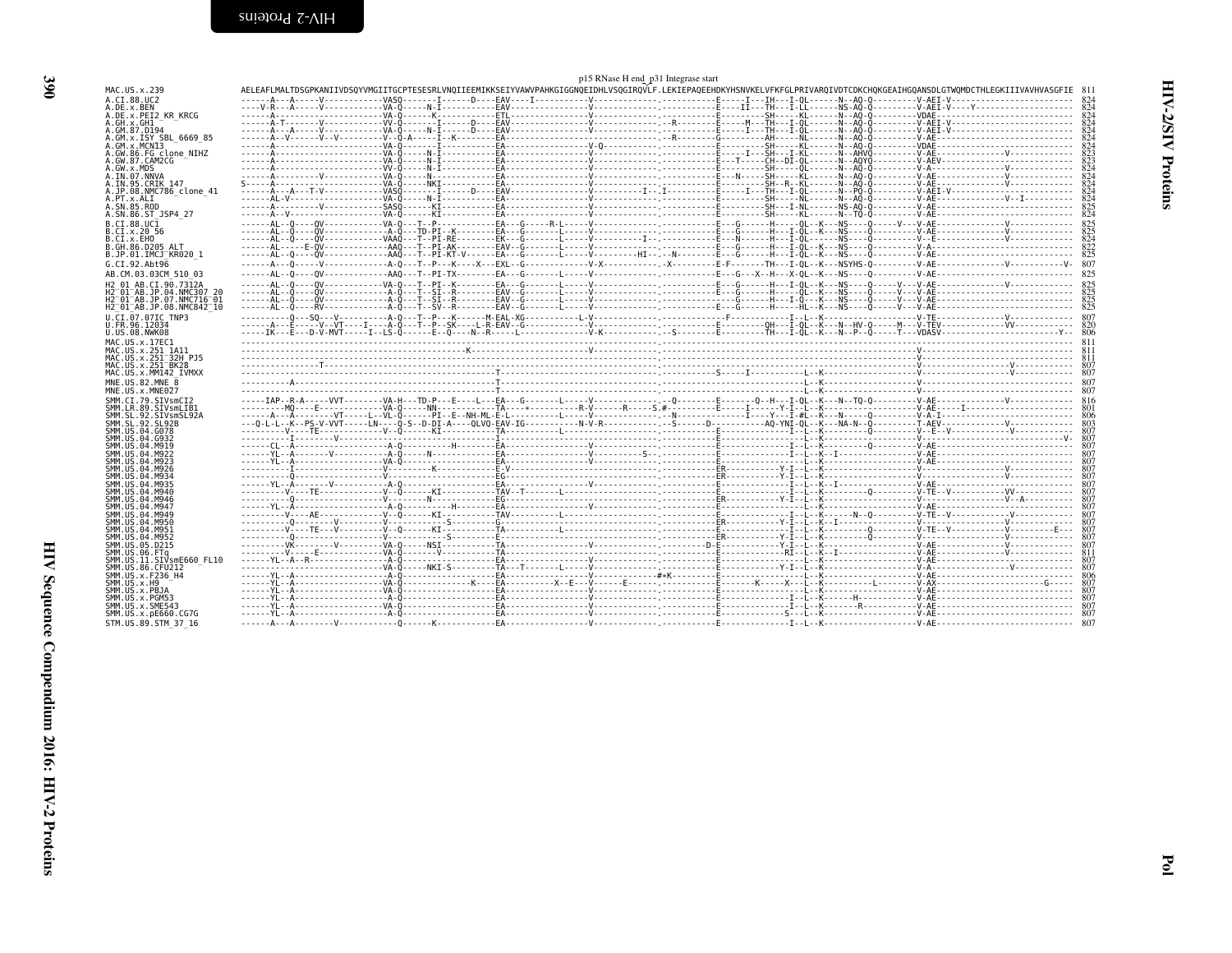<span id="page-15-0"></span>

|                                                                         |  | p15 RNase H end_p31 Integrase start |  |                                                                                                                                                                                                                                                                                                                                             |      |
|-------------------------------------------------------------------------|--|-------------------------------------|--|---------------------------------------------------------------------------------------------------------------------------------------------------------------------------------------------------------------------------------------------------------------------------------------------------------------------------------------------|------|
| MAC.US.x.239                                                            |  |                                     |  | AELEAFLMALTDSGPKANIIVDSOYVMGIITGCPTESESRLVNOIIEEMIKKSEIYVAWVPAHKGIGGNOEIDHLVSOGIROVLF.LEKIEPAOEEHDKYHSNVKELVFKFGLPRIVAROIVDTCDKCHOKGEAIHGOANSDLGTWOMDCTHLEGKIIIVAVHVASGFIE 811                                                                                                                                                              |      |
| A.CI.88.UC2                                                             |  |                                     |  |                                                                                                                                                                                                                                                                                                                                             |      |
| A.DE.x.BEN<br>A.DE.x.PEI2 KR KRCG                                       |  |                                     |  | $\mathcal{R} \setminus \{0, 0, \ldots, 0\} \cup \{0, 0, \ldots, 0\} \cup \{0, 0, \ldots, 0\} \cup \{0, 0, \ldots, 0\} \cup \{0, 0, \ldots, 0\} \cup \{0, 0, \ldots, 0\} \cup \{0, 0, \ldots, 0\} \cup \{0, 0, \ldots, 0\} \cup \{0, 0, \ldots, 0\} \cup \{0, 0, \ldots, 0\} \cup \{0, 0, \ldots, 0\} \cup \{0, 0, \ldots, 0\} \cup \{0, 0,$ |      |
| A.GH.x.GH1                                                              |  |                                     |  |                                                                                                                                                                                                                                                                                                                                             |      |
| A.GM.87.D194                                                            |  |                                     |  |                                                                                                                                                                                                                                                                                                                                             |      |
| GM.x.ISY SBL 6669 85                                                    |  |                                     |  |                                                                                                                                                                                                                                                                                                                                             |      |
| GM.x.MCNI3<br>.GW.86.FG clone NIHZ                                      |  |                                     |  |                                                                                                                                                                                                                                                                                                                                             |      |
| A.GW.87.CAM2CG                                                          |  |                                     |  |                                                                                                                                                                                                                                                                                                                                             |      |
| GW.x.MDS                                                                |  |                                     |  |                                                                                                                                                                                                                                                                                                                                             |      |
| .IN.07.NNVA<br>IN.95.CRIK 147.                                          |  |                                     |  |                                                                                                                                                                                                                                                                                                                                             | 824  |
| .JP.08.NMC786 clone 41                                                  |  |                                     |  |                                                                                                                                                                                                                                                                                                                                             | 824  |
| A.PT.x.ALI                                                              |  |                                     |  |                                                                                                                                                                                                                                                                                                                                             | 824  |
| .SN.85.ROD<br>A.SN.86.ST JSP4 27                                        |  |                                     |  |                                                                                                                                                                                                                                                                                                                                             | 824  |
| B.CT.88.UC1                                                             |  |                                     |  |                                                                                                                                                                                                                                                                                                                                             |      |
| B.CI.x.20 56                                                            |  |                                     |  |                                                                                                                                                                                                                                                                                                                                             |      |
| B.CI.x.EHO                                                              |  |                                     |  |                                                                                                                                                                                                                                                                                                                                             |      |
| B.GH.86.D205 ALT                                                        |  |                                     |  |                                                                                                                                                                                                                                                                                                                                             |      |
| B.JP.01.IMCJ KR020 1                                                    |  |                                     |  |                                                                                                                                                                                                                                                                                                                                             |      |
| G.CI.92.Abt96                                                           |  |                                     |  |                                                                                                                                                                                                                                                                                                                                             |      |
| AB.CM.03.03CM 510 03                                                    |  |                                     |  |                                                                                                                                                                                                                                                                                                                                             |      |
| H2 01 AB.CI.90.7312A<br>12 <sup>-</sup> 01 <sup>-</sup> AB.JP.04.NMC307 |  |                                     |  |                                                                                                                                                                                                                                                                                                                                             |      |
| H2 <sup>-</sup> 01 <sup>-</sup> AB.JP.07.NMC716 <sup>-</sup> 01         |  |                                     |  |                                                                                                                                                                                                                                                                                                                                             |      |
| H2 <sup>-</sup> 01 <sup>-</sup> AB.JP.08.NMC842 <sup>-</sup> 10         |  |                                     |  |                                                                                                                                                                                                                                                                                                                                             |      |
| U.CI.07.07IC TNP3                                                       |  |                                     |  |                                                                                                                                                                                                                                                                                                                                             |      |
| U.FR.96.12034                                                           |  |                                     |  |                                                                                                                                                                                                                                                                                                                                             |      |
| U.US.08.NWK08                                                           |  |                                     |  |                                                                                                                                                                                                                                                                                                                                             |      |
| MAC.US.x.17EC1<br>MAC.US.x.251 1A11                                     |  |                                     |  |                                                                                                                                                                                                                                                                                                                                             |      |
| MAC.US.x.251 <sup>-</sup> 32H PJ5                                       |  |                                     |  |                                                                                                                                                                                                                                                                                                                                             |      |
| MAC.US.x.251 <sup>-</sup> BK28                                          |  |                                     |  |                                                                                                                                                                                                                                                                                                                                             |      |
| MAC.US.x.MM142 IVMXX                                                    |  |                                     |  |                                                                                                                                                                                                                                                                                                                                             |      |
| MNE.US.82.MNE 8                                                         |  |                                     |  |                                                                                                                                                                                                                                                                                                                                             |      |
| MNE.US.x.MNE027<br>SMM.CI.79.SIVsmCI2                                   |  |                                     |  |                                                                                                                                                                                                                                                                                                                                             |      |
| SMM.LR.89.SIVsmLIB1                                                     |  |                                     |  |                                                                                                                                                                                                                                                                                                                                             |      |
| SMM.SL.92.SIVsmSL92A                                                    |  |                                     |  |                                                                                                                                                                                                                                                                                                                                             |      |
| SMM.SL.92.SL92B                                                         |  |                                     |  |                                                                                                                                                                                                                                                                                                                                             |      |
| SMM.US.04.G078<br>SMM.US.04.G932                                        |  |                                     |  |                                                                                                                                                                                                                                                                                                                                             |      |
| SMM.US.04.M919                                                          |  |                                     |  |                                                                                                                                                                                                                                                                                                                                             |      |
| SMM.US.04.M922                                                          |  |                                     |  |                                                                                                                                                                                                                                                                                                                                             |      |
| SMM.US.04.M923                                                          |  |                                     |  |                                                                                                                                                                                                                                                                                                                                             |      |
| SMM.US.04.M926<br>SMM.US.04.M934                                        |  |                                     |  |                                                                                                                                                                                                                                                                                                                                             |      |
| SMM.US.04.M935                                                          |  |                                     |  |                                                                                                                                                                                                                                                                                                                                             |      |
| SMM.US.04.M940                                                          |  |                                     |  |                                                                                                                                                                                                                                                                                                                                             |      |
| SMM.US.04.M946                                                          |  |                                     |  |                                                                                                                                                                                                                                                                                                                                             |      |
| SMM.US.04.M947<br>SMM.US.04.M949                                        |  |                                     |  |                                                                                                                                                                                                                                                                                                                                             |      |
| SMM.US.04.M950                                                          |  |                                     |  |                                                                                                                                                                                                                                                                                                                                             |      |
| SMM.US.04.M951                                                          |  |                                     |  |                                                                                                                                                                                                                                                                                                                                             |      |
| SMM.US.04.M952                                                          |  |                                     |  |                                                                                                                                                                                                                                                                                                                                             |      |
| SMM.US.05.D215<br>SMM.US.06.FTq                                         |  |                                     |  |                                                                                                                                                                                                                                                                                                                                             |      |
| SMM.US.11.SIVsmE660 FL10                                                |  |                                     |  |                                                                                                                                                                                                                                                                                                                                             | -807 |
| SMM.US.86.CFU212                                                        |  |                                     |  |                                                                                                                                                                                                                                                                                                                                             | 807  |
| SMM.US.x.F236 H4                                                        |  |                                     |  |                                                                                                                                                                                                                                                                                                                                             |      |
| SMM.US.x.H9<br>SMM.US.x.PBJA                                            |  |                                     |  |                                                                                                                                                                                                                                                                                                                                             |      |
| SMM.US.x.PGM53                                                          |  |                                     |  |                                                                                                                                                                                                                                                                                                                                             |      |
| SMM.US.x.SME543                                                         |  |                                     |  |                                                                                                                                                                                                                                                                                                                                             |      |
| SMM.US.x.pE660.CG7G                                                     |  |                                     |  |                                                                                                                                                                                                                                                                                                                                             |      |
| STM.US.89.STM 37 16                                                     |  |                                     |  |                                                                                                                                                                                                                                                                                                                                             |      |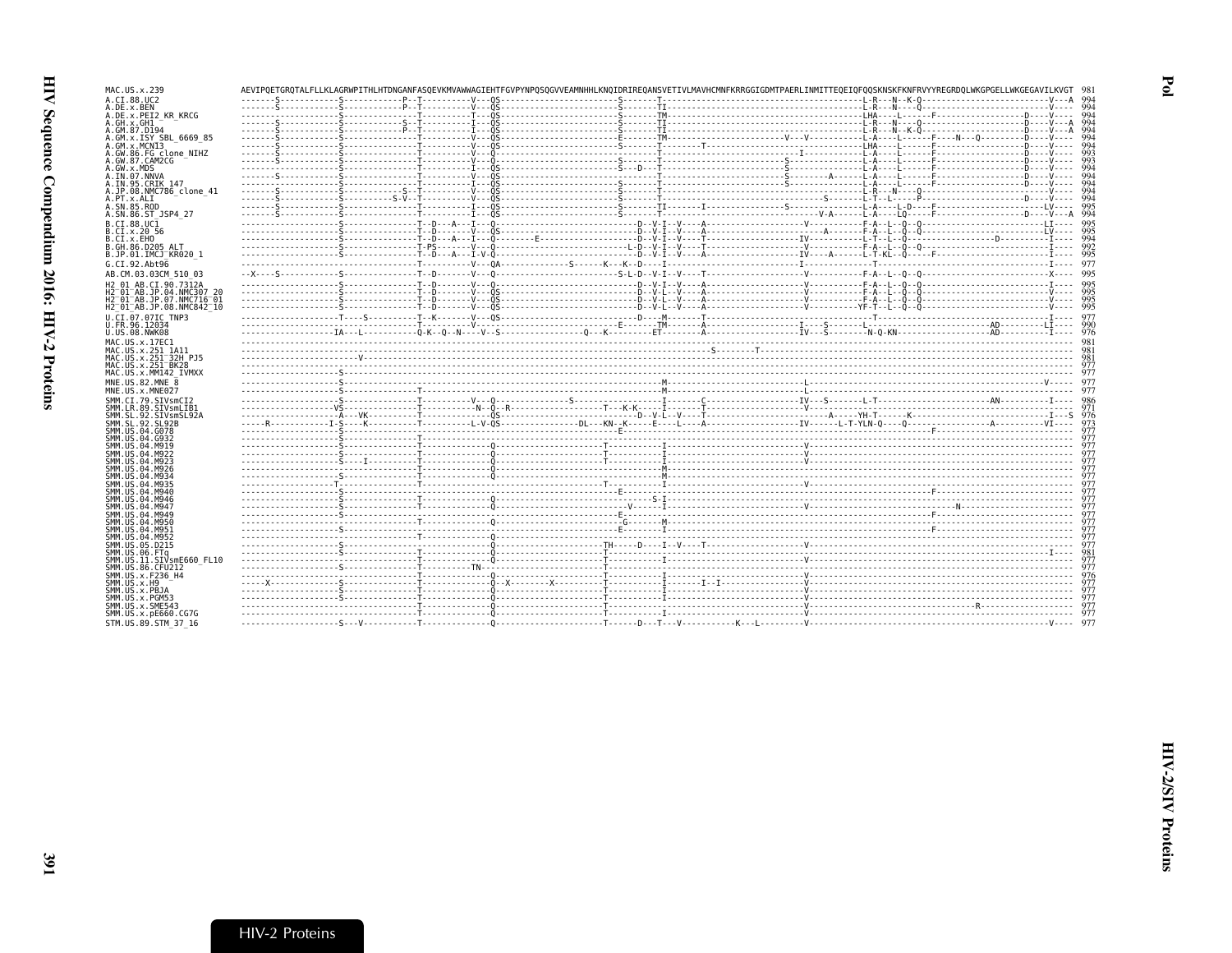|                          | MAC<br>US.x.                                              |
|--------------------------|-----------------------------------------------------------|
|                          | A.CI<br>.88.0                                             |
|                          | .x.BE<br>A.DE<br>.x.PE<br>A.DE                            |
|                          | A.GH.x.GH                                                 |
|                          |                                                           |
|                          | A.GM.87.D<br>A.GM.x.IS                                    |
|                          |                                                           |
|                          | A.GM.x.MC<br>A.GW.86.F<br>A.GW.87.C                       |
|                          | A.GW.x.MD                                                 |
|                          | A.ĪN.07.N                                                 |
|                          | A.IN.95.C<br>JP.08.N<br>Α.,                               |
|                          | A.PT<br>.x.AL                                             |
|                          | A.SN.85.R                                                 |
|                          | A.SN.86.S                                                 |
|                          | B.CI<br>.88.0                                             |
|                          | .x.20<br>B.C<br>T                                         |
|                          | B.CI.X.EH<br>B.GH.86.D                                    |
|                          | B.JP.01.I                                                 |
|                          | G.CI.92.A                                                 |
| equence Compendium 2016: | AB.CM.03<br>$\ddot{\phantom{a}}$                          |
|                          | H2 01 AB.                                                 |
|                          | Н2<br>01<br>AB.<br>H <sub>2</sub><br>01<br>AB.            |
|                          | H <sub>2</sub><br>01<br>AB.                               |
|                          | U.CI<br>.07.0                                             |
|                          | FR.96.<br>$\mathbf{1}$<br>U.                              |
| $\rm{IN-2}$ Profei       | U.US.08.N                                                 |
|                          | US.x.<br>MAC                                              |
|                          | MAC.US.x.<br>U.S.X.<br>MAC                                |
|                          | US.x.<br>MAC.                                             |
|                          | MAC.US.x.                                                 |
|                          | U.S.82<br>MNE                                             |
|                          | MNE.US.<br>х.                                             |
|                          | CI.79<br>SMM.<br>89<br>LR.<br>ΜΜ                          |
|                          | $\frac{92}{92}$<br>SI<br>SMM.<br>$\overline{\phantom{a}}$ |
|                          | ŠĻ<br>SMM.                                                |
|                          | ūš<br>.04<br>,MM<br>04<br>SMM.                            |
|                          | ŭš<br>us<br>04<br>SMM.                                    |
|                          | ŬŠ. 04<br>SMM.                                            |
|                          | US.04<br>MM.                                              |
|                          | <b>US.04</b><br>SМM<br>ŬŠ.04<br>SMM.                      |
|                          | $105.04$<br>$105.04$<br>SMM.                              |
|                          | SМM                                                       |
|                          | SMM. US. 04                                               |

| MAC.US.x.239                                                                        |  | AEVIPOETGROTALFLLKLAGRWPITHLHTDNGANFASOEVKMVAWWAGIEHTFGVPYNPOSOGVVEAMNHHLKNOIDRIREOANSVETIVLMAVHCMNFKRRGGIGDMTPAERLINMITTEOEIOFOOSKNSKFKNFRVYYREGRDOLWKGPGELLWKGEGAVILKVGT                                                                                                                                                                                                                                                       |  |            |
|-------------------------------------------------------------------------------------|--|----------------------------------------------------------------------------------------------------------------------------------------------------------------------------------------------------------------------------------------------------------------------------------------------------------------------------------------------------------------------------------------------------------------------------------|--|------------|
| A.CI.88.UC2<br>A.DE.x.BEN                                                           |  |                                                                                                                                                                                                                                                                                                                                                                                                                                  |  |            |
| A.DE.x.PEI2 KR KRCG                                                                 |  |                                                                                                                                                                                                                                                                                                                                                                                                                                  |  | 994        |
| A.GH.X.GH1<br>A.GM.87.D194                                                          |  |                                                                                                                                                                                                                                                                                                                                                                                                                                  |  | 994<br>994 |
| A.GM.x.ISY SBL 6669 85                                                              |  |                                                                                                                                                                                                                                                                                                                                                                                                                                  |  | 994        |
| A.GM.x.MCNI3<br>A.GW.86.FG clone NIHZ                                               |  |                                                                                                                                                                                                                                                                                                                                                                                                                                  |  | 994<br>993 |
| A.GW.87.CAM2CG                                                                      |  |                                                                                                                                                                                                                                                                                                                                                                                                                                  |  | 993        |
| A.GW.x.MDS<br>A.IN.07.NNVA                                                          |  |                                                                                                                                                                                                                                                                                                                                                                                                                                  |  | 994<br>994 |
| A.IN.95.CRIK 147                                                                    |  |                                                                                                                                                                                                                                                                                                                                                                                                                                  |  | 994<br>QQ  |
| A.JP.08.NMC786 clone 41<br>A.PT.x.ALI                                               |  |                                                                                                                                                                                                                                                                                                                                                                                                                                  |  | 994        |
| A.SN.85.ROD<br>A.SN.86.ST JSP4 27                                                   |  |                                                                                                                                                                                                                                                                                                                                                                                                                                  |  | 995<br>994 |
| B.CI.88.UC1                                                                         |  |                                                                                                                                                                                                                                                                                                                                                                                                                                  |  |            |
| B.CI.X.20 56                                                                        |  | $\begin{bmatrix} \textbf{1} & \textbf{2} & \textbf{3} & \textbf{4} & \textbf{5} & \textbf{6} & \textbf{7} & \textbf{8} & \textbf{9} & \textbf{1} & \textbf{1} & \textbf{1} & \textbf{1} & \textbf{1} & \textbf{1} & \textbf{1} & \textbf{1} & \textbf{1} & \textbf{1} & \textbf{1} & \textbf{1} & \textbf{1} & \textbf{1} & \textbf{1} & \textbf{1} & \textbf{1} & \textbf{1} & \textbf{1} & \textbf{1} & \textbf{1} & \textbf{$ |  | 995        |
| B.CI.X.EHO<br>B.GH.86.D205 ALT                                                      |  |                                                                                                                                                                                                                                                                                                                                                                                                                                  |  | 994<br>992 |
| B.JP.01.IMCJ KR020 1                                                                |  |                                                                                                                                                                                                                                                                                                                                                                                                                                  |  |            |
| G.CI.92.Abt96                                                                       |  |                                                                                                                                                                                                                                                                                                                                                                                                                                  |  |            |
| AB.CM.03.03CM 510 03                                                                |  |                                                                                                                                                                                                                                                                                                                                                                                                                                  |  |            |
| H2 01 AB.CI.90.7312A<br>H2 <sup>-01-AB.JP.04.NMC307 20</sup>                        |  |                                                                                                                                                                                                                                                                                                                                                                                                                                  |  |            |
| H2 <sup>-01-AB.JP.07.NMC716-01</sup>                                                |  |                                                                                                                                                                                                                                                                                                                                                                                                                                  |  | 995        |
| H2 <sup>-</sup> 01 <sup>-</sup> AB.JP.08.NMC842 <sup>-10</sup><br>U.CI.07.07IC TNP3 |  |                                                                                                                                                                                                                                                                                                                                                                                                                                  |  |            |
| U.FR.96.12034                                                                       |  |                                                                                                                                                                                                                                                                                                                                                                                                                                  |  |            |
| U.US.08.NWK08<br>MAC.US.x.17EC1                                                     |  |                                                                                                                                                                                                                                                                                                                                                                                                                                  |  |            |
| MAC.US.x.251 1A11                                                                   |  |                                                                                                                                                                                                                                                                                                                                                                                                                                  |  |            |
| MAC.US.x.251 32H P.15<br>MAC.US.x.251 BK28                                          |  |                                                                                                                                                                                                                                                                                                                                                                                                                                  |  |            |
|                                                                                     |  |                                                                                                                                                                                                                                                                                                                                                                                                                                  |  |            |
| MAC.US.x.MM142 IVMXX                                                                |  |                                                                                                                                                                                                                                                                                                                                                                                                                                  |  | 977        |
| MNE.U.S.82.MNE 8                                                                    |  |                                                                                                                                                                                                                                                                                                                                                                                                                                  |  |            |
| MNE.US.x.MNE027                                                                     |  |                                                                                                                                                                                                                                                                                                                                                                                                                                  |  |            |
| SMM.CI.79.SIVsmCI2<br>SMM.LR.89.SIVsmLIB1                                           |  |                                                                                                                                                                                                                                                                                                                                                                                                                                  |  |            |
| SMM.SL.92.SIVsmSL92A                                                                |  |                                                                                                                                                                                                                                                                                                                                                                                                                                  |  | 976        |
| SMM SL 92 SL92B<br>SMM.US.04.G078                                                   |  |                                                                                                                                                                                                                                                                                                                                                                                                                                  |  | 973<br>977 |
| SMM.US.04.G932                                                                      |  |                                                                                                                                                                                                                                                                                                                                                                                                                                  |  |            |
| SMM.US.04.M919<br>SMM. US. 04. M922                                                 |  |                                                                                                                                                                                                                                                                                                                                                                                                                                  |  |            |
| SMM. U.S. 04. M923<br>SMM. U.S. 04. M926                                            |  |                                                                                                                                                                                                                                                                                                                                                                                                                                  |  |            |
| SMM. U.S. 04. M934                                                                  |  |                                                                                                                                                                                                                                                                                                                                                                                                                                  |  |            |
| SMM.US.04.M935<br>SMM.US.04.M940                                                    |  |                                                                                                                                                                                                                                                                                                                                                                                                                                  |  |            |
| SMM.US.04.M946                                                                      |  |                                                                                                                                                                                                                                                                                                                                                                                                                                  |  |            |
| SMM.US.04.M947<br>SMM.US.04.M949                                                    |  |                                                                                                                                                                                                                                                                                                                                                                                                                                  |  |            |
| SMM.US.04.M950                                                                      |  |                                                                                                                                                                                                                                                                                                                                                                                                                                  |  |            |
| SMM.US.04.M951<br>SMM.US.04.M952                                                    |  |                                                                                                                                                                                                                                                                                                                                                                                                                                  |  |            |
| SMM. U.S. 05. D215                                                                  |  |                                                                                                                                                                                                                                                                                                                                                                                                                                  |  |            |
| SMM.US.06.FTa<br>SMM.US.11.SIVsmE660 FL10                                           |  |                                                                                                                                                                                                                                                                                                                                                                                                                                  |  |            |
| SMM.US.86.CFU212<br>SMM.US.x.F236 H4                                                |  |                                                                                                                                                                                                                                                                                                                                                                                                                                  |  |            |
| SMM. US. x.H9                                                                       |  |                                                                                                                                                                                                                                                                                                                                                                                                                                  |  |            |
| SMM.US.x.PBJA<br>SMM.US.x.PGM53                                                     |  |                                                                                                                                                                                                                                                                                                                                                                                                                                  |  |            |
| SMM.US.x.SME543                                                                     |  |                                                                                                                                                                                                                                                                                                                                                                                                                                  |  |            |
| SMM. US. x. pE660. CG7G<br>STM.US.89.STM 37 16                                      |  |                                                                                                                                                                                                                                                                                                                                                                                                                                  |  |            |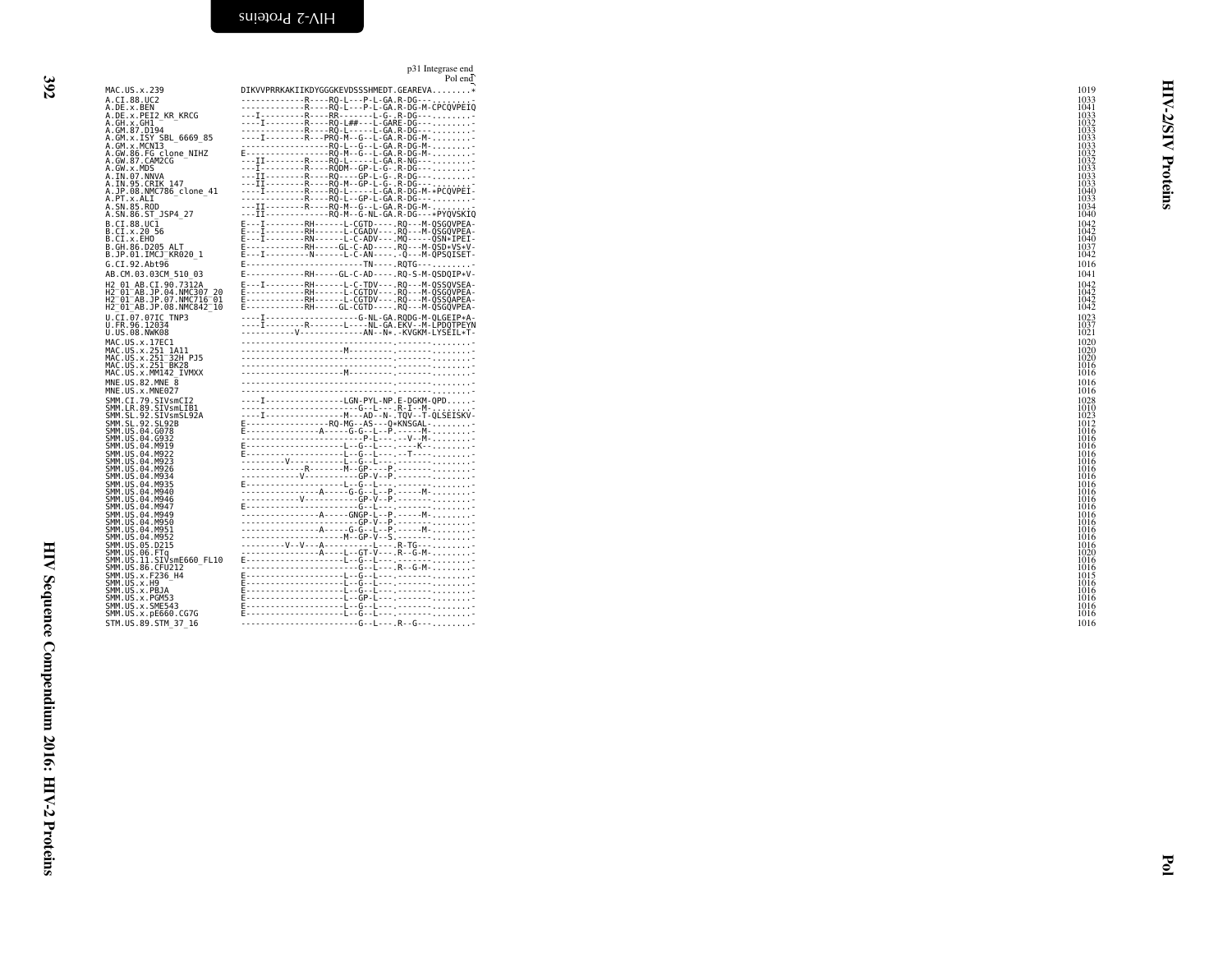<span id="page-17-0"></span>

|                                                                                                                                                                                           | p31 Integrase end<br>Pol end                                                                                                                                                                                                                                                                                                                                                                                                                          |                                      |
|-------------------------------------------------------------------------------------------------------------------------------------------------------------------------------------------|-------------------------------------------------------------------------------------------------------------------------------------------------------------------------------------------------------------------------------------------------------------------------------------------------------------------------------------------------------------------------------------------------------------------------------------------------------|--------------------------------------|
| MAC.US.x.239                                                                                                                                                                              | DIKVVPRRKAKIIKDYGGGKEVDSSSHMEDT.GEAREVA*                                                                                                                                                                                                                                                                                                                                                                                                              | 1019                                 |
| A.CI.88.UC2<br>A.DE.x.BEN<br>A.DE.x.PEI2 KR KRCG<br>A.GH.x.GH1                                                                                                                            | -------------R----RQ-L---P-L-GA.R-DG---.<br>RR()-L---P-L-GA.R-DG-M-CPCQVPEIQ<br>---I---------R----RR-------L-G-.R-DG---<br>----I---------R----R0-L##---L-GARE-DG---                                                                                                                                                                                                                                                                                   | 1033<br>1041<br>1033<br>1032         |
| A.GM.87.D194<br>A.GM.x.ISY SBL 6669 85<br>A.GM.x.MCNI3<br>A.GW.86.FG clone NIHZ<br>A.GW.87.CAM2CG                                                                                         | --------------R----RQ-L-----L-GA.R-DG----<br>$---I---R---R--PRQ-M--G--L-GA.R-DG-M---$<br>--------------------RQ-L--G--L-GA.R-DG-M-<br>E------------------RQ-M--G--L-GA.R-DG-M-                                                                                                                                                                                                                                                                        | 1033<br>1033<br>1033<br>1032<br>1032 |
| A.GW.x.MDS<br>A.IN.07.NNVA<br>A.IN.95.CRIK 147<br>A.JP.08.NMC786 clone 41                                                                                                                 | IRRODM--GP-L-G-.R-DG---<br>$-11$ $-11$ $-12$ $-12$ $-12$ $-12$ $-12$ $-12$ $-12$ $-12$ $-12$ $-12$ $-12$ $-12$ $-12$ $-12$ $-12$ $-12$ $-12$ $-12$ $-12$ $-12$ $-12$ $-12$ $-12$ $-12$ $-12$ $-12$ $-12$ $-12$ $-12$ $-12$ $-12$ $-12$ $-12$ $-12$ $-12$<br>$---\overline{11}$ - - - - - - - - R - - - - RQ - M - - GP - L - G - . R - DG - - -<br>----I---------R----RQ-L-----L-GA.R-DG-M-*PCQVPEI-                                                  | 1033<br>1033<br>1033<br>1040         |
| A.PT.x.ALI<br>A.SN.85.ROD<br>A.SN.86.ST JSP4 27<br>B.CI.88.UC1                                                                                                                            | R  - R  - R 0 - L - - G P - L - G A . R - D G - - -<br>--------R-----RQ-M--G--L-GA.R-DG-M-<br>-----------RQ-M--G-NL-GA.R-DG---*PYQVSKIQ<br>E---I--------RH------L-CGTD----.RQ---M-QSGQVPEA-                                                                                                                                                                                                                                                           | 1033<br>1034<br>1040<br>1042         |
| B.CI.x.20 56<br>B.CI.X.EHO<br>B.GH.86.D205 ALT<br>B.JP.01.IMCJ <sup>-</sup> KR020 1                                                                                                       | E---I--------RH------L-CGADV---.RQ---M-QSGQVPEA-<br>E---I--------RN------L-C-ADV---.MQ-----QSN*IPEI-<br>E------------RH-----GL-C-AD----.RQ---M-QSD*VS*V-<br>E---I---------N------L-C-AN----.-Q---M-QPSQISET-                                                                                                                                                                                                                                          | 1042<br>1040<br>1037<br>1042         |
| G.CI.92.Abt96<br>AB.CM.03.03CM 510 03                                                                                                                                                     | RH-----GL-C-AD----.RQ-S-M-QSDQIP*V-                                                                                                                                                                                                                                                                                                                                                                                                                   | 1016<br>1041                         |
| H2 01 AB.CI.90.7312A<br>H2 01 AB. JP. 04. NMC307 20<br>H2 <sup>-</sup> 01 <sup>-</sup> AB.JP.07.NMC716 <sup>-</sup> 01<br>H2 <sup>-</sup> 01 <sup>-</sup> AB.JP.08.NMC842 <sup>-</sup> 10 | E---I--------RH------L-C-TDV---.RQ---M-QSSQVSEA-<br>E------------RH------L-CGTDV---.RQ---M-QSGQVPEA-<br>E------------RH------L-CGTDV---.RQ---M-QSSQAPEA-<br>E------------RH-----GL-CGTD----.RQ---M-QSGQVPEA-                                                                                                                                                                                                                                          | 1042<br>1042<br>1042<br>1042         |
| U.CI.07.07IC TNP3<br>U.FR.96.12034<br>U.US.08.NWK08<br>MAC.US.x.17EC1                                                                                                                     | ----I------------------G-NL-GA.RQDG-M-QLGEIP*A-<br>IRLNL-GA.EKV--M-LPDQTPEYN<br>-----------V--------------AN--N*.-KVGKM-LYSEIL*T-                                                                                                                                                                                                                                                                                                                     | 1023<br>1037<br>1021<br>1020         |
| MAC.US.x.251_1A11<br>MAC.US.x.251 <sup>-</sup> 32H PJ5<br>MAC.US.x.251 <sup>-</sup> BK28<br>MAC.US.x.MM142 IVMXX                                                                          |                                                                                                                                                                                                                                                                                                                                                                                                                                                       | 1020<br>1020<br>1016<br>1016         |
| MNE.US.82.MNE 8<br>MNE.US.x.MNE027                                                                                                                                                        |                                                                                                                                                                                                                                                                                                                                                                                                                                                       | 1016<br>1016                         |
| SMM.CI.79.SIVsmCI2<br>SMM.LR.89.SIVsmLIB1<br>SMM.SL.92.SIVsmSL92A                                                                                                                         | ----I----------------LGN-PYL-NP.E-DGKM-QPD                                                                                                                                                                                                                                                                                                                                                                                                            | 1028<br>1010<br>1023                 |
| SMM.SL.92.SL92B<br>SMM.US.04.G078<br>SMM.US.04.G932<br>SMM.US.04.M919                                                                                                                     | $\begin{minipage}{0.99\textwidth} \begin{tabular}{ c c c } \hline \multicolumn{3}{ c }{0.99\textwidth} \begin{tabular}{ c c } \hline \multicolumn{3}{ c }{0.99\textwidth} \begin{tabular}{ c c } \hline \multicolumn{3}{ c }{0.99\textwidth} \begin{tabular}{ c c } \hline \multicolumn{3}{ c }{0.99\textwidth} \begin{tabular}{ c c } \hline \multicolumn{3}{ c }{0.99\textwidth} \begin{tabular}{ c c } \hline \multicolumn{3}{ c }{0.99\textwidth$ | 1012<br>1016<br>1016<br>1016         |
| SMM.US.04.M922<br>SMM.US.04.M923<br>SMM.US.04.M926                                                                                                                                        |                                                                                                                                                                                                                                                                                                                                                                                                                                                       | 1016<br>1016<br>1016                 |
| SMM.US.04.M934<br>SMM.US.04.M935<br>SMM.US.04.M940<br>SMM.US.04.M946                                                                                                                      |                                                                                                                                                                                                                                                                                                                                                                                                                                                       | 1016<br>1016<br>1016<br>1016         |
| SMM.US.04.M947<br>SMM.US.04.M949<br>SMM.US.04.M950<br>SMM.US.04.M951                                                                                                                      |                                                                                                                                                                                                                                                                                                                                                                                                                                                       | 1016<br>1016<br>1016<br>1016         |
| SMM.US.04.M952<br>SMM.US.05.D215<br>SMM.US.06.FTq<br>SMM.US.11.SIVsmE660 FL10                                                                                                             |                                                                                                                                                                                                                                                                                                                                                                                                                                                       | 1016<br>1016<br>1020<br>1016         |
| SMM.US.86.CFU212<br>SMM. US. x. F236 H4<br>SMM.US.x.H9                                                                                                                                    |                                                                                                                                                                                                                                                                                                                                                                                                                                                       | 1016<br>1015<br>1016                 |
| SMM.US.x.PBJA<br>SMM.US.x.PGM53<br>SMM.US.x.SME543<br>SMM.US.x.pE660.CG7G                                                                                                                 |                                                                                                                                                                                                                                                                                                                                                                                                                                                       | 1016<br>1016<br>1016<br>1016         |
| STM.US.89.STM 37 16                                                                                                                                                                       | -----------------------G--L---.R--G---                                                                                                                                                                                                                                                                                                                                                                                                                | 1016                                 |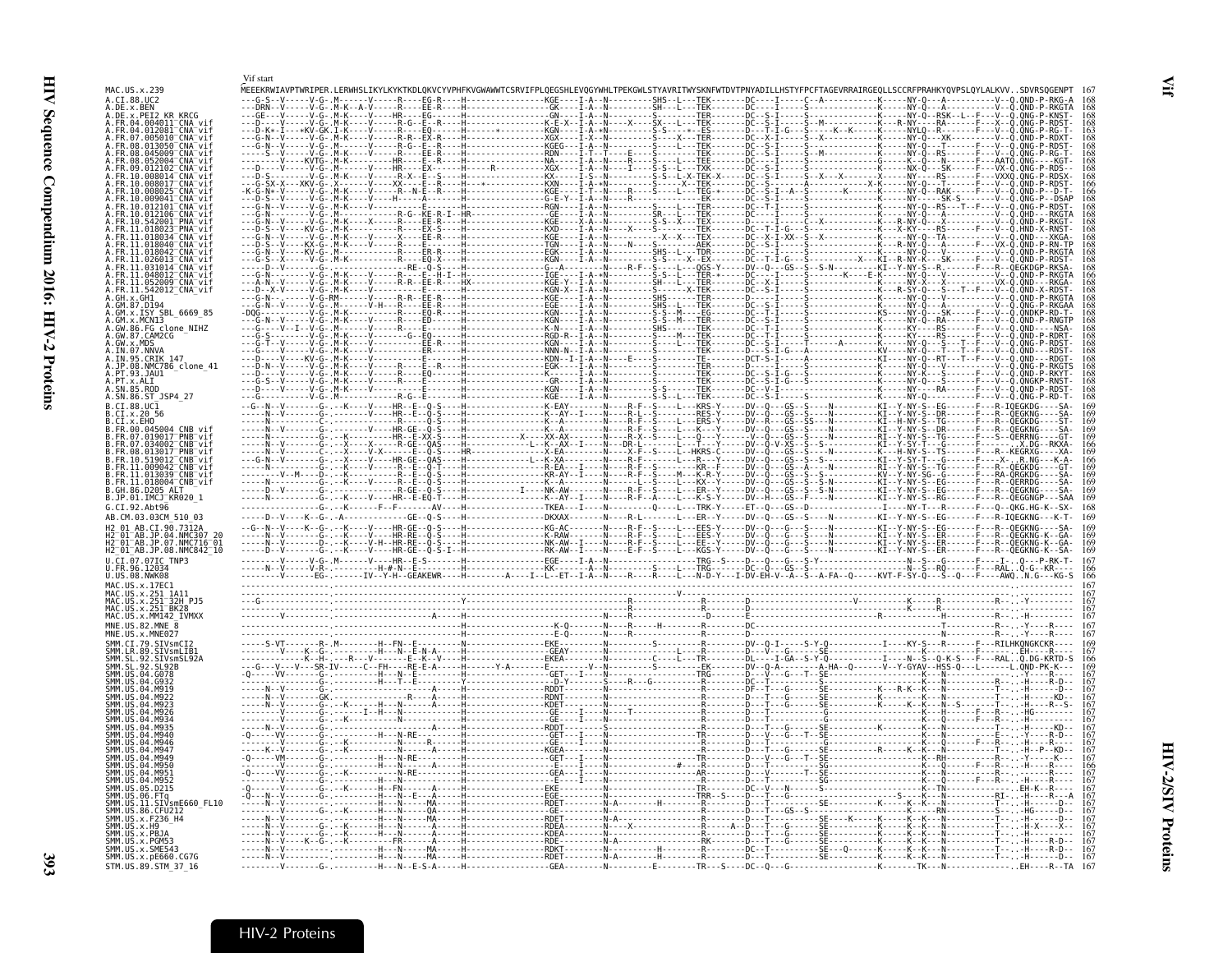|                                                                                                                                                       | Vif start            |                                                                                                                                                                         |        |                                  |                                      |                          |
|-------------------------------------------------------------------------------------------------------------------------------------------------------|----------------------|-------------------------------------------------------------------------------------------------------------------------------------------------------------------------|--------|----------------------------------|--------------------------------------|--------------------------|
| MAC.US.x.239<br>A.CI.88.UC2                                                                                                                           |                      | MEEEKRWIAVPTWRIPER.LERWHSLIKYLKYKTKDLQKVCYVPHFKVGWAWWTCSRVIFPLQEGSHLEVQGYWHLTPEKGWLSTYAVRITWYSKNFWTDVTPNYADILLHSTYFPCFTAGEVRRAIRGEQLLSCCRFPRAHKYQVPSLQYLALKVVSDVRSQGENI |        | -------SHS--L---TEK-------DC---- |                                      |                          |
| A.DE.x.BEN<br>A.DE.x.PET2                                                                                                                             |                      |                                                                                                                                                                         |        |                                  |                                      |                          |
| A.FR.04.004011 CNA vif<br>CNA vii<br>A.FR.04.012081                                                                                                   | $-V - - - - V - G -$ |                                                                                                                                                                         |        |                                  |                                      |                          |
| .FR.08.013050 <sup>-</sup> CNA <sup>-</sup> vi1                                                                                                       |                      |                                                                                                                                                                         |        |                                  |                                      |                          |
| .08.045009 CNA vi<br>FR 08 052004 <sup>-</sup> CNA <sup>-</sup> vi                                                                                    |                      |                                                                                                                                                                         |        |                                  |                                      |                          |
| 09.012102 CNA vi                                                                                                                                      |                      |                                                                                                                                                                         |        |                                  |                                      |                          |
|                                                                                                                                                       |                      |                                                                                                                                                                         |        |                                  |                                      |                          |
| AA9A41 CNA vi                                                                                                                                         |                      |                                                                                                                                                                         |        |                                  |                                      |                          |
|                                                                                                                                                       |                      |                                                                                                                                                                         |        |                                  |                                      |                          |
| $018034$ <sup>-</sup> CNA <sup>-</sup> v                                                                                                              |                      |                                                                                                                                                                         |        |                                  |                                      |                          |
| 11.018040 CNA vi                                                                                                                                      |                      |                                                                                                                                                                         |        |                                  |                                      |                          |
| FR.11.018042 CNA vi<br>11.026013 CNA vi                                                                                                               |                      |                                                                                                                                                                         |        |                                  |                                      |                          |
| FR.11.048012 <sup>-</sup> CNA <sup>-</sup> vi                                                                                                         |                      |                                                                                                                                                                         |        |                                  |                                      |                          |
| FR.11.052009 <sup>-</sup> CNA <sup>-</sup> vi<br>.FR.11.542012_CNA_vif<br>.GH.x.GH1                                                                   |                      |                                                                                                                                                                         |        |                                  |                                      |                          |
|                                                                                                                                                       |                      |                                                                                                                                                                         |        |                                  |                                      |                          |
| A.GM.x.MCN13                                                                                                                                          |                      |                                                                                                                                                                         |        |                                  |                                      |                          |
| .GW.86.FG_clone_NIHZ<br>.GW.87.CAM2CG<br>$GW \times MDS$                                                                                              |                      |                                                                                                                                                                         |        |                                  |                                      |                          |
| A.IN.07.NNVA<br>A.IN.95.CRIK 147                                                                                                                      |                      |                                                                                                                                                                         |        |                                  |                                      | $\ddot{O}ND -$           |
| 08.NMC786_clone_41                                                                                                                                    |                      |                                                                                                                                                                         |        |                                  |                                      |                          |
| PT.93.JAU1<br>A.PT.x.ALI                                                                                                                              |                      |                                                                                                                                                                         |        |                                  |                                      | ONGKP-RNST-              |
| A.SN.85.ROD<br>A.SN.86.ST_JSP4_27                                                                                                                     |                      |                                                                                                                                                                         |        |                                  |                                      |                          |
| $B.CI.88.UC\bar{1}$<br>.CI.x.20 56                                                                                                                    |                      |                                                                                                                                                                         |        |                                  |                                      |                          |
| CT.x.EHO<br>FR 00 045004<br>CNR vi                                                                                                                    |                      |                                                                                                                                                                         |        |                                  |                                      |                          |
| .FR.07.019017 PNB vif<br>FR.07.034002 CNB vif                                                                                                         |                      |                                                                                                                                                                         |        |                                  |                                      | $-GT$<br>$X.DG - RKXA -$ |
| 08.013017 PNB vit<br>R.10.519012 <sup>-</sup> CNB <sup>-</sup> vif                                                                                    |                      |                                                                                                                                                                         |        |                                  |                                      |                          |
| .FR.11.009042 <sup>-</sup> CNB <sup>-</sup> vif<br>.FR.11.013039 <sup>-</sup> CNB <sup>-</sup> vif<br>.FR.11.018004 <sup>-</sup> CNB <sup>-</sup> vif |                      |                                                                                                                                                                         |        |                                  |                                      |                          |
| B.GH.86.D205 ALT                                                                                                                                      |                      |                                                                                                                                                                         |        |                                  |                                      |                          |
| B.JP.01.IMCJ_KR020 1<br>G.CI.92.Abt96                                                                                                                 |                      |                                                                                                                                                                         |        |                                  |                                      |                          |
| AB.CM.03.03CM 510<br>H2 01 AB.CI.90.7312A                                                                                                             |                      |                                                                                                                                                                         |        |                                  |                                      |                          |
| 2 01 AB.JP.04.NMC307<br>H2 01 AB.JP.07.NMC716 01                                                                                                      |                      |                                                                                                                                                                         |        |                                  |                                      |                          |
| H2 <sup>-</sup> 01 <sup>-</sup> AB.JP.08.NMC842 <sup>-</sup> 10<br>U.CI.07.07IC TNP3                                                                  |                      |                                                                                                                                                                         |        |                                  |                                      |                          |
| U.FR.96.12034                                                                                                                                         |                      |                                                                                                                                                                         |        |                                  |                                      |                          |
| U.US.08.NWK08<br>MAC.US.x.17EC1                                                                                                                       |                      |                                                                                                                                                                         |        |                                  |                                      |                          |
| MAC.US.x.251 1A11<br>MAC.US.x.251-32H PJ5<br>MAC.US.x.251-BK28                                                                                        |                      |                                                                                                                                                                         |        |                                  |                                      |                          |
| MAC.US.x.MM142 IVMXX                                                                                                                                  |                      |                                                                                                                                                                         |        |                                  |                                      |                          |
| MNE.US.82.MNE 8<br>MNE.US.x.MNE027                                                                                                                    |                      |                                                                                                                                                                         |        |                                  |                                      |                          |
| SMM.CI.79.SIVsmCI2<br>SMM.LR.89.SIVsmLIB1<br>SMM.SL.92.SIVsmSL92A                                                                                     |                      |                                                                                                                                                                         |        |                                  |                                      |                          |
| $9\overline{2}$<br>SL92B                                                                                                                              |                      |                                                                                                                                                                         |        |                                  |                                      |                          |
| . GO78<br>SMM.US<br>04                                                                                                                                |                      |                                                                                                                                                                         |        |                                  |                                      |                          |
|                                                                                                                                                       |                      |                                                                                                                                                                         |        |                                  |                                      |                          |
|                                                                                                                                                       |                      |                                                                                                                                                                         |        |                                  |                                      |                          |
|                                                                                                                                                       |                      |                                                                                                                                                                         |        |                                  |                                      |                          |
|                                                                                                                                                       |                      |                                                                                                                                                                         |        |                                  |                                      |                          |
|                                                                                                                                                       |                      |                                                                                                                                                                         |        |                                  |                                      |                          |
| SMM LIK<br>M951                                                                                                                                       |                      |                                                                                                                                                                         |        |                                  |                                      |                          |
| MQ53<br>D215                                                                                                                                          |                      |                                                                                                                                                                         |        |                                  |                                      |                          |
| FTa<br>.ŬŠ.ĬĬ.SIVsmE660 FL10                                                                                                                          |                      |                                                                                                                                                                         |        |                                  |                                      |                          |
| SMM.US.86.CFU212<br>SMM.US.x.F236_H4                                                                                                                  |                      |                                                                                                                                                                         |        |                                  |                                      |                          |
| SMM.US.x.H9<br>MM.US.x.PBJA                                                                                                                           |                      |                                                                                                                                                                         |        |                                  |                                      |                          |
| MM.US.x.PGM53<br>SMM.US.x.SME543                                                                                                                      |                      |                                                                                                                                                                         |        |                                  |                                      |                          |
| SMM. US. x. pE660. CG7G<br>STM.US.89.STM 37 16                                                                                                        |                      | ----MA-----H----------------RDET-<br>-H---N--E-S-A-----H-------                                                                                                         | . GEA- |                                  | $F$ --------TR---S----DC--0---G----- |                          |

## <span id="page-18-0"></span>HIV-2 Proteins

<span id="page-18-1"></span> $\mathbf{H}$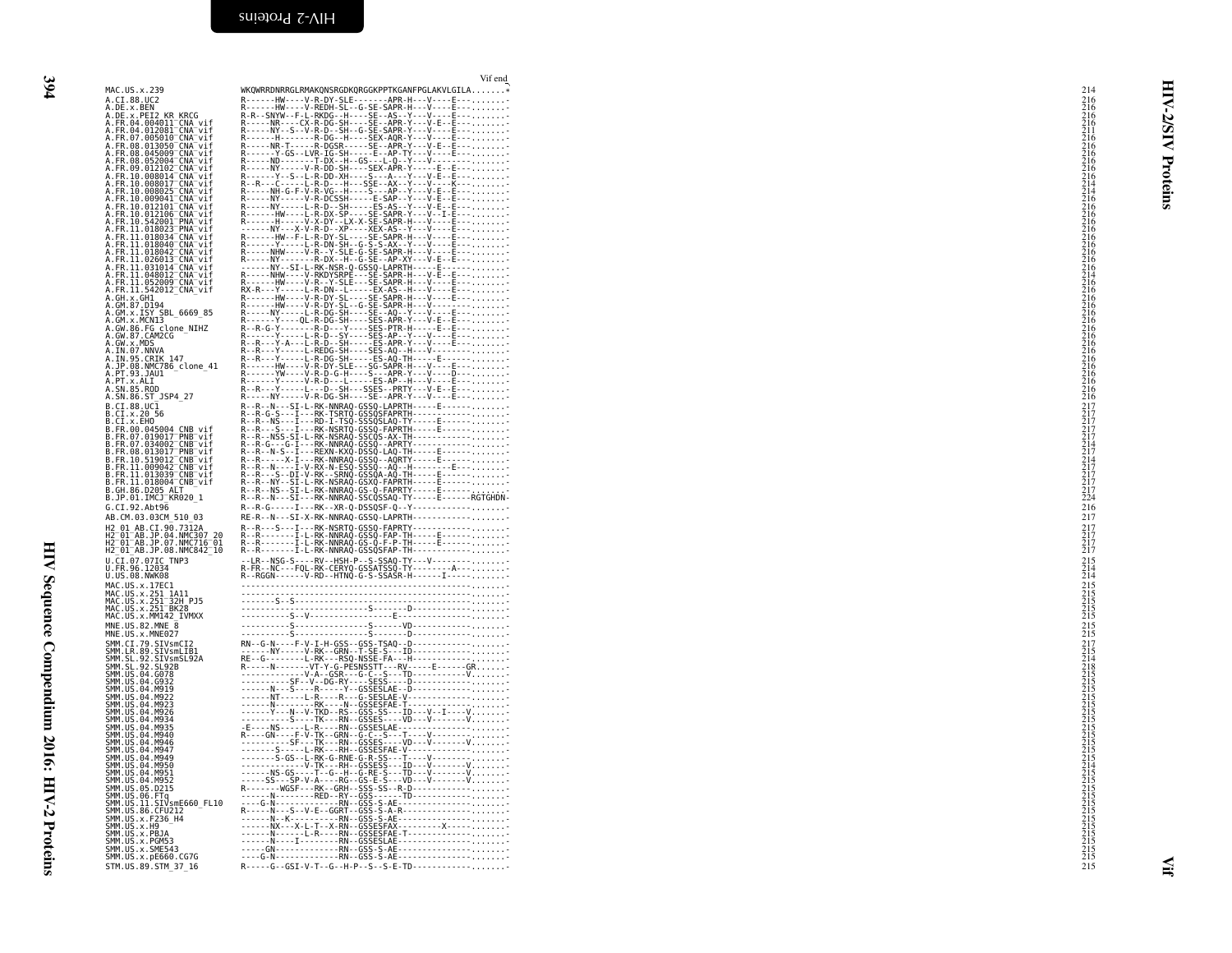<span id="page-19-0"></span>

|                                                                                                                                                                                                                                        | Vif end                                          |                                                                                                                          |
|----------------------------------------------------------------------------------------------------------------------------------------------------------------------------------------------------------------------------------------|--------------------------------------------------|--------------------------------------------------------------------------------------------------------------------------|
| MAC.US.x.239                                                                                                                                                                                                                           | WKQWRRDNRRGLRMAKQNSRGDKQRGGKPPTKGANFPGLAKVLGILA* | 214                                                                                                                      |
| A.CI.88.UC2<br>A.CI.88.UC2<br>A.DE.x.BEN<br>A.FR.04.004011_CNA_vif                                                                                                                                                                     |                                                  |                                                                                                                          |
|                                                                                                                                                                                                                                        |                                                  |                                                                                                                          |
|                                                                                                                                                                                                                                        |                                                  |                                                                                                                          |
|                                                                                                                                                                                                                                        |                                                  |                                                                                                                          |
| A.:R.04.012081 CNA-vif<br>A.FR.04.012081 CNA-vif<br>A.FR.08.013050 CNA-vif<br>A.FR.08.013050 CNA-vif                                                                                                                                   |                                                  | <b>Z/SIV</b>                                                                                                             |
| A.FR.08.052004 CNA vif                                                                                                                                                                                                                 |                                                  |                                                                                                                          |
| A.FR.09.012102 <sup>-</sup> CNA <sup>-</sup> vif                                                                                                                                                                                       |                                                  |                                                                                                                          |
|                                                                                                                                                                                                                                        |                                                  |                                                                                                                          |
|                                                                                                                                                                                                                                        |                                                  |                                                                                                                          |
| A.FR.10.008014-CNA-vif<br>A.FR.10.008014-CNA-vif<br>A.FR.10.008025-CNA-vif<br>A.FR.10.009041-CNA-vif                                                                                                                                   |                                                  | Proteins                                                                                                                 |
| A.FR.10.012101 CNA vit                                                                                                                                                                                                                 |                                                  |                                                                                                                          |
| A.FR.10.012106 <sup>-</sup> CNA <sup>-</sup> vif<br>A.FR.10.912100 CMA Vir<br>A.FR.10.542001 PNA vir<br>A.FR.11.018023 PNA vir<br>A.FR.11.018040 CNA vir<br>A.FR.11.018040 CNA vir<br>A.FR.11.018042 CNA vir<br>A.FR.11.026013 CNA vir |                                                  |                                                                                                                          |
|                                                                                                                                                                                                                                        |                                                  |                                                                                                                          |
|                                                                                                                                                                                                                                        |                                                  |                                                                                                                          |
|                                                                                                                                                                                                                                        |                                                  |                                                                                                                          |
|                                                                                                                                                                                                                                        |                                                  |                                                                                                                          |
| A.FR.11.031014-CNA-vif<br>A.FR.11.031014-CNA-vif<br>A.FR.11.052009-CNA-vif<br>A.FR.11.542012-CNA-vif<br>A.FR.11.542012-CNA-vif                                                                                                         |                                                  |                                                                                                                          |
|                                                                                                                                                                                                                                        |                                                  |                                                                                                                          |
| A.GH.x.GH1                                                                                                                                                                                                                             |                                                  |                                                                                                                          |
| A.GM.87.D194                                                                                                                                                                                                                           |                                                  |                                                                                                                          |
| .GM.X.ISY_SBL_6669_85                                                                                                                                                                                                                  |                                                  |                                                                                                                          |
|                                                                                                                                                                                                                                        |                                                  |                                                                                                                          |
|                                                                                                                                                                                                                                        |                                                  |                                                                                                                          |
| A.GW.x.MDS<br>A.IN.07.NNVA                                                                                                                                                                                                             |                                                  |                                                                                                                          |
| A.IN.95.CRIK 147<br>A.J <u>P</u> .08.NMC786_clone_41                                                                                                                                                                                   |                                                  |                                                                                                                          |
| .PT.93.JAU1                                                                                                                                                                                                                            |                                                  | 216<br>216<br>216<br>216<br>216<br>216<br>216<br>216                                                                     |
| A.PT.x.ALI                                                                                                                                                                                                                             |                                                  |                                                                                                                          |
|                                                                                                                                                                                                                                        |                                                  |                                                                                                                          |
| $B.CI.88.UC\bar{1}$                                                                                                                                                                                                                    |                                                  |                                                                                                                          |
| B.CI.x.20 56<br>B.CI.x.EHO                                                                                                                                                                                                             |                                                  |                                                                                                                          |
|                                                                                                                                                                                                                                        |                                                  | 217<br>217<br>2177<br>214<br>217<br>217<br>217<br>217<br>217<br>217<br>212<br>224                                        |
|                                                                                                                                                                                                                                        |                                                  |                                                                                                                          |
| B.Ct.^^:HOO.045004 CNB_vif<br>B.FR.07.019017 PNB vif<br>B.FR.07.034002 CNB vif<br>B.FR.08.013017 PNB vif                                                                                                                               |                                                  |                                                                                                                          |
| .FR.10.519012 <sup>-</sup> CNB <sup>-</sup> vif                                                                                                                                                                                        |                                                  |                                                                                                                          |
| B.FR.11.009042_CNB_vif<br>B.FR.11.009042_CNB_vif<br>B.FR.11.013039_CNB_vif<br>B.GH.86.D205_ALT____                                                                                                                                     |                                                  |                                                                                                                          |
|                                                                                                                                                                                                                                        |                                                  |                                                                                                                          |
|                                                                                                                                                                                                                                        |                                                  |                                                                                                                          |
| B.JP.01.IMCJ <sup>-</sup> KR020 1                                                                                                                                                                                                      |                                                  |                                                                                                                          |
| G.CI.92.Abt96                                                                                                                                                                                                                          | R--R-G-----I---RK--XR-Q-DSSQSF-Q--Y------------- | 216                                                                                                                      |
| AB.CM.03.03CM 510 03                                                                                                                                                                                                                   | RE-R--N---SI-X-RK-NNRAQ-GSSQ-LAPRTH------------  | 217                                                                                                                      |
|                                                                                                                                                                                                                                        |                                                  |                                                                                                                          |
| н2 01 AB.CI.90.7312A<br>H2 01 AB.CI.90.7312A<br>H2 01 AB.JP.04.NMC307 20<br>H2 01 AB.JP.07.NMC716 01<br>H2 01 AB.JP.08.NMC842 10                                                                                                       |                                                  | $\frac{217}{217}$<br>$\frac{217}{217}$                                                                                   |
|                                                                                                                                                                                                                                        |                                                  |                                                                                                                          |
| U.CI.07.07IC TNP3<br>U.FR.96.12034                                                                                                                                                                                                     |                                                  | $\frac{215}{214}$                                                                                                        |
| U.US.08.NWK08                                                                                                                                                                                                                          |                                                  |                                                                                                                          |
|                                                                                                                                                                                                                                        |                                                  |                                                                                                                          |
| MAC.US.x.17EC1<br>MAC.US.x.251_1A11<br>MAC.US.x.251_32H_PJ5                                                                                                                                                                            |                                                  | 215<br>215<br>215<br>215<br>215<br>215                                                                                   |
| MAC.US.x.251 <sup>-</sup> BK28                                                                                                                                                                                                         |                                                  |                                                                                                                          |
| MAC.US.x.MM142 IVMXX                                                                                                                                                                                                                   |                                                  |                                                                                                                          |
| MNE.US.82.MNE_8<br>MNE.US.x.MNE027                                                                                                                                                                                                     |                                                  | $^{215}_{215}$                                                                                                           |
| SMM.CI.79.SIVsmCI2                                                                                                                                                                                                                     |                                                  |                                                                                                                          |
| SMM. LR. 89. SIVSML181<br>SMM. SL. 92. SIVSML181<br>SMM. SL. 92. SIVSMSL92A<br>SMM. US. 04. G078                                                                                                                                       |                                                  |                                                                                                                          |
|                                                                                                                                                                                                                                        |                                                  |                                                                                                                          |
|                                                                                                                                                                                                                                        |                                                  |                                                                                                                          |
| SMM.US.04.G932<br>SMM.US.04.M919                                                                                                                                                                                                       |                                                  |                                                                                                                          |
| SMM.US.04.M922                                                                                                                                                                                                                         |                                                  |                                                                                                                          |
| SMM. US. 04. M923<br>SMM. US. 04. M923<br>SMM. US. 04. M934<br>SMM. US. 04. M935                                                                                                                                                       |                                                  |                                                                                                                          |
|                                                                                                                                                                                                                                        |                                                  |                                                                                                                          |
|                                                                                                                                                                                                                                        |                                                  |                                                                                                                          |
| SMM.US.04.M940<br>SMM.US.04.M946                                                                                                                                                                                                       |                                                  |                                                                                                                          |
| SMM.US.04.M947                                                                                                                                                                                                                         |                                                  |                                                                                                                          |
| SMM.US.04.M949<br>SMM.US.04.M950<br>SMM.US.04.M951                                                                                                                                                                                     |                                                  |                                                                                                                          |
|                                                                                                                                                                                                                                        |                                                  |                                                                                                                          |
| SMM.US.04.M952<br>SMM.US.05.D215                                                                                                                                                                                                       |                                                  |                                                                                                                          |
|                                                                                                                                                                                                                                        |                                                  |                                                                                                                          |
|                                                                                                                                                                                                                                        |                                                  |                                                                                                                          |
|                                                                                                                                                                                                                                        |                                                  |                                                                                                                          |
| SMM: U3:06.FT4<br>SMM.US.06.FT4<br>SMM.US.11.SIVsmE660_FL10<br>SMM.US.x.F236_H4<br>SMM.US.x.F236_H4<br>SMM.US.x.H9<br>SMM.US.x.BR14                                                                                                    |                                                  |                                                                                                                          |
|                                                                                                                                                                                                                                        |                                                  |                                                                                                                          |
| 3:11:1.03.x.113<br>SMM.US.x.PBJA<br>SMM.US.x.PGM53<br>SMM.US.x.SME543<br>SMM.US.x.pE660.CG7G                                                                                                                                           |                                                  | 217<br>2123<br>212215<br>212215<br>212215<br>212215<br>212215<br>212215<br>212215<br>21232215<br>21235<br>21235<br>21235 |
|                                                                                                                                                                                                                                        |                                                  |                                                                                                                          |
| STM.US.89.STM 37 16                                                                                                                                                                                                                    | R-----G--GSI-V-T--G--H-P--S--S-E-TD------------  | 215                                                                                                                      |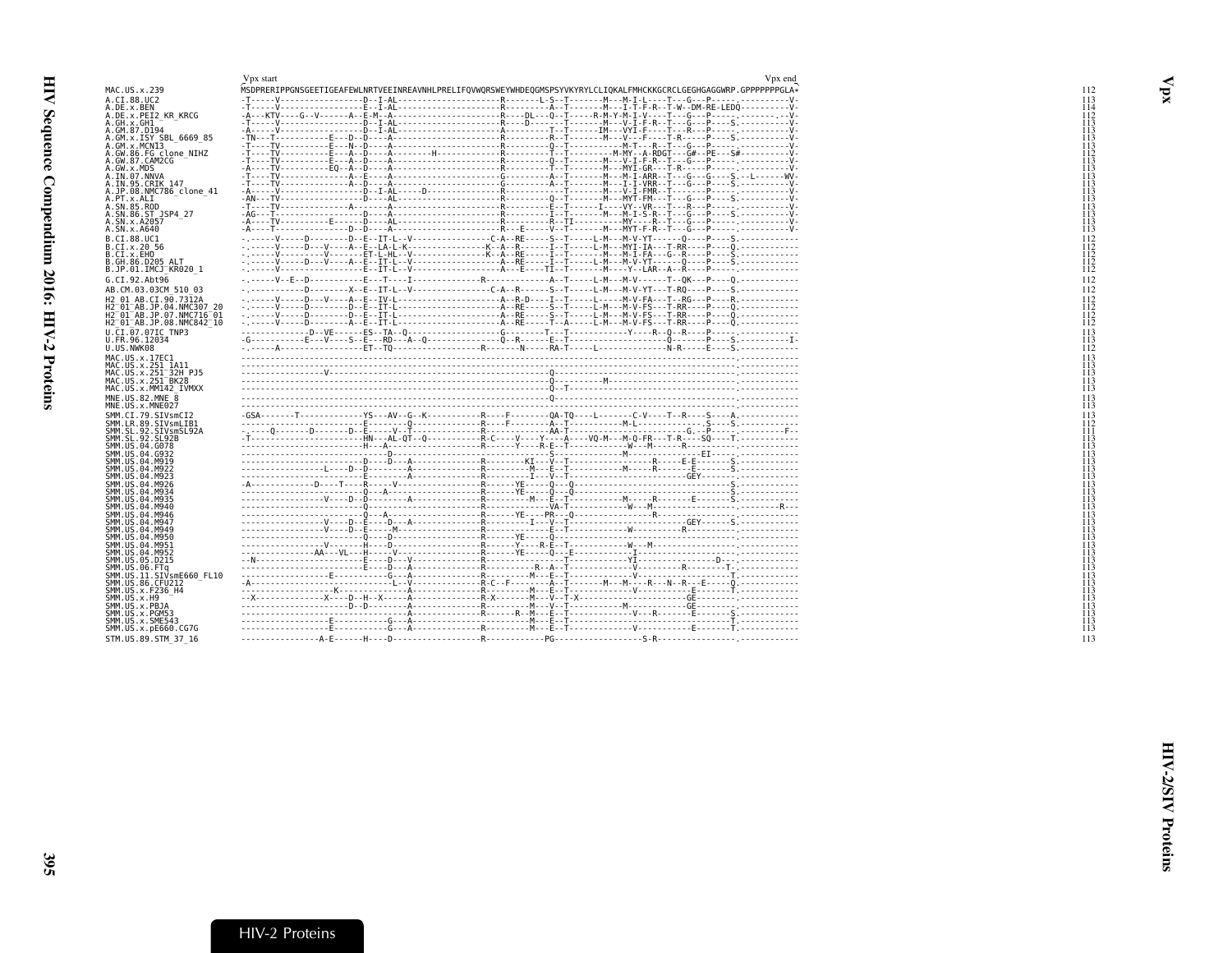<span id="page-20-1"></span><span id="page-20-0"></span>

|                                                                 | Vpx start | Vpx end                                                                                                                                                                                   |
|-----------------------------------------------------------------|-----------|-------------------------------------------------------------------------------------------------------------------------------------------------------------------------------------------|
| MAC.US.x.239                                                    |           | MSDPRERIPPGNSGEETIGEAFEWLNRTVEEINREAVNHLPRELIFQVWQRSWEYWHDEQGMSPSYVKYRYLCLIQKALFMHCKKGCRCLGEGHGAGGWRP.GPPPPPPPGLA*                                                                        |
| A.CI.88.UC2                                                     |           |                                                                                                                                                                                           |
| A.DE.x.BEN                                                      |           |                                                                                                                                                                                           |
| A.DE.x.PEI2 KR KRCG                                             |           |                                                                                                                                                                                           |
| A.GH.x.GH1<br>A.GM.87.D194                                      |           |                                                                                                                                                                                           |
| A.GM.x.ISY SBL 6669 85                                          |           |                                                                                                                                                                                           |
| A.GM.x.MCNI3                                                    |           |                                                                                                                                                                                           |
| A.GW.86.FG_clone_NIHZ                                           |           |                                                                                                                                                                                           |
| A.GW.87.CAM2CG                                                  |           |                                                                                                                                                                                           |
| A.GW.x.MDS                                                      |           |                                                                                                                                                                                           |
| A.IN.07.NNVA<br>A.IN.95.CRIK 147                                |           |                                                                                                                                                                                           |
| A.JP.08.NMC786 clone 41                                         |           |                                                                                                                                                                                           |
| A.PT.x.ALI                                                      |           |                                                                                                                                                                                           |
| A.SN.85.ROD                                                     |           |                                                                                                                                                                                           |
| A.SN.86.ST JSP4 27                                              |           |                                                                                                                                                                                           |
| A.SN.x.A2057<br>A.SN.x.A640                                     |           |                                                                                                                                                                                           |
| B.CI.88.UC1                                                     |           |                                                                                                                                                                                           |
| B.CI.x.20 56                                                    |           |                                                                                                                                                                                           |
| B.CI.x.EHO                                                      |           |                                                                                                                                                                                           |
| B.GH.86.D205 ALT                                                |           |                                                                                                                                                                                           |
| B.JP.01.IMCJ <sup>-</sup> KR020 1                               |           |                                                                                                                                                                                           |
| G.CI.92.Abt96                                                   |           |                                                                                                                                                                                           |
| AB.CM.03.03CM 510 03                                            |           |                                                                                                                                                                                           |
| H2 01 AB.CI.90.7312A                                            |           | - . - - - - V - - - - D - - V - - - A - E - IV - L - - - - - - - - - - - - - - - - A - R - D - - - I - T - - - - - - - - - N - V - FA - - - T - - R G - - P - - - R . - - - - - - - - - - |
| H2 <sup>-01-</sup> AB.JP.04.NMC307 20                           |           |                                                                                                                                                                                           |
| H2 <sup>-</sup> 01 <sup>-</sup> AB.JP.07.NMC716 <sup>-</sup> 01 |           |                                                                                                                                                                                           |
| H2 <sup>-</sup> 01 <sup>-</sup> AB.JP.08.NMC842 <sup>-</sup> 10 |           |                                                                                                                                                                                           |
| U.CI.07.07IC TNP3                                               |           |                                                                                                                                                                                           |
| U.FR.96.12034<br>U.US.NWK08                                     |           |                                                                                                                                                                                           |
|                                                                 |           |                                                                                                                                                                                           |
| MAC.US.x.17EC1<br>MAC.US.x.251 1A11                             |           |                                                                                                                                                                                           |
| MAC.US.x.251 <sup>-</sup> 32H PJ5                               |           |                                                                                                                                                                                           |
| MAC.US.x.251 <sup>-</sup> BK28                                  |           |                                                                                                                                                                                           |
| MAC.US.x.MM142 IVMXX                                            |           |                                                                                                                                                                                           |
| MNE.US.82.MNE 8                                                 |           |                                                                                                                                                                                           |
| MNE.US.x.MNE027                                                 |           |                                                                                                                                                                                           |
| SMM.CI.79.SIVsmCI2                                              |           |                                                                                                                                                                                           |
| SMM.LR.89.SIVsmLIB1                                             |           |                                                                                                                                                                                           |
| SMM.SL.92.SIVsmSL92A<br>SMM. SL. 92. SL92B                      |           |                                                                                                                                                                                           |
| SMM.US.04.G078                                                  |           |                                                                                                                                                                                           |
| SMM.US.04.G932                                                  |           |                                                                                                                                                                                           |
| SMM.US.04.M919                                                  |           |                                                                                                                                                                                           |
| SMM.US.04.M922<br>SMM.US.04.M923                                |           |                                                                                                                                                                                           |
| SMM.US.04.M926                                                  |           |                                                                                                                                                                                           |
| SMM.US.04.M934                                                  |           |                                                                                                                                                                                           |
| SMM.US.04.M935                                                  |           |                                                                                                                                                                                           |
| SMM.US.04.M940                                                  |           |                                                                                                                                                                                           |
| SMM.US.04.M946<br>SMM.US.04.M947                                |           |                                                                                                                                                                                           |
| SMM.US.04.M949                                                  |           |                                                                                                                                                                                           |
| SMM.US.04.M950                                                  |           |                                                                                                                                                                                           |
| SMM.US.04.M951                                                  |           |                                                                                                                                                                                           |
| SMM.US.04.M952                                                  |           |                                                                                                                                                                                           |
| SMM.US.05.D215<br>SMM.US.06.FTa                                 |           |                                                                                                                                                                                           |
| SMM.US.11.SIVsmE660 FL10                                        |           |                                                                                                                                                                                           |
| SMM.US.86.CFU212                                                |           |                                                                                                                                                                                           |
| SMM.US.x.F236 H4                                                |           |                                                                                                                                                                                           |
| SMM.US.x.H9                                                     |           |                                                                                                                                                                                           |
|                                                                 |           |                                                                                                                                                                                           |
| SMM.US.x.PBJA                                                   |           |                                                                                                                                                                                           |
| SMM.US.x.PGM53                                                  |           |                                                                                                                                                                                           |
| SMM.US.x.SME543<br>SMM.US.x.pE660.CG7G                          |           |                                                                                                                                                                                           |
| STM.US.89.STM 37 16                                             |           |                                                                                                                                                                                           |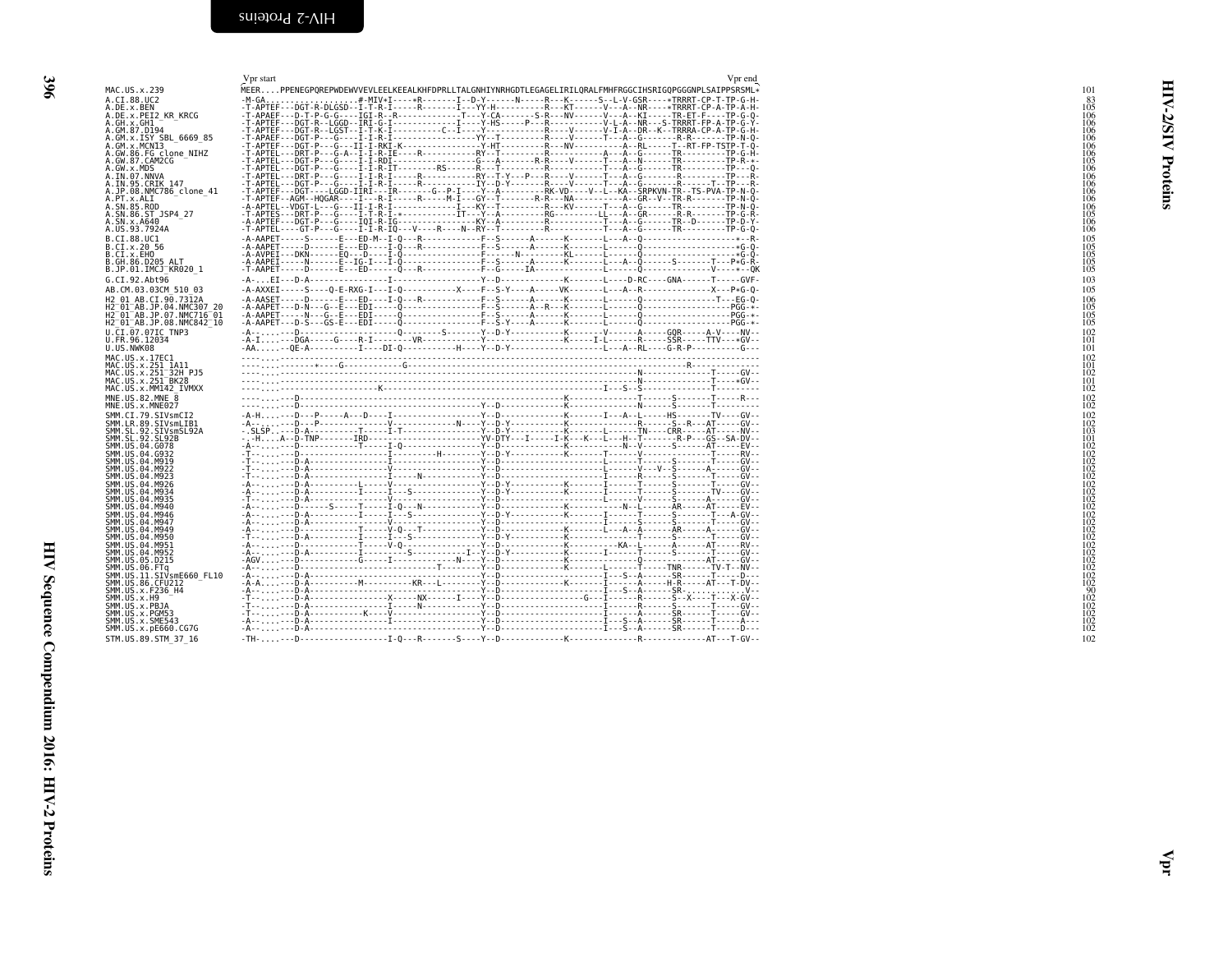<span id="page-21-1"></span><span id="page-21-0"></span>

| MAC.US.x.239                                                                                                                                                                                                                                              | Vpr start<br>Vpr end<br>MEERPPENEGPQREPWDEWVVEVLEELKEEALKHFDPRLLTALGNHIYNRHGDTLEGAGELIRILQRALFMHFRGGCIHSRIGQPGGGNPLSAIPPSRSML*                                                                                                                                                                                                                                                                                                                  | 101                                                                   |
|-----------------------------------------------------------------------------------------------------------------------------------------------------------------------------------------------------------------------------------------------------------|-------------------------------------------------------------------------------------------------------------------------------------------------------------------------------------------------------------------------------------------------------------------------------------------------------------------------------------------------------------------------------------------------------------------------------------------------|-----------------------------------------------------------------------|
| A.CI.88.UC2<br>A.DE.x.BEN<br>A.DE.X.PEI2 KR KRCG                                                                                                                                                                                                          | . #-MIV*I----*R-------I--D-Y------N----R---K-----S--L-V-GSR----*TRRRT-CP-T-TP-G-H-<br>$-M-GA$                                                                                                                                                                                                                                                                                                                                                   |                                                                       |
| A.GH.X.GH1 <sup>-</sup><br>A.GM.87.D194<br>A.GM.x.ISY SBL_6669_85<br>A.GM.x.MCNI3<br>A.GW.86.FG_clone_NIHZ<br>A.GW.87.CAM2CG                                                                                                                              |                                                                                                                                                                                                                                                                                                                                                                                                                                                 | ত                                                                     |
| A.GW.x.MDS<br>A.IN.07.NNVA                                                                                                                                                                                                                                |                                                                                                                                                                                                                                                                                                                                                                                                                                                 | Proteins                                                              |
| A.IN.95.CRIK 147<br>A.JP.08.NMC786_clone_41<br>A. PT. X. ALT<br>A. SN. 85. ROD                                                                                                                                                                            |                                                                                                                                                                                                                                                                                                                                                                                                                                                 | 106<br>106<br>106<br>106<br>105<br>106<br>106                         |
| A.SN.86.ST JSP4 27<br>A.SN.x.A640<br>A.US.93.7924A<br>B.CI.88.UC1                                                                                                                                                                                         |                                                                                                                                                                                                                                                                                                                                                                                                                                                 |                                                                       |
| B.CI.X.20 56<br>B.CI.X.EHO<br>B.GH.86.D205 ALT<br>B.JP.01.IMCJ KR020 1                                                                                                                                                                                    |                                                                                                                                                                                                                                                                                                                                                                                                                                                 | $\begin{array}{c} 105 \\ 105 \\ 105 \\ 105 \\ 105 \\ 105 \end{array}$ |
| G.CI.92.Abt96<br>AB.CM.03.03CM 510 03                                                                                                                                                                                                                     | $- A -  EI - - D - A -  - I -  - I$<br>-A-AXXEI-----S----Q-E-RXG-I---I-Q------------X----F--S-Y----A-----VK-------L---A--R----------------X---P*G-Q-                                                                                                                                                                                                                                                                                            | 103<br>105<br>106                                                     |
| H2_01_AB.CI.90.7312A<br>H2_01_AB.JP.04.NMC307_20<br>H2_01_AB.JP.07.NMC716_01<br>H2 <sup>-01-AB.JP.08.NMC842<sup>-10</sup></sup>                                                                                                                           | $\begin{minipage}[t]{.05\textwidth} {\scriptsize \textbf{-AA}} & \textbf{AA1} & \textbf{AA2} & \textbf{AA3} & \textbf{AA4} & \textbf{AA4} & \textbf{AA5} & \textbf{AA6} & \textbf{AA6} & \textbf{AA6} & \textbf{AA7} & \textbf{AA8} & \textbf{AA8} & \textbf{AA8} & \textbf{AA9} & \textbf{AA7} & \textbf{AA8} & \textbf{AA8} & \textbf{AA9} & \textbf{AA7} & \textbf{AA8} & \textbf{AA8} & \textbf{AA9} & \textbf{AA7} & \textbf{AA8} & \text$ | $\frac{105}{105}$                                                     |
| U.CI.07.07IC TNP3<br>U.FR.96.12034<br>U.US.NWK08                                                                                                                                                                                                          |                                                                                                                                                                                                                                                                                                                                                                                                                                                 | $\frac{102}{101}$<br>101                                              |
| MAC.US.x.17EC1<br>MAC.US.x.251_1A11<br>MAC.US.x.251_1A11<br>MAC.US.x.251_32H_PJ5<br>MAC.US.x.251_BK28<br>MAC.US.x.MM142_IVMXX                                                                                                                             | $\begin{picture}(1,0) \put(0,0) \put(0,0) \put(0,0) \put(0,0) \put(0,0) \put(0,0) \put(0,0) \put(0,0) \put(0,0) \put(0,0) \put(0,0) \put(0,0) \put(0,0) \put(0,0) \put(0,0) \put(0,0) \put(0,0) \put(0,0) \put(0,0) \put(0,0) \put(0,0) \put(0,0) \put(0,0) \put(0,0) \put(0,0) \put(0,0) \put(0,0) \put(0,0) \put(0,0) \put(0,0) \$                                                                                                            | 102<br>$\begin{array}{c} 101 \\ 102 \\ 101 \\ 102 \end{array}$        |
| MNE.US.82.MNE 8<br>MNE.US.x.MNE027                                                                                                                                                                                                                        |                                                                                                                                                                                                                                                                                                                                                                                                                                                 | $\frac{102}{102}$                                                     |
|                                                                                                                                                                                                                                                           |                                                                                                                                                                                                                                                                                                                                                                                                                                                 | $\frac{102}{102}$                                                     |
| MIE. US. x. MNE02/<br>SMM. LR. 39. STV. STV. STV. STV.<br>SMM. LR. 39. STV. STV. STV. STV.<br>SMM. LR. 39. STV. STV. STV. STV.<br>SMM. US. 04. G932<br>SMM. US. 04. G932<br>SMM. US. 04. M922<br>SMM. US. 04. M922<br>SMM. US. 04. M922<br>SMM. US. 04. M |                                                                                                                                                                                                                                                                                                                                                                                                                                                 |                                                                       |
| SMM. US. 04. M923<br>SMM. US. 04. M926<br>SMM. US. 04. M934<br>SMM. US. 04. M935<br>SMM. US. 04. M946<br>SMM. US. 04. M946<br>SMM. US. 04. M947                                                                                                           |                                                                                                                                                                                                                                                                                                                                                                                                                                                 |                                                                       |
|                                                                                                                                                                                                                                                           |                                                                                                                                                                                                                                                                                                                                                                                                                                                 |                                                                       |
| SMM. US .04. M947<br>SMM. US .04. M949<br>SMM. US .04. M950<br>SMM. US .04. M951<br>SMM. US .05. D215<br>SMM. US .06. FTq<br>SMM. US .06. FTq<br>SMM. US .11 . SIV.SmE660_FL10                                                                            |                                                                                                                                                                                                                                                                                                                                                                                                                                                 |                                                                       |
| SMM. US. 86. CFU212<br>SMM. US. x. F236_H4                                                                                                                                                                                                                |                                                                                                                                                                                                                                                                                                                                                                                                                                                 |                                                                       |
| SMM.US.x.H9<br>SMM.US.x.PBJA<br>SMM.US.x.PGM53                                                                                                                                                                                                            |                                                                                                                                                                                                                                                                                                                                                                                                                                                 |                                                                       |
| SMM. U.S. x. SME543<br>SMM. US. x. pE660. CG7G<br>STM.US.89.STM 37 16                                                                                                                                                                                     |                                                                                                                                                                                                                                                                                                                                                                                                                                                 | 102                                                                   |
|                                                                                                                                                                                                                                                           |                                                                                                                                                                                                                                                                                                                                                                                                                                                 |                                                                       |
|                                                                                                                                                                                                                                                           |                                                                                                                                                                                                                                                                                                                                                                                                                                                 |                                                                       |
|                                                                                                                                                                                                                                                           |                                                                                                                                                                                                                                                                                                                                                                                                                                                 |                                                                       |
|                                                                                                                                                                                                                                                           |                                                                                                                                                                                                                                                                                                                                                                                                                                                 |                                                                       |
|                                                                                                                                                                                                                                                           |                                                                                                                                                                                                                                                                                                                                                                                                                                                 |                                                                       |
|                                                                                                                                                                                                                                                           |                                                                                                                                                                                                                                                                                                                                                                                                                                                 |                                                                       |
|                                                                                                                                                                                                                                                           |                                                                                                                                                                                                                                                                                                                                                                                                                                                 |                                                                       |
|                                                                                                                                                                                                                                                           |                                                                                                                                                                                                                                                                                                                                                                                                                                                 | 5                                                                     |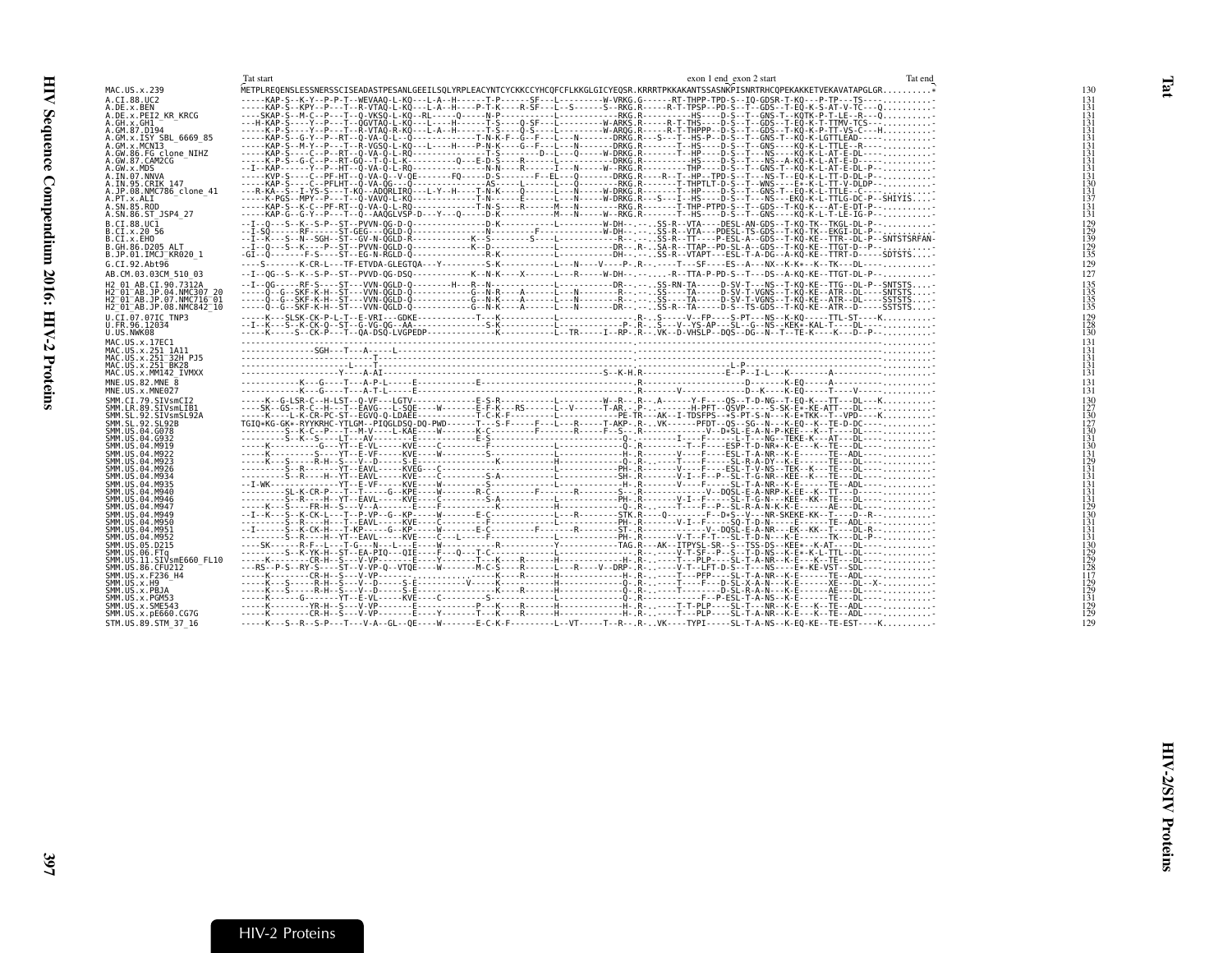<span id="page-22-1"></span><span id="page-22-0"></span>

|                                                           | Tat start                                                                                                                                                                                                                                                                       | exon 1 end exon 2 start | Tat end |                                                                        |
|-----------------------------------------------------------|---------------------------------------------------------------------------------------------------------------------------------------------------------------------------------------------------------------------------------------------------------------------------------|-------------------------|---------|------------------------------------------------------------------------|
| MAC.US.x.239                                              | WETPLREQENSLESSNERSSCISEADASTPESANLGEEILSQLYRPLEACYNTCYCKKCCYHCQFCFLKKGLGICYEQSR.KRRRTPKKAKANTSSASNKPISNRTRHCQPEKAKKETVEKAVATAPGLGR                                                                                                                                             |                         |         | 130                                                                    |
| A.CI.88.UC2                                               | PIPER PROGRAM PRODUCTION AND CONTROLL AND TRIPLE IN THE CONTROLL IN THE CONTROLL IN THE CONTROLL IN THE CONTROLL IN THE CONTROLL IN THE CONTROLL IN THE CONTROLL IN THE CONTROLL IN THE CONTROLL IN THE CONTROLL IN THE CONTRO                                                  |                         |         |                                                                        |
| A.DE.x.BEN<br>A.DE.x.PEI2 KR KRCG                         |                                                                                                                                                                                                                                                                                 |                         |         |                                                                        |
| A.GH.x.GH1                                                |                                                                                                                                                                                                                                                                                 |                         |         |                                                                        |
| A.GM.87.D194                                              |                                                                                                                                                                                                                                                                                 |                         |         |                                                                        |
| A.GM.x.ISY SBL 6669 85<br>A.GM.x.MCNI3                    |                                                                                                                                                                                                                                                                                 |                         |         |                                                                        |
| A.GW.86.FG clone NIHZ                                     |                                                                                                                                                                                                                                                                                 |                         |         |                                                                        |
| A.GW.87.CAM2CG                                            |                                                                                                                                                                                                                                                                                 |                         |         | 131<br>131<br>131<br>131<br>131<br>131<br>131<br>131<br>130<br>137<br> |
| A.GW.x.MDS<br>A.IN.07.NNVA                                |                                                                                                                                                                                                                                                                                 |                         |         |                                                                        |
| A.IN.95.CRIK 147                                          | -----KAP-S----C--PFLHT--Q-VA-QG---Q---------------AS-----L-----L---Q--------RKG.R-------T-THPTLT-D-S--T--WNS----E*-K-L-TT-V-DLDP--                                                                                                                                              |                         |         |                                                                        |
| A.JP.08.NMC786 clone 41                                   |                                                                                                                                                                                                                                                                                 |                         |         |                                                                        |
| A.PT.x.ALI<br>A.SN.85.ROD                                 | -----K-PGS--MPY--P---T--Q-VAVQ-L-KQ-------------T-N------E------L---N-----W-DRKG.R---S---I--HS----D-S--T---NS---EKQ-K-L-TTLG-DC-P--SHIYIS<br>-----KAP-S--K-C--PF-RT--Q-VA-Q-L-RQ------------T-N-S----R------M---N--------RKG.R-------T-THP-PTPD-S--T--GDS--T-KQ-K---AT-E-DT-P-- |                         |         | $\overline{131}$                                                       |
| A.SN.86.ST JSP4 27                                        | -----KAP-G--G-Y--P---T--Ô--AAÔGLVSP-D---Y---O-----D-K------------M---N-----W--RKG.R-------T--HS----D-S--T--GNS----KÔ-K-L-T-LE-IG-P--                                                                                                                                            |                         |         | 131                                                                    |
| B.CT.88.UC1                                               |                                                                                                                                                                                                                                                                                 |                         |         | $\begin{array}{c} 129 \\ 129 \\ 139 \\ 129 \\ 129 \\ 135 \end{array}$  |
| B.CI.X.20 56                                              |                                                                                                                                                                                                                                                                                 |                         |         |                                                                        |
| B.CI.X.EHO<br>B.GH.86.D205 ALT                            |                                                                                                                                                                                                                                                                                 |                         |         |                                                                        |
| B.JP.01.IMCJ KR020 1                                      |                                                                                                                                                                                                                                                                                 |                         |         |                                                                        |
| G.CI.92.Abt96                                             | ----S-------K-CR-L---TF-ETVDA-GLEGTOA---Y--------S-K----------L---N----Y----P-.R--.----T---SF----ES--A---NX--K-K*--K--TK---DL----                                                                                                                                               |                         |         | 129                                                                    |
| AB.CM.03.03CM 510 03                                      | --I--OG--S--K--S-P--ST--PVVD-OG-DSO-----------K--N-K----X-----L---R-----W-DH--.---R--TTA-P-PD-S--T---DS--A-KO-KE--TTGT-DL-P--                                                                                                                                                   |                         |         | 127                                                                    |
| H2 01 AB.CI.90.7312A                                      |                                                                                                                                                                                                                                                                                 |                         |         | $\begin{array}{c} 135 \\ 135 \\ 135 \\ 135 \\ 135 \end{array}$         |
| H2 01 AB. JP. 04. NMC307 20<br>H2-01-AB.JP.07.NMC716-01   |                                                                                                                                                                                                                                                                                 |                         |         |                                                                        |
| H2 <sup>-01-AB.JP.08.NMC842<sup>-10</sup></sup>           | -----Q--G--SKF-K-H--ST---VVN-QGLD-Q-----------G--N-K----A------L---N-------DR--.--. SS-R--TA-----D-S-TS-GDS--T-KQ-KE--ATR--D-----SSTSTS-                                                                                                                                        |                         |         |                                                                        |
| U.CI.07.07IC TNP3                                         |                                                                                                                                                                                                                                                                                 |                         |         | $\begin{array}{c} 129 \\ 128 \\ 130 \end{array}$                       |
| U.FR.96.12034<br>U.US.NWK08                               |                                                                                                                                                                                                                                                                                 |                         |         |                                                                        |
| MAC.US.x.17EC1                                            |                                                                                                                                                                                                                                                                                 |                         |         | 131                                                                    |
| MAC.US.x.251 1A11                                         |                                                                                                                                                                                                                                                                                 |                         |         | 131                                                                    |
| MAC.US.x.251 32H PJ5                                      |                                                                                                                                                                                                                                                                                 |                         |         | 131                                                                    |
| MAC. US. x. 251 <sup>-</sup> BK28<br>MAC.US.x.MM142 IVMXX |                                                                                                                                                                                                                                                                                 |                         |         | $\frac{131}{131}$                                                      |
| MNE.US.82.MNE 8                                           |                                                                                                                                                                                                                                                                                 |                         |         | $\frac{131}{131}$                                                      |
| MNE.US.x.MNE027                                           |                                                                                                                                                                                                                                                                                 |                         |         |                                                                        |
| SMM.CT.79.SIVsmCT2<br>SMM.LR.89.SIVsmLIB1                 |                                                                                                                                                                                                                                                                                 |                         |         |                                                                        |
| SMM.SL.92.SIVsmSL92A                                      |                                                                                                                                                                                                                                                                                 |                         |         |                                                                        |
| SMM.SL.92.SL92B                                           |                                                                                                                                                                                                                                                                                 |                         |         |                                                                        |
| SMM. US.04.G078<br>SMM. US.04. G932                       |                                                                                                                                                                                                                                                                                 |                         |         |                                                                        |
| SMM.US.04.M919                                            |                                                                                                                                                                                                                                                                                 |                         |         |                                                                        |
| SMM.US.04.M922<br>SMM. US. 04. M923                       |                                                                                                                                                                                                                                                                                 |                         |         |                                                                        |
| SMM.US.04.M926                                            |                                                                                                                                                                                                                                                                                 |                         |         |                                                                        |
| SMM.US.04.M934                                            |                                                                                                                                                                                                                                                                                 |                         |         |                                                                        |
| SMM. US. 04. M935<br>SMM.US.04.M940                       |                                                                                                                                                                                                                                                                                 |                         |         |                                                                        |
| SMM.US.04.M946                                            |                                                                                                                                                                                                                                                                                 |                         |         |                                                                        |
| SMM.US.04.M947                                            |                                                                                                                                                                                                                                                                                 |                         |         |                                                                        |
| SMM.US.04.M949<br>SMM.US.04.M950                          |                                                                                                                                                                                                                                                                                 |                         |         |                                                                        |
| SMM. US.04.M951                                           |                                                                                                                                                                                                                                                                                 |                         |         |                                                                        |
| SMM.US.04.M952<br>SMM.US.05.D215                          |                                                                                                                                                                                                                                                                                 |                         |         |                                                                        |
| SMM.US.06.FTq                                             |                                                                                                                                                                                                                                                                                 |                         |         |                                                                        |
| SMM.US.11.SIVsmE660 FL10                                  |                                                                                                                                                                                                                                                                                 |                         |         |                                                                        |
| SMM.US.86.CFU212<br>SMM. US. x. F236_H4                   |                                                                                                                                                                                                                                                                                 |                         |         |                                                                        |
| SMM.US.x.H9                                               |                                                                                                                                                                                                                                                                                 |                         |         |                                                                        |
| SMM.US.x.PBJA<br>SMM.US.x.PGM53                           |                                                                                                                                                                                                                                                                                 |                         |         |                                                                        |
| SMM.US.x.SME543                                           |                                                                                                                                                                                                                                                                                 |                         |         | 129<br>129<br>131<br>131<br>129<br>129                                 |
| SMM.US.x.pE660.CG7G                                       |                                                                                                                                                                                                                                                                                 |                         |         |                                                                        |
| STM.US.89.STM 37 16                                       | -----K---S--R--S-P---T---V-A--GL--OE-----W-------E-C-K-F---------L--VT-----T--R--.R-VK----TYPI-----SL-T-A-NS--K-EO-KE--TE-EST----K                                                                                                                                              |                         |         | 129                                                                    |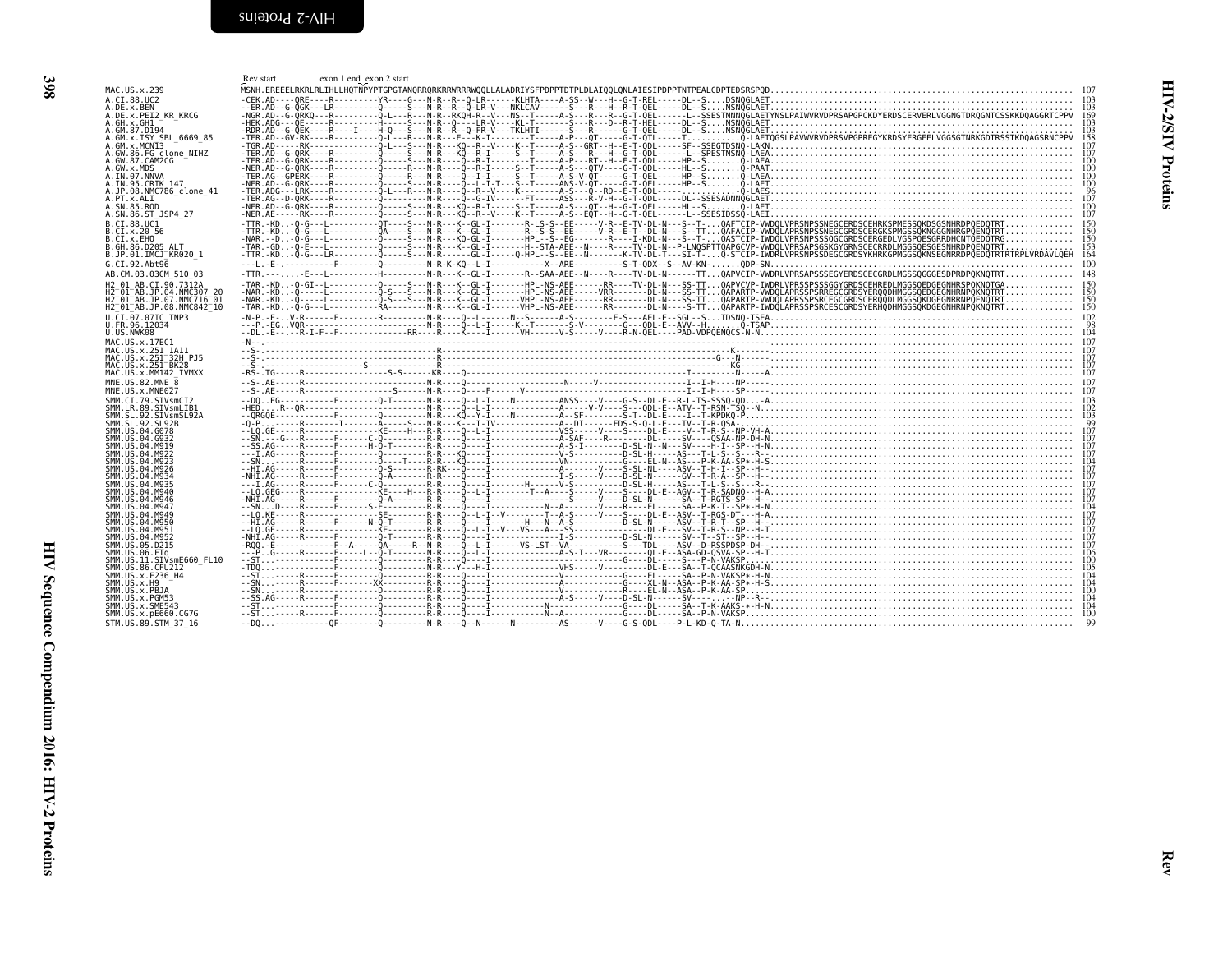<span id="page-23-1"></span><span id="page-23-0"></span>

| MAC.US.x.239<br>A.CI.88.UC2<br>A.DE.x.BEN<br>A.DE.x.PEI2 KR KRCG                                                                                      | $\begin{bmatrix} \mathbf{f}_{\mathbf{c}} \\ \mathbf{f}_{\mathbf{c}} \\ \mathbf{f}_{\mathbf{c}} \\ \mathbf{f}_{\mathbf{c}} \\ \mathbf{f}_{\mathbf{c}} \\ \mathbf{f}_{\mathbf{c}} \\ \mathbf{f}_{\mathbf{c}} \\ \mathbf{f}_{\mathbf{c}} \\ \mathbf{f}_{\mathbf{c}} \\ \mathbf{f}_{\mathbf{c}} \\ \mathbf{f}_{\mathbf{c}} \\ \mathbf{f}_{\mathbf{c}} \\ \mathbf{f}_{\mathbf{c}} \\ \mathbf{f}_{\mathbf{c}} \\ \mathbf{f}_{\mathbf{c}} \\ \mathbf{f}_{\mathbf{c}} \\ \mathbf{f}_{$ |
|-------------------------------------------------------------------------------------------------------------------------------------------------------|--------------------------------------------------------------------------------------------------------------------------------------------------------------------------------------------------------------------------------------------------------------------------------------------------------------------------------------------------------------------------------------------------------------------------------------------------------------------------------|
| A.GW.86.FG_clone_NIHZ<br>A.GW.87.CAM2CG                                                                                                               |                                                                                                                                                                                                                                                                                                                                                                                                                                                                                |
| A.GW.x.MDS<br>A.IN.07.NNVA                                                                                                                            |                                                                                                                                                                                                                                                                                                                                                                                                                                                                                |
| A.PT.x.ALI<br>A.SN.85.ROD<br>A.SN.86.ST JSP4 27<br>B.CI.88.UC1                                                                                        |                                                                                                                                                                                                                                                                                                                                                                                                                                                                                |
| B.CI.x.20 56<br>B.CI.x.EHO<br>B.GH.86.D205 ALT<br>B.JP.01.IMCJ_KR020 1<br>G.CI.92.Abt96                                                               |                                                                                                                                                                                                                                                                                                                                                                                                                                                                                |
| AB.CM.03.03CM 510 03<br>H2_01_AB.CI.90.7312A<br>H2 <sup>_</sup> 01 <sup>_</sup> AB.JP.04.NMC307_20<br>H2 <sup>_</sup> 01_AB.JP.07.NMC716_01           | -TTR.---E--L----------H--------N-R---K--GL-I-------R--SAA-AEE--N----R---TV-DL-N------TTQAPVCIP-VWDRLVPRSAPSSSEGYERDSCECGRDLMGSSQGGGESDPRDPQKNQTRT 148                                                                                                                                                                                                                                                                                                                          |
| H2 01 AB.JP.08.NMC842 10<br>U.CI.07.07IC TNP3<br>U.FR.96.12034<br>U.US.NWK08                                                                          |                                                                                                                                                                                                                                                                                                                                                                                                                                                                                |
| MAC.US.x.17EC1<br>MAC.US.x.251 1A11                                                                                                                   |                                                                                                                                                                                                                                                                                                                                                                                                                                                                                |
| MAC.US.x.MM142 IVMXX<br>MNE.US.82.MNE_8<br>MNE.US.x.MNE027                                                                                            |                                                                                                                                                                                                                                                                                                                                                                                                                                                                                |
| SMM.CI.79.SIVsmCI2<br>31111.C1.79.3177811.C1.71<br>SMM.SL.92.SIVS11.EB1<br>SMM.SL.92.SIVS11.EB1<br>SMM.US.04.G078<br>SMM.US.04.G078<br>SMM.US.04.G932 |                                                                                                                                                                                                                                                                                                                                                                                                                                                                                |
| SMM.US.04.M919<br>SMM.US.04.M922<br>SMM.US.04.M923                                                                                                    |                                                                                                                                                                                                                                                                                                                                                                                                                                                                                |
| SMM.US.04.M926<br>SMM. US. 04. M934<br>SMM.US.04.M935<br>SMM.US.04.M940<br>SMM.US.04.M946                                                             |                                                                                                                                                                                                                                                                                                                                                                                                                                                                                |
| SMM.US.04.M947<br>SMM.US.04.M949<br>SMM. US. 04. M950<br>SMM.US.04.M951                                                                               |                                                                                                                                                                                                                                                                                                                                                                                                                                                                                |
| SMM.US.04.M952<br>SMM.US.05.D215<br>5MM.US.06.FT4<br>SMM.US.06.FTq<br>SMM.US.11.SIVsmE660_FL10<br>SMM.US.86.CFU212<br>SMM.US.x.F236_H4                |                                                                                                                                                                                                                                                                                                                                                                                                                                                                                |
| SMM.US.x.H9<br>SMM.US.x.PBJA<br>SMM.US.x.PGM53                                                                                                        |                                                                                                                                                                                                                                                                                                                                                                                                                                                                                |
| SMM.US.x.SME543<br>SMM.US.x.pE660.CG7G<br>STM.US.89.STM 37 16                                                                                         |                                                                                                                                                                                                                                                                                                                                                                                                                                                                                |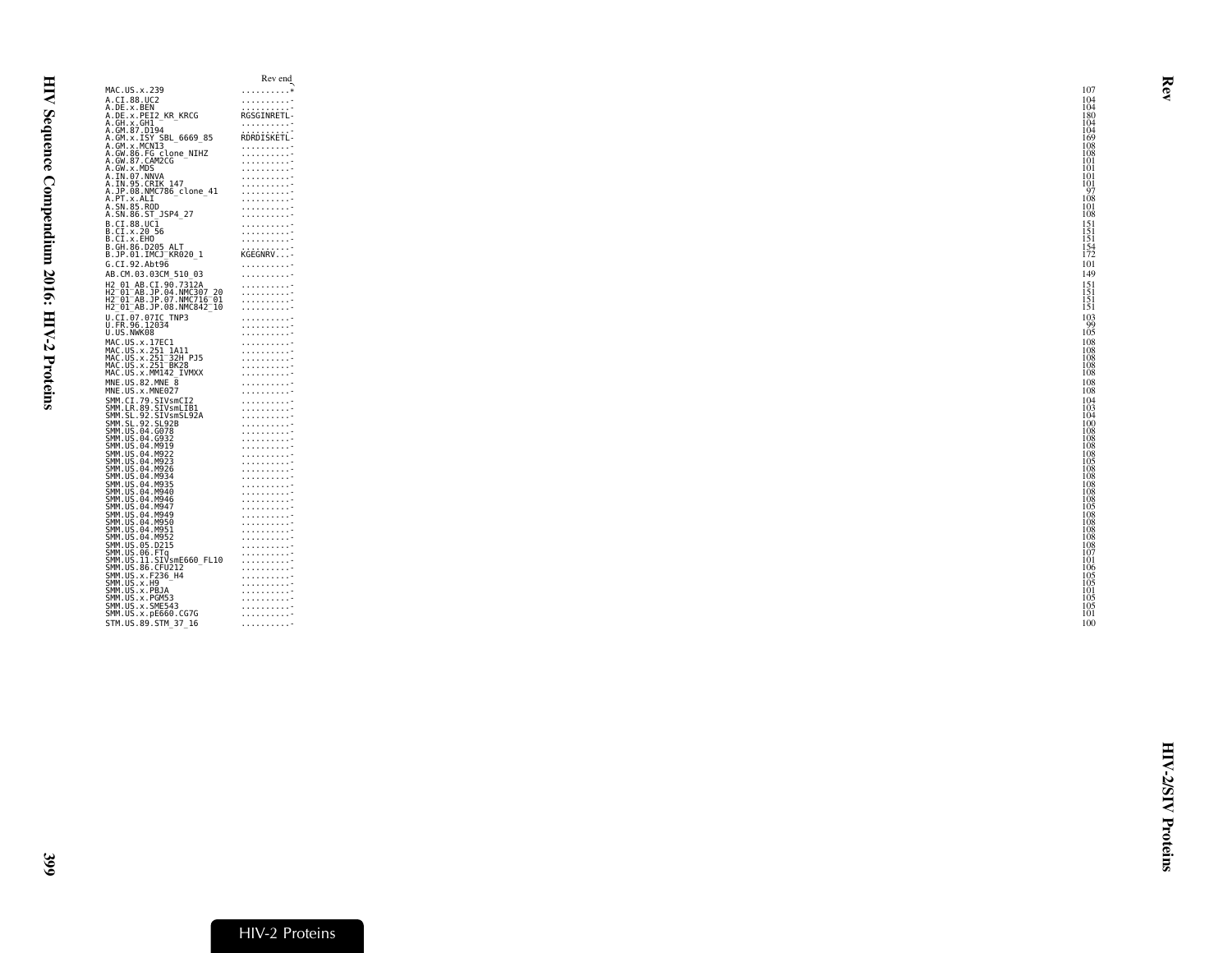<span id="page-24-0"></span>

| MAC.US.x.239<br>. *<br>A.CI.88.UC2<br>.<br>A.DE.x.BEN<br>RGSGINRETL-<br>A.DE.X.DET2_KR_KRCG<br>A.GH.x.GH1<br>A.GM.87.D194<br>A.GM.87.D194<br>.<br><b>RDRDISKETL</b><br>A.GM.X.ISY SBL_6669_85<br>A.GM.X.MCNI3<br>.<br>A.GW.86.FG clone_NIHZ<br>A.GW.87.CAM2CG<br>.<br>.<br>A.GW.x.MDS<br>.<br>A.IN.07.NNVA<br>.<br>A.IN.95.CRIK 147<br>.<br>A.JP.08.NMC786_clone_41<br>.<br>A.PT.x.ALI<br>.<br>A.SN.85.ROD<br>.<br>A.SN.86.ST_JSP4 27<br>.<br>B.CI.88.UCI<br>B.CI.x.20 56<br>B.CI.x.EHO<br>.<br>.<br>.<br>B.GH.86.D205 ALT<br>.<br>B.JP.01.IMCJ <sup>-</sup> KR020 1<br>KGEGNRV-<br>G.CI.92.Abt96<br>.<br>AB.CM.03.03CM 510 03<br>.<br>H2 01 AB.CI.90.7312A<br>.<br>H2-01-AB.JP.04.NMC307-20<br>H2-01-AB.JP.07.NMC716-01<br>.<br>.<br>H2 <sup>-</sup> 01 <sup>-</sup> AB.JP.08.NMC842 <sup>-</sup> 10<br>.<br>U.CI.07.07IC TNP3<br>.<br>U.FR.96.12034<br>.<br>U.US.NWK08<br>.<br>MAC.US.x.17EC1<br>MAC.US.x.251_1A11<br>MAC.US.x.251_1A11<br>.<br>.<br>MAC.US.x.251 <sup>-</sup> 32H PJ5<br>.<br>MAC.US.x.251 <sup>-</sup> BK28<br>.<br>MAC.US.x.MM142 IVMXX<br>.<br>MNE.US.82.MNE 8<br>1.1.1.1.1.1.1.1.7<br>MNE.US.x.MNE027<br>.<br>SMM.CI.79.SIVsmCI2<br>SMM.LR.89.SIVsmLIB1<br>SMM.SL.92.SIVsmSL92A<br>.<br>.<br>.<br>SMM.SL.92.SL92B<br>.<br>SMM.US.04.G078<br>.<br>SMM.US.04.G932<br>.<br>SMM.US.04.M919<br>.<br>SMM.US.04.M922<br>.<br>SMM.US.04.M923<br>.<br>SMM.US.04.M926<br>.<br>SMM.US.04.M934<br>.<br>SMM. US. 04. M935<br>SMM. US. 04. M935<br>SMM. US. 04. M946<br>SMM. US. 04. M946<br>.<br>.<br>.<br>SMM.US.04.M947<br>.<br>SMM.US.04.M949<br>.<br>SMM.US.04.M950<br>SMM.US.04.M951<br>SMM.US.04.M952<br>.<br>SMM.US.05.D215<br>.<br>SMM.US.06.FTq<br>.<br>ŠMM.ŪŠ.11.SIVsmE660 FL10<br>.<br>SMM.US.86.CFU212<br>.<br>SMM.US.x.F236 H4<br>.<br>SMM.US.x.H9<br>.<br>SMM.US.x.PBJA<br>.<br>SMM.US.x.PGM53<br>.<br>SMM.US.x.SME543<br>.<br>SMM.US.x.pE660.CG7G<br>.<br>STM.US.89.STM 37 16<br>. |
|-------------------------------------------------------------------------------------------------------------------------------------------------------------------------------------------------------------------------------------------------------------------------------------------------------------------------------------------------------------------------------------------------------------------------------------------------------------------------------------------------------------------------------------------------------------------------------------------------------------------------------------------------------------------------------------------------------------------------------------------------------------------------------------------------------------------------------------------------------------------------------------------------------------------------------------------------------------------------------------------------------------------------------------------------------------------------------------------------------------------------------------------------------------------------------------------------------------------------------------------------------------------------------------------------------------------------------------------------------------------------------------------------------------------------------------------------------------------------------------------------------------------------------------------------------------------------------------------------------------------------------------------------------------------------------------------------------------------------------------------------------------------------------------------------------------------------------------------------------------------------------------------------------------|
|                                                                                                                                                                                                                                                                                                                                                                                                                                                                                                                                                                                                                                                                                                                                                                                                                                                                                                                                                                                                                                                                                                                                                                                                                                                                                                                                                                                                                                                                                                                                                                                                                                                                                                                                                                                                                                                                                                             |
|                                                                                                                                                                                                                                                                                                                                                                                                                                                                                                                                                                                                                                                                                                                                                                                                                                                                                                                                                                                                                                                                                                                                                                                                                                                                                                                                                                                                                                                                                                                                                                                                                                                                                                                                                                                                                                                                                                             |
|                                                                                                                                                                                                                                                                                                                                                                                                                                                                                                                                                                                                                                                                                                                                                                                                                                                                                                                                                                                                                                                                                                                                                                                                                                                                                                                                                                                                                                                                                                                                                                                                                                                                                                                                                                                                                                                                                                             |
|                                                                                                                                                                                                                                                                                                                                                                                                                                                                                                                                                                                                                                                                                                                                                                                                                                                                                                                                                                                                                                                                                                                                                                                                                                                                                                                                                                                                                                                                                                                                                                                                                                                                                                                                                                                                                                                                                                             |
|                                                                                                                                                                                                                                                                                                                                                                                                                                                                                                                                                                                                                                                                                                                                                                                                                                                                                                                                                                                                                                                                                                                                                                                                                                                                                                                                                                                                                                                                                                                                                                                                                                                                                                                                                                                                                                                                                                             |
|                                                                                                                                                                                                                                                                                                                                                                                                                                                                                                                                                                                                                                                                                                                                                                                                                                                                                                                                                                                                                                                                                                                                                                                                                                                                                                                                                                                                                                                                                                                                                                                                                                                                                                                                                                                                                                                                                                             |
|                                                                                                                                                                                                                                                                                                                                                                                                                                                                                                                                                                                                                                                                                                                                                                                                                                                                                                                                                                                                                                                                                                                                                                                                                                                                                                                                                                                                                                                                                                                                                                                                                                                                                                                                                                                                                                                                                                             |
|                                                                                                                                                                                                                                                                                                                                                                                                                                                                                                                                                                                                                                                                                                                                                                                                                                                                                                                                                                                                                                                                                                                                                                                                                                                                                                                                                                                                                                                                                                                                                                                                                                                                                                                                                                                                                                                                                                             |
|                                                                                                                                                                                                                                                                                                                                                                                                                                                                                                                                                                                                                                                                                                                                                                                                                                                                                                                                                                                                                                                                                                                                                                                                                                                                                                                                                                                                                                                                                                                                                                                                                                                                                                                                                                                                                                                                                                             |
|                                                                                                                                                                                                                                                                                                                                                                                                                                                                                                                                                                                                                                                                                                                                                                                                                                                                                                                                                                                                                                                                                                                                                                                                                                                                                                                                                                                                                                                                                                                                                                                                                                                                                                                                                                                                                                                                                                             |
|                                                                                                                                                                                                                                                                                                                                                                                                                                                                                                                                                                                                                                                                                                                                                                                                                                                                                                                                                                                                                                                                                                                                                                                                                                                                                                                                                                                                                                                                                                                                                                                                                                                                                                                                                                                                                                                                                                             |
|                                                                                                                                                                                                                                                                                                                                                                                                                                                                                                                                                                                                                                                                                                                                                                                                                                                                                                                                                                                                                                                                                                                                                                                                                                                                                                                                                                                                                                                                                                                                                                                                                                                                                                                                                                                                                                                                                                             |
|                                                                                                                                                                                                                                                                                                                                                                                                                                                                                                                                                                                                                                                                                                                                                                                                                                                                                                                                                                                                                                                                                                                                                                                                                                                                                                                                                                                                                                                                                                                                                                                                                                                                                                                                                                                                                                                                                                             |
|                                                                                                                                                                                                                                                                                                                                                                                                                                                                                                                                                                                                                                                                                                                                                                                                                                                                                                                                                                                                                                                                                                                                                                                                                                                                                                                                                                                                                                                                                                                                                                                                                                                                                                                                                                                                                                                                                                             |
|                                                                                                                                                                                                                                                                                                                                                                                                                                                                                                                                                                                                                                                                                                                                                                                                                                                                                                                                                                                                                                                                                                                                                                                                                                                                                                                                                                                                                                                                                                                                                                                                                                                                                                                                                                                                                                                                                                             |
|                                                                                                                                                                                                                                                                                                                                                                                                                                                                                                                                                                                                                                                                                                                                                                                                                                                                                                                                                                                                                                                                                                                                                                                                                                                                                                                                                                                                                                                                                                                                                                                                                                                                                                                                                                                                                                                                                                             |
|                                                                                                                                                                                                                                                                                                                                                                                                                                                                                                                                                                                                                                                                                                                                                                                                                                                                                                                                                                                                                                                                                                                                                                                                                                                                                                                                                                                                                                                                                                                                                                                                                                                                                                                                                                                                                                                                                                             |
|                                                                                                                                                                                                                                                                                                                                                                                                                                                                                                                                                                                                                                                                                                                                                                                                                                                                                                                                                                                                                                                                                                                                                                                                                                                                                                                                                                                                                                                                                                                                                                                                                                                                                                                                                                                                                                                                                                             |
|                                                                                                                                                                                                                                                                                                                                                                                                                                                                                                                                                                                                                                                                                                                                                                                                                                                                                                                                                                                                                                                                                                                                                                                                                                                                                                                                                                                                                                                                                                                                                                                                                                                                                                                                                                                                                                                                                                             |
|                                                                                                                                                                                                                                                                                                                                                                                                                                                                                                                                                                                                                                                                                                                                                                                                                                                                                                                                                                                                                                                                                                                                                                                                                                                                                                                                                                                                                                                                                                                                                                                                                                                                                                                                                                                                                                                                                                             |
|                                                                                                                                                                                                                                                                                                                                                                                                                                                                                                                                                                                                                                                                                                                                                                                                                                                                                                                                                                                                                                                                                                                                                                                                                                                                                                                                                                                                                                                                                                                                                                                                                                                                                                                                                                                                                                                                                                             |
|                                                                                                                                                                                                                                                                                                                                                                                                                                                                                                                                                                                                                                                                                                                                                                                                                                                                                                                                                                                                                                                                                                                                                                                                                                                                                                                                                                                                                                                                                                                                                                                                                                                                                                                                                                                                                                                                                                             |
|                                                                                                                                                                                                                                                                                                                                                                                                                                                                                                                                                                                                                                                                                                                                                                                                                                                                                                                                                                                                                                                                                                                                                                                                                                                                                                                                                                                                                                                                                                                                                                                                                                                                                                                                                                                                                                                                                                             |
|                                                                                                                                                                                                                                                                                                                                                                                                                                                                                                                                                                                                                                                                                                                                                                                                                                                                                                                                                                                                                                                                                                                                                                                                                                                                                                                                                                                                                                                                                                                                                                                                                                                                                                                                                                                                                                                                                                             |
|                                                                                                                                                                                                                                                                                                                                                                                                                                                                                                                                                                                                                                                                                                                                                                                                                                                                                                                                                                                                                                                                                                                                                                                                                                                                                                                                                                                                                                                                                                                                                                                                                                                                                                                                                                                                                                                                                                             |
|                                                                                                                                                                                                                                                                                                                                                                                                                                                                                                                                                                                                                                                                                                                                                                                                                                                                                                                                                                                                                                                                                                                                                                                                                                                                                                                                                                                                                                                                                                                                                                                                                                                                                                                                                                                                                                                                                                             |
|                                                                                                                                                                                                                                                                                                                                                                                                                                                                                                                                                                                                                                                                                                                                                                                                                                                                                                                                                                                                                                                                                                                                                                                                                                                                                                                                                                                                                                                                                                                                                                                                                                                                                                                                                                                                                                                                                                             |
|                                                                                                                                                                                                                                                                                                                                                                                                                                                                                                                                                                                                                                                                                                                                                                                                                                                                                                                                                                                                                                                                                                                                                                                                                                                                                                                                                                                                                                                                                                                                                                                                                                                                                                                                                                                                                                                                                                             |
|                                                                                                                                                                                                                                                                                                                                                                                                                                                                                                                                                                                                                                                                                                                                                                                                                                                                                                                                                                                                                                                                                                                                                                                                                                                                                                                                                                                                                                                                                                                                                                                                                                                                                                                                                                                                                                                                                                             |
|                                                                                                                                                                                                                                                                                                                                                                                                                                                                                                                                                                                                                                                                                                                                                                                                                                                                                                                                                                                                                                                                                                                                                                                                                                                                                                                                                                                                                                                                                                                                                                                                                                                                                                                                                                                                                                                                                                             |
|                                                                                                                                                                                                                                                                                                                                                                                                                                                                                                                                                                                                                                                                                                                                                                                                                                                                                                                                                                                                                                                                                                                                                                                                                                                                                                                                                                                                                                                                                                                                                                                                                                                                                                                                                                                                                                                                                                             |
|                                                                                                                                                                                                                                                                                                                                                                                                                                                                                                                                                                                                                                                                                                                                                                                                                                                                                                                                                                                                                                                                                                                                                                                                                                                                                                                                                                                                                                                                                                                                                                                                                                                                                                                                                                                                                                                                                                             |
|                                                                                                                                                                                                                                                                                                                                                                                                                                                                                                                                                                                                                                                                                                                                                                                                                                                                                                                                                                                                                                                                                                                                                                                                                                                                                                                                                                                                                                                                                                                                                                                                                                                                                                                                                                                                                                                                                                             |
|                                                                                                                                                                                                                                                                                                                                                                                                                                                                                                                                                                                                                                                                                                                                                                                                                                                                                                                                                                                                                                                                                                                                                                                                                                                                                                                                                                                                                                                                                                                                                                                                                                                                                                                                                                                                                                                                                                             |
|                                                                                                                                                                                                                                                                                                                                                                                                                                                                                                                                                                                                                                                                                                                                                                                                                                                                                                                                                                                                                                                                                                                                                                                                                                                                                                                                                                                                                                                                                                                                                                                                                                                                                                                                                                                                                                                                                                             |
|                                                                                                                                                                                                                                                                                                                                                                                                                                                                                                                                                                                                                                                                                                                                                                                                                                                                                                                                                                                                                                                                                                                                                                                                                                                                                                                                                                                                                                                                                                                                                                                                                                                                                                                                                                                                                                                                                                             |
|                                                                                                                                                                                                                                                                                                                                                                                                                                                                                                                                                                                                                                                                                                                                                                                                                                                                                                                                                                                                                                                                                                                                                                                                                                                                                                                                                                                                                                                                                                                                                                                                                                                                                                                                                                                                                                                                                                             |
|                                                                                                                                                                                                                                                                                                                                                                                                                                                                                                                                                                                                                                                                                                                                                                                                                                                                                                                                                                                                                                                                                                                                                                                                                                                                                                                                                                                                                                                                                                                                                                                                                                                                                                                                                                                                                                                                                                             |
|                                                                                                                                                                                                                                                                                                                                                                                                                                                                                                                                                                                                                                                                                                                                                                                                                                                                                                                                                                                                                                                                                                                                                                                                                                                                                                                                                                                                                                                                                                                                                                                                                                                                                                                                                                                                                                                                                                             |
|                                                                                                                                                                                                                                                                                                                                                                                                                                                                                                                                                                                                                                                                                                                                                                                                                                                                                                                                                                                                                                                                                                                                                                                                                                                                                                                                                                                                                                                                                                                                                                                                                                                                                                                                                                                                                                                                                                             |
|                                                                                                                                                                                                                                                                                                                                                                                                                                                                                                                                                                                                                                                                                                                                                                                                                                                                                                                                                                                                                                                                                                                                                                                                                                                                                                                                                                                                                                                                                                                                                                                                                                                                                                                                                                                                                                                                                                             |
|                                                                                                                                                                                                                                                                                                                                                                                                                                                                                                                                                                                                                                                                                                                                                                                                                                                                                                                                                                                                                                                                                                                                                                                                                                                                                                                                                                                                                                                                                                                                                                                                                                                                                                                                                                                                                                                                                                             |
|                                                                                                                                                                                                                                                                                                                                                                                                                                                                                                                                                                                                                                                                                                                                                                                                                                                                                                                                                                                                                                                                                                                                                                                                                                                                                                                                                                                                                                                                                                                                                                                                                                                                                                                                                                                                                                                                                                             |
|                                                                                                                                                                                                                                                                                                                                                                                                                                                                                                                                                                                                                                                                                                                                                                                                                                                                                                                                                                                                                                                                                                                                                                                                                                                                                                                                                                                                                                                                                                                                                                                                                                                                                                                                                                                                                                                                                                             |
|                                                                                                                                                                                                                                                                                                                                                                                                                                                                                                                                                                                                                                                                                                                                                                                                                                                                                                                                                                                                                                                                                                                                                                                                                                                                                                                                                                                                                                                                                                                                                                                                                                                                                                                                                                                                                                                                                                             |
|                                                                                                                                                                                                                                                                                                                                                                                                                                                                                                                                                                                                                                                                                                                                                                                                                                                                                                                                                                                                                                                                                                                                                                                                                                                                                                                                                                                                                                                                                                                                                                                                                                                                                                                                                                                                                                                                                                             |
|                                                                                                                                                                                                                                                                                                                                                                                                                                                                                                                                                                                                                                                                                                                                                                                                                                                                                                                                                                                                                                                                                                                                                                                                                                                                                                                                                                                                                                                                                                                                                                                                                                                                                                                                                                                                                                                                                                             |
|                                                                                                                                                                                                                                                                                                                                                                                                                                                                                                                                                                                                                                                                                                                                                                                                                                                                                                                                                                                                                                                                                                                                                                                                                                                                                                                                                                                                                                                                                                                                                                                                                                                                                                                                                                                                                                                                                                             |
|                                                                                                                                                                                                                                                                                                                                                                                                                                                                                                                                                                                                                                                                                                                                                                                                                                                                                                                                                                                                                                                                                                                                                                                                                                                                                                                                                                                                                                                                                                                                                                                                                                                                                                                                                                                                                                                                                                             |
|                                                                                                                                                                                                                                                                                                                                                                                                                                                                                                                                                                                                                                                                                                                                                                                                                                                                                                                                                                                                                                                                                                                                                                                                                                                                                                                                                                                                                                                                                                                                                                                                                                                                                                                                                                                                                                                                                                             |
|                                                                                                                                                                                                                                                                                                                                                                                                                                                                                                                                                                                                                                                                                                                                                                                                                                                                                                                                                                                                                                                                                                                                                                                                                                                                                                                                                                                                                                                                                                                                                                                                                                                                                                                                                                                                                                                                                                             |
|                                                                                                                                                                                                                                                                                                                                                                                                                                                                                                                                                                                                                                                                                                                                                                                                                                                                                                                                                                                                                                                                                                                                                                                                                                                                                                                                                                                                                                                                                                                                                                                                                                                                                                                                                                                                                                                                                                             |
|                                                                                                                                                                                                                                                                                                                                                                                                                                                                                                                                                                                                                                                                                                                                                                                                                                                                                                                                                                                                                                                                                                                                                                                                                                                                                                                                                                                                                                                                                                                                                                                                                                                                                                                                                                                                                                                                                                             |
|                                                                                                                                                                                                                                                                                                                                                                                                                                                                                                                                                                                                                                                                                                                                                                                                                                                                                                                                                                                                                                                                                                                                                                                                                                                                                                                                                                                                                                                                                                                                                                                                                                                                                                                                                                                                                                                                                                             |
|                                                                                                                                                                                                                                                                                                                                                                                                                                                                                                                                                                                                                                                                                                                                                                                                                                                                                                                                                                                                                                                                                                                                                                                                                                                                                                                                                                                                                                                                                                                                                                                                                                                                                                                                                                                                                                                                                                             |
|                                                                                                                                                                                                                                                                                                                                                                                                                                                                                                                                                                                                                                                                                                                                                                                                                                                                                                                                                                                                                                                                                                                                                                                                                                                                                                                                                                                                                                                                                                                                                                                                                                                                                                                                                                                                                                                                                                             |
|                                                                                                                                                                                                                                                                                                                                                                                                                                                                                                                                                                                                                                                                                                                                                                                                                                                                                                                                                                                                                                                                                                                                                                                                                                                                                                                                                                                                                                                                                                                                                                                                                                                                                                                                                                                                                                                                                                             |
|                                                                                                                                                                                                                                                                                                                                                                                                                                                                                                                                                                                                                                                                                                                                                                                                                                                                                                                                                                                                                                                                                                                                                                                                                                                                                                                                                                                                                                                                                                                                                                                                                                                                                                                                                                                                                                                                                                             |
|                                                                                                                                                                                                                                                                                                                                                                                                                                                                                                                                                                                                                                                                                                                                                                                                                                                                                                                                                                                                                                                                                                                                                                                                                                                                                                                                                                                                                                                                                                                                                                                                                                                                                                                                                                                                                                                                                                             |
|                                                                                                                                                                                                                                                                                                                                                                                                                                                                                                                                                                                                                                                                                                                                                                                                                                                                                                                                                                                                                                                                                                                                                                                                                                                                                                                                                                                                                                                                                                                                                                                                                                                                                                                                                                                                                                                                                                             |
|                                                                                                                                                                                                                                                                                                                                                                                                                                                                                                                                                                                                                                                                                                                                                                                                                                                                                                                                                                                                                                                                                                                                                                                                                                                                                                                                                                                                                                                                                                                                                                                                                                                                                                                                                                                                                                                                                                             |
|                                                                                                                                                                                                                                                                                                                                                                                                                                                                                                                                                                                                                                                                                                                                                                                                                                                                                                                                                                                                                                                                                                                                                                                                                                                                                                                                                                                                                                                                                                                                                                                                                                                                                                                                                                                                                                                                                                             |
|                                                                                                                                                                                                                                                                                                                                                                                                                                                                                                                                                                                                                                                                                                                                                                                                                                                                                                                                                                                                                                                                                                                                                                                                                                                                                                                                                                                                                                                                                                                                                                                                                                                                                                                                                                                                                                                                                                             |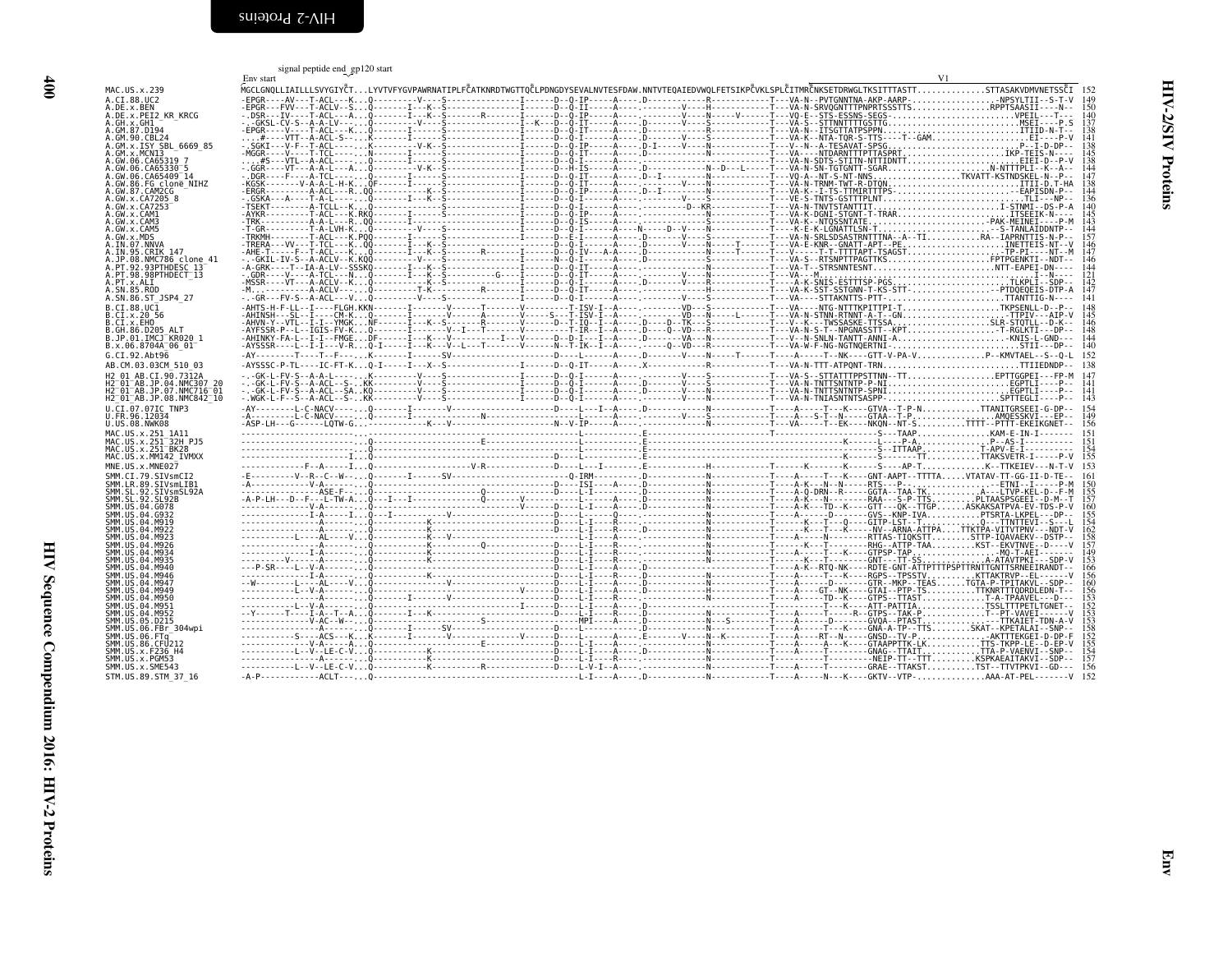<span id="page-25-1"></span>signal peptide end gp<sup>120</sup> start

<span id="page-25-0"></span>

| MAC.US.x.239<br>A.CI.88.UC2<br>A.DE.x.BEN<br>A.DE.x.PEI2_KR_KRCG<br>A. GH. x. GH1<br>A. GM. 87. D194<br>A. GM. 90. CBL24<br>A. GM. x. ISY_SBL_6669_85                                                                                |  |  |  |  | V1                                                                                                                                                                                                                                                                                                                                                                                                                                          |                   |
|--------------------------------------------------------------------------------------------------------------------------------------------------------------------------------------------------------------------------------------|--|--|--|--|---------------------------------------------------------------------------------------------------------------------------------------------------------------------------------------------------------------------------------------------------------------------------------------------------------------------------------------------------------------------------------------------------------------------------------------------|-------------------|
|                                                                                                                                                                                                                                      |  |  |  |  | MGCLGNQLLIAILLLSVYGIYČTLYVTVFYGVPAWRNATIPLFČATKNRDTWGTTQČLPDNGDYSEVALNVTESFDAW.NNTVTEQAIEDVWQLFETSIKPČVKLSPLČITMRČNKSETDRWGLTKSITTTASTTSTTASAKVDMVNETSSČI 152<br>$\begin{bmatrix} 0.01 & 0.11 & 0.10 & 0.10 & 0.10 & 0.10 & 0.10 & 0.10 & 0.10 & 0.10 & 0.10 & 0.10 & 0.10 & 0.10 & 0.10 & 0.10 & 0.10 & 0.10 & 0.10 & 0.10 & 0.10 & 0.10 & 0.10 & 0.10 & 0.10 & 0.10 & 0.10 & 0.10 & 0.10 & 0.10 & 0.10 & 0.10 & 0.10 & 0.10 & 0.10 & 0.1$ | 149               |
|                                                                                                                                                                                                                                      |  |  |  |  |                                                                                                                                                                                                                                                                                                                                                                                                                                             |                   |
|                                                                                                                                                                                                                                      |  |  |  |  |                                                                                                                                                                                                                                                                                                                                                                                                                                             | $\frac{140}{137}$ |
|                                                                                                                                                                                                                                      |  |  |  |  |                                                                                                                                                                                                                                                                                                                                                                                                                                             | ΆN<br>138<br>141  |
| A.GM.x.MCN13                                                                                                                                                                                                                         |  |  |  |  |                                                                                                                                                                                                                                                                                                                                                                                                                                             |                   |
| A.GW.06.CA65319 7                                                                                                                                                                                                                    |  |  |  |  |                                                                                                                                                                                                                                                                                                                                                                                                                                             | i 45<br>138       |
| A.GW.06.CA65330 5                                                                                                                                                                                                                    |  |  |  |  |                                                                                                                                                                                                                                                                                                                                                                                                                                             | 144<br>147        |
| A.GW.06.CA65409-14<br>A.GW.86.FG clone_NIHZ<br>A.GW.87.CAM2CG                                                                                                                                                                        |  |  |  |  |                                                                                                                                                                                                                                                                                                                                                                                                                                             | i 38<br>44        |
| A . GW . x . CA7205 8<br>A . GW . x . CA7253<br>A . GW . x . CA7253<br>A . GW . x . CAM3<br>A . GW . x . CAM5                                                                                                                        |  |  |  |  |                                                                                                                                                                                                                                                                                                                                                                                                                                             | Proteins          |
|                                                                                                                                                                                                                                      |  |  |  |  |                                                                                                                                                                                                                                                                                                                                                                                                                                             | 140               |
|                                                                                                                                                                                                                                      |  |  |  |  |                                                                                                                                                                                                                                                                                                                                                                                                                                             | 145<br>143<br>144 |
| A.GW.X.CAM5<br>A.GW.X.MDS<br>A.IN.07.NNVA<br>A.IN.95.CRIK 147<br>A.PT.98.NMC786 clone_41<br>A.PT.98.98PTHDESC_13<br>A.PT.98.98PTHDESC_13                                                                                             |  |  |  |  |                                                                                                                                                                                                                                                                                                                                                                                                                                             |                   |
|                                                                                                                                                                                                                                      |  |  |  |  |                                                                                                                                                                                                                                                                                                                                                                                                                                             | $\frac{146}{147}$ |
|                                                                                                                                                                                                                                      |  |  |  |  |                                                                                                                                                                                                                                                                                                                                                                                                                                             | 146<br>144<br>121 |
|                                                                                                                                                                                                                                      |  |  |  |  |                                                                                                                                                                                                                                                                                                                                                                                                                                             |                   |
| A.PT.x.ALI<br>A.SN.85.R0D<br>A.SN.85.R0D<br>A.SN.86.ST_JSP4_27                                                                                                                                                                       |  |  |  |  |                                                                                                                                                                                                                                                                                                                                                                                                                                             | 141               |
| B.CI.88.UC1                                                                                                                                                                                                                          |  |  |  |  |                                                                                                                                                                                                                                                                                                                                                                                                                                             |                   |
| B.CI.X.20 56<br>B.CI.X.EHO                                                                                                                                                                                                           |  |  |  |  |                                                                                                                                                                                                                                                                                                                                                                                                                                             |                   |
| B.GH.86.D205 ALT<br>B.JP.01.IMCJ KR020_1<br>B.x.06.8704A_06_01                                                                                                                                                                       |  |  |  |  |                                                                                                                                                                                                                                                                                                                                                                                                                                             |                   |
|                                                                                                                                                                                                                                      |  |  |  |  |                                                                                                                                                                                                                                                                                                                                                                                                                                             |                   |
| G.CI.92.Abt96<br>AB.CM.03.03CM 510 03                                                                                                                                                                                                |  |  |  |  |                                                                                                                                                                                                                                                                                                                                                                                                                                             |                   |
| H2 01 AB.CI.90.7312A                                                                                                                                                                                                                 |  |  |  |  |                                                                                                                                                                                                                                                                                                                                                                                                                                             |                   |
| H2-01-AB.JP.04.NMC307_20<br>H2-01-AB.JP.07.NMC716-01                                                                                                                                                                                 |  |  |  |  |                                                                                                                                                                                                                                                                                                                                                                                                                                             |                   |
| H2-01-AB.JP.08.NMC842-10                                                                                                                                                                                                             |  |  |  |  |                                                                                                                                                                                                                                                                                                                                                                                                                                             |                   |
| U.CI.07.07IC TNP3<br>U.FR.96.12034                                                                                                                                                                                                   |  |  |  |  |                                                                                                                                                                                                                                                                                                                                                                                                                                             |                   |
| U.US.08.NWK08                                                                                                                                                                                                                        |  |  |  |  |                                                                                                                                                                                                                                                                                                                                                                                                                                             |                   |
| MAC.US.x.251_1A11<br>MAC.US.x.251 <sup>-</sup> 32H_PJ5<br>MAC.US.x.251-BK28                                                                                                                                                          |  |  |  |  |                                                                                                                                                                                                                                                                                                                                                                                                                                             |                   |
| MAC.US.x.MM142 IVMXX                                                                                                                                                                                                                 |  |  |  |  |                                                                                                                                                                                                                                                                                                                                                                                                                                             |                   |
| MNE.US.x.MNE027                                                                                                                                                                                                                      |  |  |  |  |                                                                                                                                                                                                                                                                                                                                                                                                                                             |                   |
| MNE. US. S. MNE02/<br>SMM . LE, 89. STS . STS . STS . STS . STS . STS . STS . STS . STS . STS . STS . STS . STS . STS . STS . STS .<br>SMM . LS . 92 . STS . STS . STS . STS . STS . STS . STS . STS . STS . STS . STS . STS . STS . |  |  |  |  |                                                                                                                                                                                                                                                                                                                                                                                                                                             |                   |
|                                                                                                                                                                                                                                      |  |  |  |  |                                                                                                                                                                                                                                                                                                                                                                                                                                             |                   |
|                                                                                                                                                                                                                                      |  |  |  |  |                                                                                                                                                                                                                                                                                                                                                                                                                                             |                   |
|                                                                                                                                                                                                                                      |  |  |  |  |                                                                                                                                                                                                                                                                                                                                                                                                                                             |                   |
|                                                                                                                                                                                                                                      |  |  |  |  |                                                                                                                                                                                                                                                                                                                                                                                                                                             |                   |
|                                                                                                                                                                                                                                      |  |  |  |  |                                                                                                                                                                                                                                                                                                                                                                                                                                             |                   |
|                                                                                                                                                                                                                                      |  |  |  |  |                                                                                                                                                                                                                                                                                                                                                                                                                                             |                   |
| SMM. US.04.M946                                                                                                                                                                                                                      |  |  |  |  |                                                                                                                                                                                                                                                                                                                                                                                                                                             |                   |
|                                                                                                                                                                                                                                      |  |  |  |  |                                                                                                                                                                                                                                                                                                                                                                                                                                             |                   |
| SMM. US. 04. M947<br>SMM. US. 04. M949<br>SMM. US. 04. M950<br>SMM. US. 04. M951                                                                                                                                                     |  |  |  |  |                                                                                                                                                                                                                                                                                                                                                                                                                                             |                   |
| SMM. US. 04. M952                                                                                                                                                                                                                    |  |  |  |  |                                                                                                                                                                                                                                                                                                                                                                                                                                             |                   |
| SMM. US. 05. D215<br>SMM.US.06.FBr 304wpi                                                                                                                                                                                            |  |  |  |  |                                                                                                                                                                                                                                                                                                                                                                                                                                             |                   |
| SMM. US. 06. FTg <sup>-2</sup><br>SMM. US. 86. CFU212                                                                                                                                                                                |  |  |  |  |                                                                                                                                                                                                                                                                                                                                                                                                                                             |                   |
| SMM. US . x . F236_H4<br>SMM.US.x.PGM53                                                                                                                                                                                              |  |  |  |  |                                                                                                                                                                                                                                                                                                                                                                                                                                             |                   |
| SMM.US.x.SME543                                                                                                                                                                                                                      |  |  |  |  |                                                                                                                                                                                                                                                                                                                                                                                                                                             |                   |
| STM.US.89.STM 37 16                                                                                                                                                                                                                  |  |  |  |  |                                                                                                                                                                                                                                                                                                                                                                                                                                             |                   |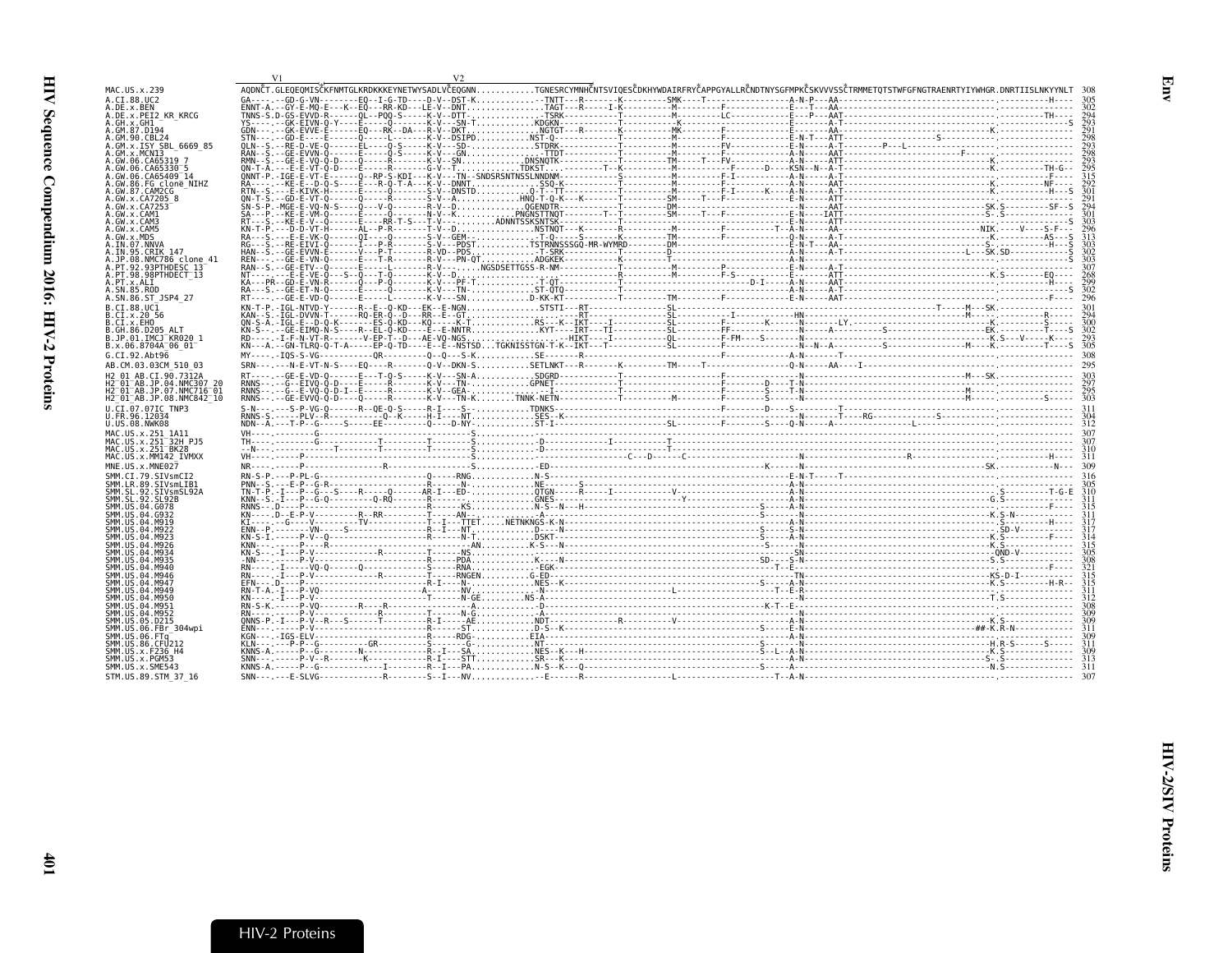<span id="page-26-0"></span>

| MAC.US.x.239                                                                                |  |  |  | AODNČT.GLEOEOMISČKENMIGLKRDKKKEYNETWYSADLVČEOGNNTGNESRCYMNHČNTSVIOESČDKHYWDAIRERYČAPPGYALLRČNDTNYSGFMPKČSKVVVSSČTRMMETOTSTWEGENGTRAENRTYIYWHGR.DNRTIISLNKYYNLT |  |
|---------------------------------------------------------------------------------------------|--|--|--|----------------------------------------------------------------------------------------------------------------------------------------------------------------|--|
| A.CI.88.UC2<br>A.DE.x.BEN                                                                   |  |  |  |                                                                                                                                                                |  |
| A.DE.x.PEI2 KR KRCG                                                                         |  |  |  |                                                                                                                                                                |  |
| A.GH.x.GH1<br>.GM.87.D194                                                                   |  |  |  |                                                                                                                                                                |  |
| GM.90.CBL24                                                                                 |  |  |  |                                                                                                                                                                |  |
| GM.x.ISY SBL 6669 85<br>GM x MCNT3                                                          |  |  |  |                                                                                                                                                                |  |
| GW.06.CA65319                                                                               |  |  |  |                                                                                                                                                                |  |
| GW.06.CA65330 5<br>GW.06.CA65409 14                                                         |  |  |  |                                                                                                                                                                |  |
| GW.86.FG clone NIHZ                                                                         |  |  |  |                                                                                                                                                                |  |
| GW.87.CAM2CG<br>GW.x.CA7205 8                                                               |  |  |  |                                                                                                                                                                |  |
| .GW.x.CA7253                                                                                |  |  |  |                                                                                                                                                                |  |
| GW.x.CAM1<br>GW.x.CAM3                                                                      |  |  |  |                                                                                                                                                                |  |
| .GW.x.CAM5                                                                                  |  |  |  |                                                                                                                                                                |  |
| .GW.x.MDS<br>IN.07.NNVA                                                                     |  |  |  |                                                                                                                                                                |  |
| IN.95.CRIK 147                                                                              |  |  |  |                                                                                                                                                                |  |
| JP.08.NMC786 clone 41<br>PT.92.93PTHDESC 13                                                 |  |  |  |                                                                                                                                                                |  |
| A.PT.98.98PTHDECT 13                                                                        |  |  |  |                                                                                                                                                                |  |
| A.PT.x.ALI<br>A.SN.85.ROD                                                                   |  |  |  |                                                                                                                                                                |  |
| A.SN.86.ST JSP4 27                                                                          |  |  |  |                                                                                                                                                                |  |
| B.CI.88.UC1                                                                                 |  |  |  |                                                                                                                                                                |  |
| B.CI.x.20 56<br>B.CI.X.EHO                                                                  |  |  |  |                                                                                                                                                                |  |
| GH.86.D205 ALT                                                                              |  |  |  |                                                                                                                                                                |  |
| B.JP.01.IMCJ <sup>-</sup> KR020 1<br>B.x.06.8704A 06 01                                     |  |  |  |                                                                                                                                                                |  |
| G.CI.92.Abt96                                                                               |  |  |  |                                                                                                                                                                |  |
| AB.CM.03.03CM 510 03                                                                        |  |  |  |                                                                                                                                                                |  |
| H2 01 AB.CI.90.7312A                                                                        |  |  |  |                                                                                                                                                                |  |
| 12 01 AB.JP.04.NMC307 20<br>H2 <sup>-</sup> 01 <sup>-</sup> AB.JP.07.NMC716 <sup>-</sup> 01 |  |  |  |                                                                                                                                                                |  |
| H2 <sup>-</sup> 01 <sup>-</sup> AB.JP.08.NMC842 <sup>-</sup> 10                             |  |  |  |                                                                                                                                                                |  |
| U.CI.07.07IC TNP3                                                                           |  |  |  |                                                                                                                                                                |  |
| U.FR.96.12034<br>U.US.08.NWK08                                                              |  |  |  |                                                                                                                                                                |  |
| MAC.US.x.251 1A11                                                                           |  |  |  |                                                                                                                                                                |  |
| MAC.US.x.251 <sup>-</sup> 32H PJ5<br>MAC.US.x.251 <sup>-</sup> BK28                         |  |  |  |                                                                                                                                                                |  |
| MAC.US.x.MM142 IVMXX                                                                        |  |  |  |                                                                                                                                                                |  |
| MNE.US.x.MNE027                                                                             |  |  |  |                                                                                                                                                                |  |
| SMM.CI.79.SIVsmCI2<br>SMM.LR.89.SIVsmLIB1                                                   |  |  |  |                                                                                                                                                                |  |
| SMM.SL.92.SIVsmSL92A                                                                        |  |  |  |                                                                                                                                                                |  |
| SMM.SL.92.SL92B<br>SMM.US.04.G078                                                           |  |  |  |                                                                                                                                                                |  |
|                                                                                             |  |  |  |                                                                                                                                                                |  |
|                                                                                             |  |  |  |                                                                                                                                                                |  |
|                                                                                             |  |  |  |                                                                                                                                                                |  |
|                                                                                             |  |  |  |                                                                                                                                                                |  |
|                                                                                             |  |  |  |                                                                                                                                                                |  |
|                                                                                             |  |  |  |                                                                                                                                                                |  |
|                                                                                             |  |  |  |                                                                                                                                                                |  |
| SMM IIS 04 M950                                                                             |  |  |  |                                                                                                                                                                |  |
|                                                                                             |  |  |  |                                                                                                                                                                |  |
|                                                                                             |  |  |  |                                                                                                                                                                |  |
| SMM.US.06.FBr 304wpi                                                                        |  |  |  |                                                                                                                                                                |  |
| SMM.US.06.FTa <sup>-</sup><br>SMM.US.86.CFU212                                              |  |  |  |                                                                                                                                                                |  |
| SMM.US.x.F236 H4                                                                            |  |  |  |                                                                                                                                                                |  |
| SMM.US.x.PGM53<br>SMM.US.x.SME543                                                           |  |  |  |                                                                                                                                                                |  |
| STM.US.89.STM 37 16                                                                         |  |  |  |                                                                                                                                                                |  |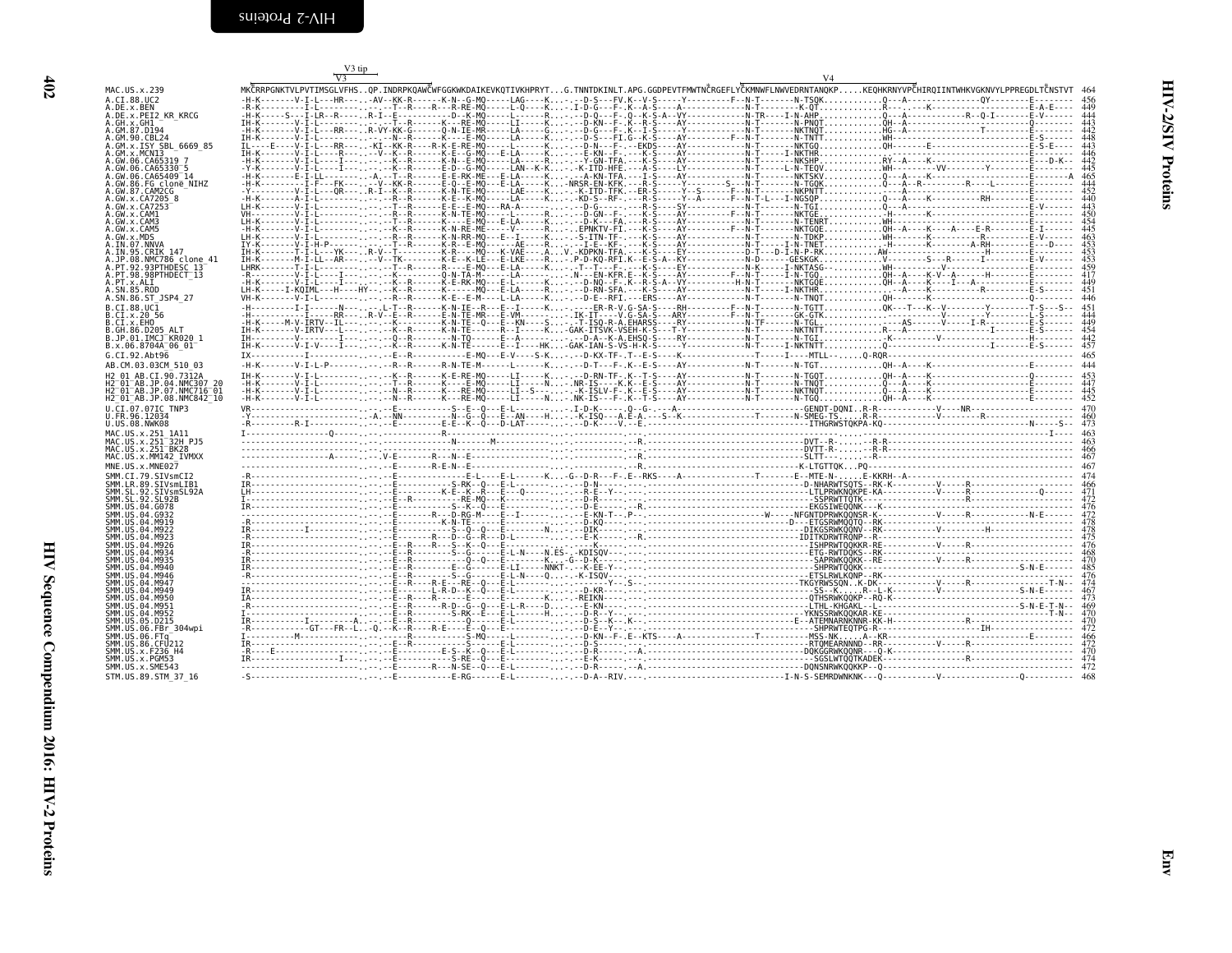| MAC.US.x.239                                                                                                                                                                                                                                                             |
|--------------------------------------------------------------------------------------------------------------------------------------------------------------------------------------------------------------------------------------------------------------------------|
| I.88.UC<br>A.C<br>2                                                                                                                                                                                                                                                      |
| A.DE.x.BEN<br>A.DE.x.PEI2_KR_KRCG                                                                                                                                                                                                                                        |
|                                                                                                                                                                                                                                                                          |
|                                                                                                                                                                                                                                                                          |
|                                                                                                                                                                                                                                                                          |
|                                                                                                                                                                                                                                                                          |
| 6669 85                                                                                                                                                                                                                                                                  |
|                                                                                                                                                                                                                                                                          |
|                                                                                                                                                                                                                                                                          |
|                                                                                                                                                                                                                                                                          |
|                                                                                                                                                                                                                                                                          |
|                                                                                                                                                                                                                                                                          |
|                                                                                                                                                                                                                                                                          |
|                                                                                                                                                                                                                                                                          |
|                                                                                                                                                                                                                                                                          |
| A.GW.X.CAMI                                                                                                                                                                                                                                                              |
| A.GW.x.CAM3<br>A.GW.x.CAM5                                                                                                                                                                                                                                               |
|                                                                                                                                                                                                                                                                          |
| A.GW.x.CAM5<br>A.GW.x.CAM5<br>A.IN.07.NNVA<br>A.IN.95.CRIK 147<br>A.JP.08.NMC786 cl<br>A.PT.92.93PTHDESC<br>A.PT.x.ALI<br>A.SN.85.ST<br>A.SN.85.5T                                                                                                                       |
|                                                                                                                                                                                                                                                                          |
| lone:<br>41                                                                                                                                                                                                                                                              |
|                                                                                                                                                                                                                                                                          |
| $\frac{13}{13}$                                                                                                                                                                                                                                                          |
|                                                                                                                                                                                                                                                                          |
|                                                                                                                                                                                                                                                                          |
| A.SN.86.ST<br>JSP4<br>27                                                                                                                                                                                                                                                 |
|                                                                                                                                                                                                                                                                          |
| B.CI.88.UCI<br>B.CI.x.20 5<br>B.CI.x.EHO<br>56                                                                                                                                                                                                                           |
|                                                                                                                                                                                                                                                                          |
|                                                                                                                                                                                                                                                                          |
| 1                                                                                                                                                                                                                                                                        |
| B.GH.86.D205 ALT<br>B.JP.01.IMCJ KR020<br>B.x.06.8704A_06_01                                                                                                                                                                                                             |
|                                                                                                                                                                                                                                                                          |
| G.CI.92.Abt96                                                                                                                                                                                                                                                            |
| AB.CM.03.03CM 510<br>03                                                                                                                                                                                                                                                  |
| $-48. \zeta_1 \cdot 90.7312A$<br>01<br>Н2                                                                                                                                                                                                                                |
| H2<br>-01<br>20                                                                                                                                                                                                                                                          |
| H <sub>2</sub><br>01<br>01                                                                                                                                                                                                                                               |
| -AB.JP.04.NMC307<br>-AB.JP.04.NMC307<br>-AB.JP.08.NMC842<br>H2<br>01                                                                                                                                                                                                     |
| .<br>:I.07.07IC<br>:R.96.12034<br>TNP3<br>U.C                                                                                                                                                                                                                            |
|                                                                                                                                                                                                                                                                          |
| U.FR.96.12034<br>U.US.08.NWK08                                                                                                                                                                                                                                           |
|                                                                                                                                                                                                                                                                          |
|                                                                                                                                                                                                                                                                          |
|                                                                                                                                                                                                                                                                          |
|                                                                                                                                                                                                                                                                          |
|                                                                                                                                                                                                                                                                          |
| MAC.US.x.251_1A11<br>MAC.US.x.251 <sup>-</sup> 32H_PJ5<br>MAC.US.x.251 <sup>-</sup> BK28<br>MAC.US.x.MM142_IVMXX                                                                                                                                                         |
| MNE.US.x.MNE027                                                                                                                                                                                                                                                          |
|                                                                                                                                                                                                                                                                          |
|                                                                                                                                                                                                                                                                          |
|                                                                                                                                                                                                                                                                          |
|                                                                                                                                                                                                                                                                          |
|                                                                                                                                                                                                                                                                          |
|                                                                                                                                                                                                                                                                          |
| SMM.US.04.M919                                                                                                                                                                                                                                                           |
|                                                                                                                                                                                                                                                                          |
|                                                                                                                                                                                                                                                                          |
|                                                                                                                                                                                                                                                                          |
|                                                                                                                                                                                                                                                                          |
|                                                                                                                                                                                                                                                                          |
|                                                                                                                                                                                                                                                                          |
|                                                                                                                                                                                                                                                                          |
| SMM. US. 04. 1791<br>25MM. US. 04. M923<br>SMM. US. 04. M923<br>SMM. US. 04. M926<br>SMM. US. 04. M935<br>SMM. US. 04. M940<br>SMM. US. 04. M946<br>SMM. US. 04. M947                                                                                                    |
| SMM.US.04.M947<br>SMM.US.04.M949<br>SMM.US.04.M949                                                                                                                                                                                                                       |
| SMM. US. 04. M950                                                                                                                                                                                                                                                        |
| SMM.US.04.M951                                                                                                                                                                                                                                                           |
|                                                                                                                                                                                                                                                                          |
| 304wpi                                                                                                                                                                                                                                                                   |
|                                                                                                                                                                                                                                                                          |
|                                                                                                                                                                                                                                                                          |
|                                                                                                                                                                                                                                                                          |
|                                                                                                                                                                                                                                                                          |
| SMM . US. 04 . M952<br>SMM . US. 05 . D215<br>SMM . US. 06 . FBr . 30<br>SMM . US. 06 . FTG<br>SMM . US. 86 . CFU212<br>SMM . US. x . FGM53<br>SMM . US. x . FGM53<br>SMM . US. x . SME543<br>SMM . US. x . SME543<br>SMM . US. x . SME543<br>STM.US.89.STM<br>-37<br>16 |

<span id="page-27-0"></span>

|                                         | V3 tip<br>$V_3$ |  |  |                                                                                                                                                                      |  |
|-----------------------------------------|-----------------|--|--|----------------------------------------------------------------------------------------------------------------------------------------------------------------------|--|
|                                         |                 |  |  | MKĈRRPGNKTVLPVTIMSGLVFHSQP.INDRPKQAWĈWFGGKWKDAIKEVKQTIVKHPRYTG.TNNTDKINLT.APG.GGDPEVTFMWTNČRGEFLYČKMNWFLNWVEDRNTANQKPKEQHKRNYVPČHIROIINTWHKVGKNVYLPPREGDLTČNSTVT 464 |  |
|                                         |                 |  |  |                                                                                                                                                                      |  |
|                                         |                 |  |  |                                                                                                                                                                      |  |
|                                         |                 |  |  |                                                                                                                                                                      |  |
|                                         |                 |  |  |                                                                                                                                                                      |  |
| SBL 6669 85                             |                 |  |  |                                                                                                                                                                      |  |
|                                         |                 |  |  |                                                                                                                                                                      |  |
|                                         |                 |  |  |                                                                                                                                                                      |  |
|                                         |                 |  |  |                                                                                                                                                                      |  |
| clone NIHZ                              |                 |  |  |                                                                                                                                                                      |  |
|                                         |                 |  |  |                                                                                                                                                                      |  |
|                                         |                 |  |  |                                                                                                                                                                      |  |
|                                         |                 |  |  |                                                                                                                                                                      |  |
|                                         |                 |  |  |                                                                                                                                                                      |  |
|                                         |                 |  |  |                                                                                                                                                                      |  |
|                                         |                 |  |  |                                                                                                                                                                      |  |
|                                         |                 |  |  |                                                                                                                                                                      |  |
| <br>THDESC 13 <sup>–41</sup>            |                 |  |  |                                                                                                                                                                      |  |
| THDECT 13                               |                 |  |  |                                                                                                                                                                      |  |
|                                         |                 |  |  |                                                                                                                                                                      |  |
|                                         |                 |  |  |                                                                                                                                                                      |  |
|                                         |                 |  |  |                                                                                                                                                                      |  |
|                                         |                 |  |  |                                                                                                                                                                      |  |
|                                         |                 |  |  |                                                                                                                                                                      |  |
|                                         |                 |  |  |                                                                                                                                                                      |  |
|                                         |                 |  |  |                                                                                                                                                                      |  |
|                                         |                 |  |  |                                                                                                                                                                      |  |
|                                         |                 |  |  |                                                                                                                                                                      |  |
| 90.7312A                                |                 |  |  |                                                                                                                                                                      |  |
| 04.NMC307<br>07.NMC716 <sup>-</sup> 01. |                 |  |  |                                                                                                                                                                      |  |
| $9.08.$ NMC $842^-10$                   |                 |  |  |                                                                                                                                                                      |  |
|                                         |                 |  |  |                                                                                                                                                                      |  |
|                                         |                 |  |  |                                                                                                                                                                      |  |
|                                         |                 |  |  |                                                                                                                                                                      |  |
|                                         |                 |  |  |                                                                                                                                                                      |  |
|                                         |                 |  |  |                                                                                                                                                                      |  |
|                                         |                 |  |  |                                                                                                                                                                      |  |
|                                         |                 |  |  |                                                                                                                                                                      |  |
|                                         |                 |  |  |                                                                                                                                                                      |  |
|                                         |                 |  |  |                                                                                                                                                                      |  |
|                                         |                 |  |  |                                                                                                                                                                      |  |
|                                         |                 |  |  |                                                                                                                                                                      |  |
|                                         |                 |  |  |                                                                                                                                                                      |  |
|                                         |                 |  |  |                                                                                                                                                                      |  |
|                                         |                 |  |  |                                                                                                                                                                      |  |
|                                         |                 |  |  |                                                                                                                                                                      |  |
|                                         |                 |  |  |                                                                                                                                                                      |  |
|                                         |                 |  |  |                                                                                                                                                                      |  |
|                                         |                 |  |  |                                                                                                                                                                      |  |
|                                         |                 |  |  |                                                                                                                                                                      |  |
|                                         |                 |  |  |                                                                                                                                                                      |  |
|                                         |                 |  |  |                                                                                                                                                                      |  |
|                                         |                 |  |  |                                                                                                                                                                      |  |
|                                         |                 |  |  |                                                                                                                                                                      |  |
|                                         |                 |  |  |                                                                                                                                                                      |  |
|                                         |                 |  |  |                                                                                                                                                                      |  |
|                                         |                 |  |  |                                                                                                                                                                      |  |
|                                         |                 |  |  |                                                                                                                                                                      |  |
|                                         |                 |  |  |                                                                                                                                                                      |  |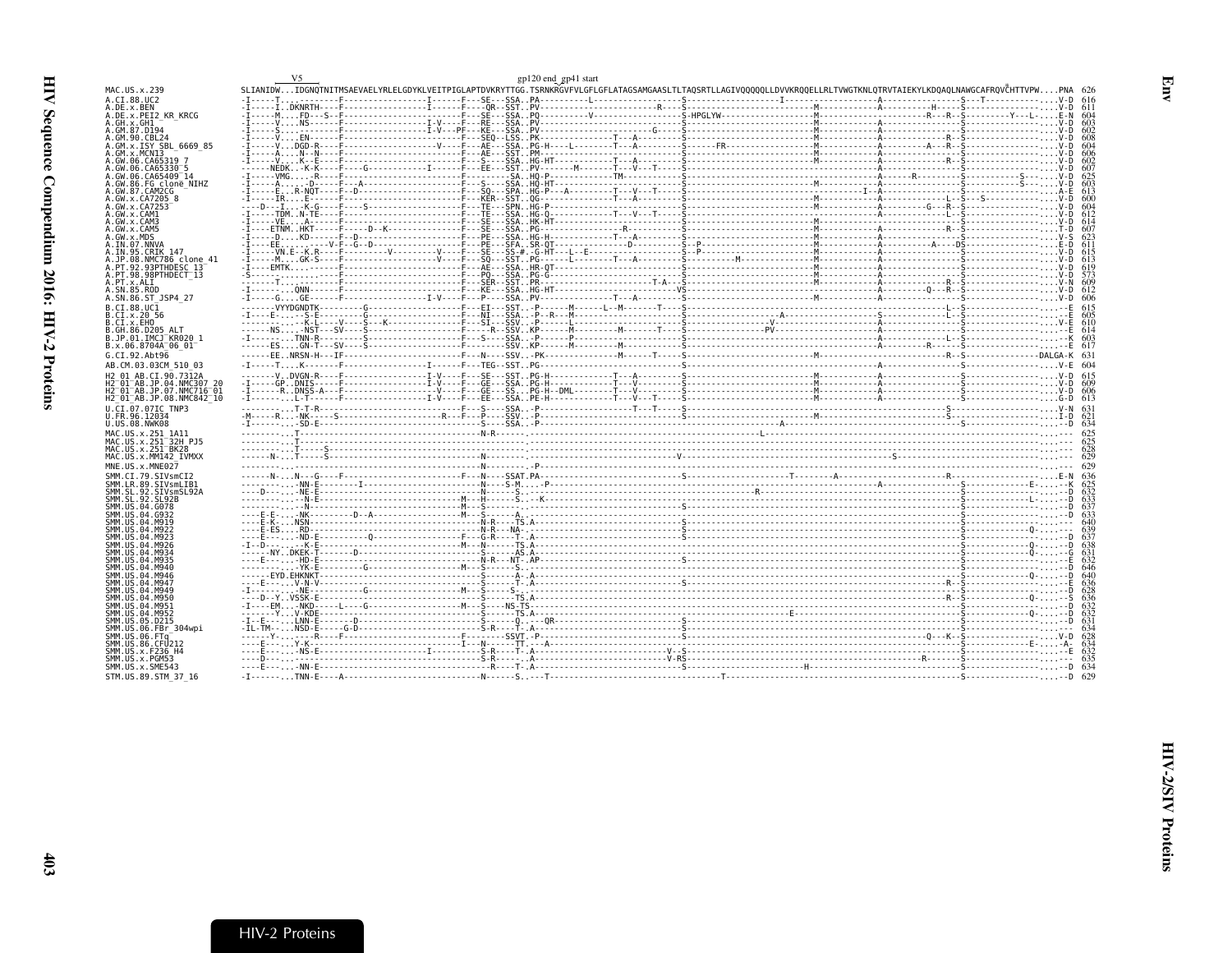- P

<span id="page-28-0"></span>

| 1AC.US.x.239                                                    |  |  |  |
|-----------------------------------------------------------------|--|--|--|
| LCT.88.UC2<br>.DE.x.BEN                                         |  |  |  |
| DE.x.PEI2 KR KRCG                                               |  |  |  |
| GH.x.GH1                                                        |  |  |  |
| GM.87.D194<br>.GM.90.CBL24                                      |  |  |  |
| GM.x.ISY SBL 6669 85                                            |  |  |  |
| GM.x.MCNI3                                                      |  |  |  |
| GW.06.CA65319 7                                                 |  |  |  |
|                                                                 |  |  |  |
| GW.06.CA65409 14<br>GW.86.FG clone NIHZ                         |  |  |  |
| .GW.87.CAM2CG                                                   |  |  |  |
| .GW.x.CA7205 8                                                  |  |  |  |
| GW.x.CA7253                                                     |  |  |  |
| .GW.x.CAM1<br>.GW.x.CAM3                                        |  |  |  |
| GW.x.CAM5                                                       |  |  |  |
| .GW.x.MDS                                                       |  |  |  |
| .IN.07.NNVA                                                     |  |  |  |
| .IN.95.CRIK 147                                                 |  |  |  |
| .JP.08.NMC786 clone 41<br>PT.92.93PTHDESC 13                    |  |  |  |
| .PT.98.98PTHDECT 13                                             |  |  |  |
| .PT.x.ALI                                                       |  |  |  |
| SN.85.ROD                                                       |  |  |  |
| .SN.86.ST JSP4 27                                               |  |  |  |
| .CI.88.UC1                                                      |  |  |  |
| .CI.x.20 56<br>.CI.x.EHO                                        |  |  |  |
| GH.86.D205 ALT.                                                 |  |  |  |
| .JP.01.IMCJ <sup>-</sup> KR020 1                                |  |  |  |
| 3.x.06.8704A <sup>-</sup> 06 01 <sup>-</sup>                    |  |  |  |
| 5.CI.92.Abt96                                                   |  |  |  |
| AB.CM.03.03CM 510 03                                            |  |  |  |
| 12 01 AB.CI.90.7312A                                            |  |  |  |
| 2 <sup>-</sup> 01 <sup>-</sup> AB.JP.04.NMC307 20               |  |  |  |
| H2 <sup>−</sup> 01 <sup>−</sup> AB.JP.07.NMC716 <sup>−</sup> 01 |  |  |  |
| I2 <sup>-</sup> 01 <sup>-</sup> AB.JP.08.NMC842 <sup>-</sup> 10 |  |  |  |
| L.CI.07.07IC TNP3                                               |  |  |  |
| J.FR.96.12034<br>J.US.08.NWK08                                  |  |  |  |
|                                                                 |  |  |  |
| 1AC.US.x.251 1A11<br>MAC.US.x.251 <sup>-</sup> 32H PJ5          |  |  |  |
| 1AC.US.x.251 <sup>-</sup> BK28                                  |  |  |  |
| 1AC.US.x.MM142 IVMXX                                            |  |  |  |
| INE.US.x.MNE027                                                 |  |  |  |
| SMM.CI.79.SIVsmCI2                                              |  |  |  |
| MM.LR.89.SIVsmLIB1                                              |  |  |  |
| SMM.SL.92.SIVsmSL92A                                            |  |  |  |
| MM.US.04.G078                                                   |  |  |  |
| MM.US.04.G932                                                   |  |  |  |
| MM.US.04.M919                                                   |  |  |  |
| MM IIS 04 M922                                                  |  |  |  |
| MM.US.04.M923                                                   |  |  |  |
| SMM.US.04.M926<br>MM.US.04.M934                                 |  |  |  |
| MM.US.04.M935                                                   |  |  |  |
| MM.US.04.M940                                                   |  |  |  |
| MM.US.04.M946                                                   |  |  |  |
| MM.US.04.M947                                                   |  |  |  |
| MM.US.04.M949<br>MM.US.04.M950                                  |  |  |  |
| MM.US.04.M951                                                   |  |  |  |
| SMM.US.04.M952                                                  |  |  |  |
| SMM.US.05.D215                                                  |  |  |  |
| MM.US.06.FBr 304wpi                                             |  |  |  |
| MM.US.06.FTa                                                    |  |  |  |
| MM.US.86.CFU212<br>SMM.US.x.F236 H4                             |  |  |  |
| MM.US.x.PGM53                                                   |  |  |  |
| SMM.US.x.SME543                                                 |  |  |  |
| STM.US.89.STM 37 16                                             |  |  |  |
|                                                                 |  |  |  |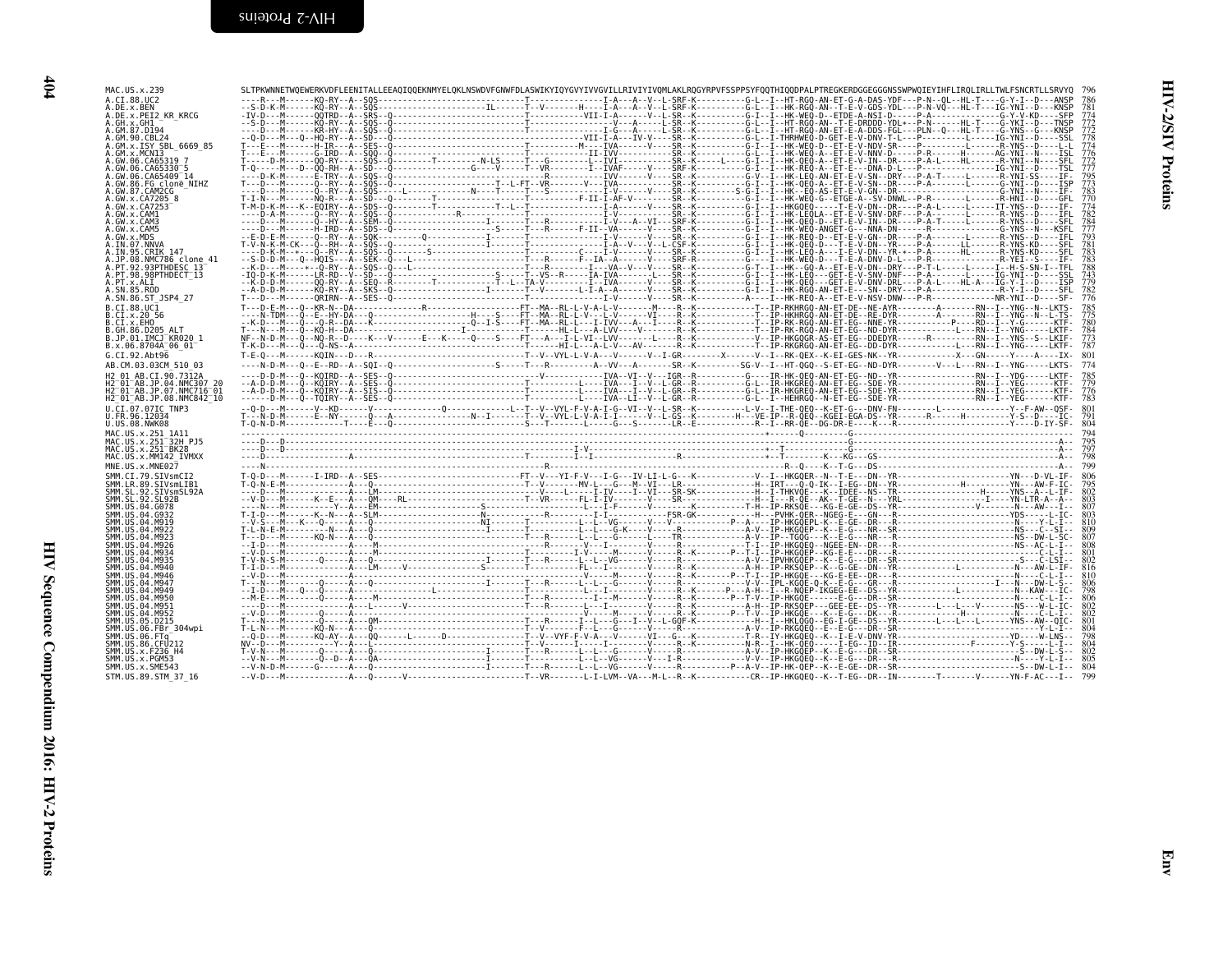| I<br>۰.<br>×<br>۰, |  |
|--------------------|--|
|                    |  |
|                    |  |

| A.CI.88.UC2<br>A.DE.x.BEN<br>A.DE.x.PEI2_KR KRCG                                                                                                                                                                                                                                                                           |  |  |
|----------------------------------------------------------------------------------------------------------------------------------------------------------------------------------------------------------------------------------------------------------------------------------------------------------------------------|--|--|
| A.GM.99.CBL24<br>A.GM.90.CBL24<br>A.GM.x.MCN13<br>A.GM.x.MCN13<br>.GW.06.CA65319 7<br>A.GW.06.CA65330-5<br>A.GW.06.CA65330-5<br>A.GW.06.CA65409-14<br>A.GW.87.CAM2CG_<br>A.GW.x.CA7205 8                                                                                                                                   |  |  |
| .GW.x.CA7253<br>A.GW.x.MDS<br>A.IN.07.NNVA<br>A.IN.95.CRIK 147                                                                                                                                                                                                                                                             |  |  |
| A.JP.08.NMC786 clone 41<br>A.PT.92.93PTHDESC 13<br>A.PT.98.98PTHDECT_13<br>A.PT.x.ALI<br>A.SN.85.ROD<br>A.SN.86.ST JSP4 27<br>B.CI.88.UC1                                                                                                                                                                                  |  |  |
| B.CI.x.20 56<br>B.CI.x.EHO<br>B.GH.86.D205 ALT<br>B.JP.01.IMCJ KR020 1<br>B.x.06.8704A 06 01<br>G.CI.92.Abt96                                                                                                                                                                                                              |  |  |
| AB.CM.03.03CM 510 03<br>H2 01 AB.CI.90.7312A<br>H2 <sup>-</sup> 01 <sup>-</sup> AB.JP.04.NMC307 20<br>H2 <sup>-</sup> 01 <sup>-</sup> AB.JP.07.NMC716 <sup>-</sup> 01<br>H2 <sup>-</sup> 01 <sup>-</sup> AB.JP.08.NMC842 <sup>-</sup> 10<br>U.CI.07.07IC TNP3                                                              |  |  |
| U.FR.96.12034<br>U.US.08.NWK08<br>MAC.US.x.251_1A11<br>MAC.US.x.251 32H_PJ5<br>MAC.US.x.251 <sup>-</sup> BK28<br>MAC.US.x.MM142_IVMXX                                                                                                                                                                                      |  |  |
| MNE.US.x.MNE027<br>SMM.CI.79.SIVsmCI2<br>SMM.CI.79.SIVsmCI2<br>SMM.SL.92.SIVsmSL92A<br>SMM.SL.92.SL92B<br>SMM.SL.92.SL92B<br>эгшл. эг. эг. эгэг:<br>SMM. US.04.G078<br>SMM. US.04.G932<br>SMM.US.04.M919<br>SMM.US.04.M922<br>SMM.US.04.M923<br>SMM.US.04.M926<br>SMM. US. 04. M934<br>ŠMM. ŪŠ. 04. M935<br>SMM.US.04.M940 |  |  |
| SMM.US.04.M946<br>SMM.US.04.M947<br>SMM.US.04.M949<br>SMM.US.04.M950<br>SMM.US.04.M951<br>SMM. US. 04. M952<br>SMM. US. 05. D215<br>SMM.US.06.FBr 304wpi<br>SMM.US.06.FTq<br>SMM.US.06.FTq<br>SMM.US.86.CFU212                                                                                                             |  |  |
| ŠMM.UŠ.x.F236 H4<br>SMM.US.x.PGM53<br>SMM.US.x.SME543<br>STM.US.89.STM 37 16                                                                                                                                                                                                                                               |  |  |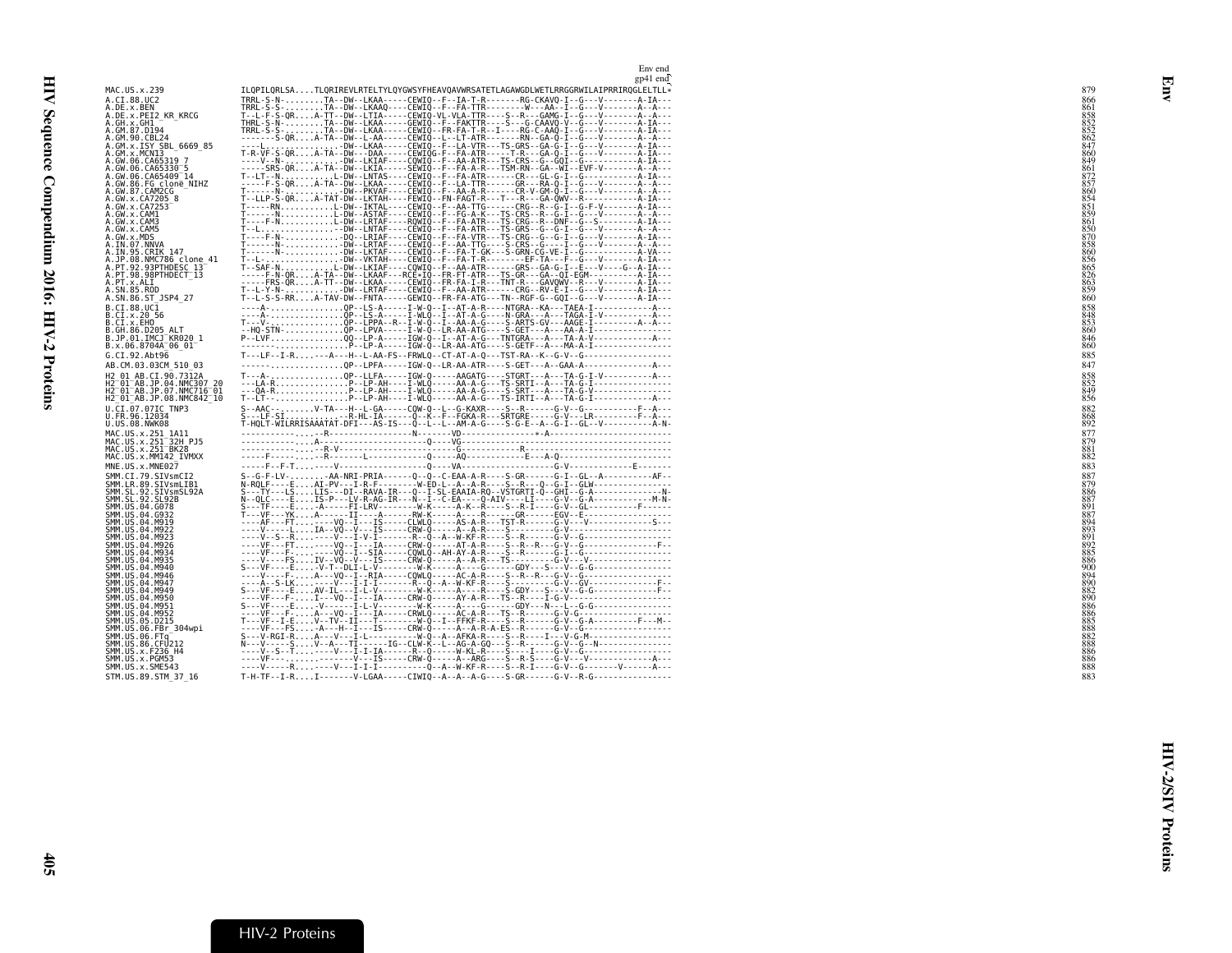| MAC.US.x.239                                                                                                                       | ILQPILQRLSATLQRIREVLRTELTYLQYGWSYFHEAVQAVWRSATETLAGAWGDLWETLRRGGRWILAIPRRIRQGLELTLL*                                                                                                                                                                                                                                                                                                                                                                                                    | 879        |
|------------------------------------------------------------------------------------------------------------------------------------|-----------------------------------------------------------------------------------------------------------------------------------------------------------------------------------------------------------------------------------------------------------------------------------------------------------------------------------------------------------------------------------------------------------------------------------------------------------------------------------------|------------|
| A.CI.88.UC2                                                                                                                        | TRRL-S-N-TA--DW--LKAA-----CEWIQ--F--IA-T-R-------RG-CKAVQ-I--G---V-------A-IA---<br>TRRL-S-S-TA--DW--LKAAQ----CEWIQ--F--FA-TTR--------RG-CKAVQ-I--G---V-------A--A---<br>T--L-F-S-QRA-TT--DW--LTIA-----CEWIQ-VL-                                                                                                                                                                                                                                                                        | 866        |
| A . DE . x . BEN<br>A . DE . x . PEI2_KR_KRCG<br>A . GH . x . GH1___                                                               |                                                                                                                                                                                                                                                                                                                                                                                                                                                                                         |            |
| A.GM.87.D194                                                                                                                       | TRRL-S-S-TA--DW--LKAA-----CEWIQ--FR-FA-T-R--I----RG-C-AAQ-I--G---V-------A-IA---                                                                                                                                                                                                                                                                                                                                                                                                        | 852        |
| A.GM.90.CBL24                                                                                                                      | --------S-QRA-TA--DW--L-AA-----CEWIQ--L--LT-ATR-------RN--GA-Q-I--G---V-------A--A---                                                                                                                                                                                                                                                                                                                                                                                                   | 862        |
| A.GM.x.ISY SBL 6669 85<br>A.GM.x.MCNI3                                                                                             |                                                                                                                                                                                                                                                                                                                                                                                                                                                                                         |            |
| A.GW.06.CA65319 7                                                                                                                  | ----V--N-DW--LKIAF----CQWIQ--F--AA-ATR---TS-CRS--G--GQI--G------------A-IA---                                                                                                                                                                                                                                                                                                                                                                                                           |            |
| A.GW.06.CA65330 <sup>-</sup> 5<br>A.GW.06.CA65409 <sup>-</sup> 14                                                                  | -----SRS-QRA-TA--DW--LKIA-----SEWIQ--F--FA-A-R---TSM-RN--GA--WI--EVF-V-------A--A---                                                                                                                                                                                                                                                                                                                                                                                                    | 861        |
| A.GW.86.FG clonē NIHZ                                                                                                              | T--LT--NL-DW--LNTAS----CEWIQ--F--FA-ATR------CR---GL-G-I--G---------------A-IA---<br>-----F-S-QRA-TA--DW--LKAA-----CEWIQ--F--LA-TTR------GR---RA-Q-I--G---V--------A--A---                                                                                                                                                                                                                                                                                                              |            |
| A.GW.87.CAM2CG<br>A.GW.x.CA7205 8                                                                                                  |                                                                                                                                                                                                                                                                                                                                                                                                                                                                                         |            |
| A.GW.x.CA7253                                                                                                                      |                                                                                                                                                                                                                                                                                                                                                                                                                                                                                         |            |
| A.GW.x.CAM1<br>A.GW.x.CAM3                                                                                                         |                                                                                                                                                                                                                                                                                                                                                                                                                                                                                         |            |
| A.GW.x.CAM5                                                                                                                        |                                                                                                                                                                                                                                                                                                                                                                                                                                                                                         |            |
| A.GW.x.MDS<br>A.IN.07.NNVA                                                                                                         |                                                                                                                                                                                                                                                                                                                                                                                                                                                                                         | 858        |
| A.IN.95.CRIK 147                                                                                                                   |                                                                                                                                                                                                                                                                                                                                                                                                                                                                                         |            |
| A.JP.08.NMC786 clone 41<br>A.PT.92.93PTHDESC 13                                                                                    | - - T- - L- DW- - VKTAH- - - - CEWIQ- - F- - FA- T-R- - - - - - - EF-TA- - - F- - G- - - V- - - - - - - A- IA- - -<br>T--SAF-NL-DW--LKIAF----CQWIQ--F--AA-ATR------GRS--GA-G-I--E---V----G--A-IA---                                                                                                                                                                                                                                                                                     | 856        |
| A.PT.98.98PTHDECT <sup>-</sup> 13                                                                                                  | ----F-N-QRA-TA--DW--LKAAF---RCE*IQ--FR-FT-ATR---TS-GR---GA--QI-EGM-----------A-IA---                                                                                                                                                                                                                                                                                                                                                                                                    | 826        |
| A.PT.x.ALI<br>A.SN.85.ROD                                                                                                          | -----FRS-QRA-TT--DW--LKAA-----CEWIQ--FR-FA-I-R---TNT-R---GAVQWV--R---V-------A-IA---<br>T--L-Y-N-DW--LRTAF----CEWIQ--F--AA-ATR------CRG--RV-E-I--G---V--------A-TA---                                                                                                                                                                                                                                                                                                                   | 863<br>859 |
| A.SN.86.ST JSP4 27                                                                                                                 | T--L-S-S-RRA-TAV-DW--FNTA-----GEWIQ--FR-FA-ATG---TN--RGF-G--GQI--G---V-------A-IA---                                                                                                                                                                                                                                                                                                                                                                                                    | 860        |
| B.CI.88.UC1<br>B.CI.x.20 56                                                                                                        | ----A-QP--LS-A-----I-W-Q--I--AT-A-R----NTGRA--KA---TAEA-I------------A---                                                                                                                                                                                                                                                                                                                                                                                                               |            |
| B.CI.x.EHO                                                                                                                         |                                                                                                                                                                                                                                                                                                                                                                                                                                                                                         | 853        |
| B.GH.86.D205 ALT<br>B.JP.01.IMCJ <sup>-</sup> KR020 1                                                                              |                                                                                                                                                                                                                                                                                                                                                                                                                                                                                         | 860<br>846 |
| B.x.06.8704A <sup>-</sup> 06 01 <sup>-</sup>                                                                                       |                                                                                                                                                                                                                                                                                                                                                                                                                                                                                         | 860        |
| G.CI.92.Abt96                                                                                                                      | T---LF--I-R---A---H--L-AA-FS--FRWLQ--CT-AT-A-Q---TST-RA--K--G-V--G-----------------                                                                                                                                                                                                                                                                                                                                                                                                     | 885        |
| AB.CM.03.03CM 510 03<br>H2 01 AB.CI.90.7312A                                                                                       | ------QP--LPFA-----IGW-Q--LR-AA-ATR----S-GET---A--GAA-A---------------A---<br>T---A-QP--LLFA-----IGW-Q-----AAGATG----STGRT---A---TA-G-I-V-----------A---                                                                                                                                                                                                                                                                                                                                | 847        |
| H2 <sup>-</sup> 01 <sup>-</sup> AB.JP.04.NMC307 20                                                                                 |                                                                                                                                                                                                                                                                                                                                                                                                                                                                                         |            |
| H2 <sup>-</sup> 01 <sup>-</sup> AB.JP.07.NMC716 <sup>-</sup> 01<br>H2 <sup>-</sup> 01 <sup>-</sup> AB.JP.08.NMC842 <sup>-</sup> 10 |                                                                                                                                                                                                                                                                                                                                                                                                                                                                                         | 8498856    |
| U.CI.07.07IC TNP3                                                                                                                  |                                                                                                                                                                                                                                                                                                                                                                                                                                                                                         | 882        |
| U.FR.96.12034<br>U.US.08.NWK08                                                                                                     | S--AAC---V-TA---H--L-GA-----COW-Q--L--G-KAXR----S--R------G-V--G---------F--A---<br>S---LF-SIP-RE-RE-HL-IA------Q--K--F--FGKA-R---SRTGRE-----G-V---LR-------F--A---<br>T-HQLT-WILRRISAAATAT-DFI---AS-IS---Q--L--L--                                                                                                                                                                                                                                                                     | 892        |
| MAC.US.x.251 1A11                                                                                                                  |                                                                                                                                                                                                                                                                                                                                                                                                                                                                                         |            |
| MAC.US.x.251 <sup>-</sup> 32H PJ5                                                                                                  | $\begin{minipage}{0.5\textwidth} \begin{tabular}{@{}c@{}} \hline \multicolumn{3}{c}{\textbf{0.5}\textwidth} \begin{tabular}{@{}c@{}} \multicolumn{3}{c}{\textbf{0.5}\textwidth} \begin{tabular}{@{}c@{}} \multicolumn{3}{c}{\textbf{0.5}\textwidth} \begin{tabular}{@{}c@{}} \multicolumn{3}{c}{\textbf{0.5}\textwidth} \begin{tabular}{@{}c@{}} \multicolumn{3}{c}{\textbf{0.5}\textwidth} \begin{tabular}{@{}c@{}} \multicolumn{3}{c}{\textbf{0.5}\textwidth} \begin{tabular}{@{}c@{$ |            |
| MAC.US.x.251 BK28<br>MAC.US.x.MM142 IVMXX                                                                                          |                                                                                                                                                                                                                                                                                                                                                                                                                                                                                         | 881        |
| MNE.US.x.MNE027                                                                                                                    |                                                                                                                                                                                                                                                                                                                                                                                                                                                                                         | 883        |
| SMM.CI.79.SIVsmCI2<br>SMM.LR.89.SIVsmLIB1                                                                                          |                                                                                                                                                                                                                                                                                                                                                                                                                                                                                         | 887        |
| SMM.SL.92.SIVsmSL92A                                                                                                               |                                                                                                                                                                                                                                                                                                                                                                                                                                                                                         | 886        |
| SMM.SL.92.SL92B<br>SMM.US.04.G078                                                                                                  |                                                                                                                                                                                                                                                                                                                                                                                                                                                                                         | 887        |
| SMM.US.04.G932                                                                                                                     |                                                                                                                                                                                                                                                                                                                                                                                                                                                                                         | 887        |
| SMM.US.04.M919<br>SMM.US.04.M922                                                                                                   |                                                                                                                                                                                                                                                                                                                                                                                                                                                                                         |            |
| SMM.US.04.M923<br>SMM.US.04.M926                                                                                                   |                                                                                                                                                                                                                                                                                                                                                                                                                                                                                         | 892        |
| SMM.US.04.M934                                                                                                                     |                                                                                                                                                                                                                                                                                                                                                                                                                                                                                         | 885        |
| SMM.US.04.M935<br>SMM.US.04.M940                                                                                                   |                                                                                                                                                                                                                                                                                                                                                                                                                                                                                         |            |
| SMM.US.04.M946                                                                                                                     |                                                                                                                                                                                                                                                                                                                                                                                                                                                                                         | 894        |
| SMM.US.04.M947<br>SMM.US.04.M949                                                                                                   | S---VF----EAV-IL---I-L-V--------W-K-----A----R----S-GDY---S---V--G-G-------------F--                                                                                                                                                                                                                                                                                                                                                                                                    |            |
| SMM.US.04.M950                                                                                                                     | ----VF---F-I---VQ--I---IA-----CRW-Q-----AY-A-R---TS--R----I-G-V--------------------                                                                                                                                                                                                                                                                                                                                                                                                     |            |
| SMM.US.04.M951<br>SMM.US.04.M952                                                                                                   | $S$ ---VF----E-V-------I-L-V----------W-K-----A----G------GDY---N---L--G-G------------------                                                                                                                                                                                                                                                                                                                                                                                            |            |
| SMM.US.05.D215<br>SMM.US.06.FBr 304wpi                                                                                             |                                                                                                                                                                                                                                                                                                                                                                                                                                                                                         |            |
| SMM.US.06.FTq                                                                                                                      | S---V-RGI-RA---V---I-L----------W-Q--A--AFKA-R----S--R----I---V-G-M--------------------<br>N---V-----SV--A---TI------IG--CLW-K--L--AG-A-GQ---S--R------G-V--G-N-------------------                                                                                                                                                                                                                                                                                                      |            |
| SMM.US.86.CFU212<br>SMM.US.x.F236 H4                                                                                               |                                                                                                                                                                                                                                                                                                                                                                                                                                                                                         | 888        |
| SMM.US.x.PGM53                                                                                                                     |                                                                                                                                                                                                                                                                                                                                                                                                                                                                                         |            |
| SMM.US.x.SME543<br>STM.US.89.STM 37 16                                                                                             |                                                                                                                                                                                                                                                                                                                                                                                                                                                                                         | 888<br>883 |
|                                                                                                                                    |                                                                                                                                                                                                                                                                                                                                                                                                                                                                                         |            |

<span id="page-30-0"></span>Env end<br>gp41 end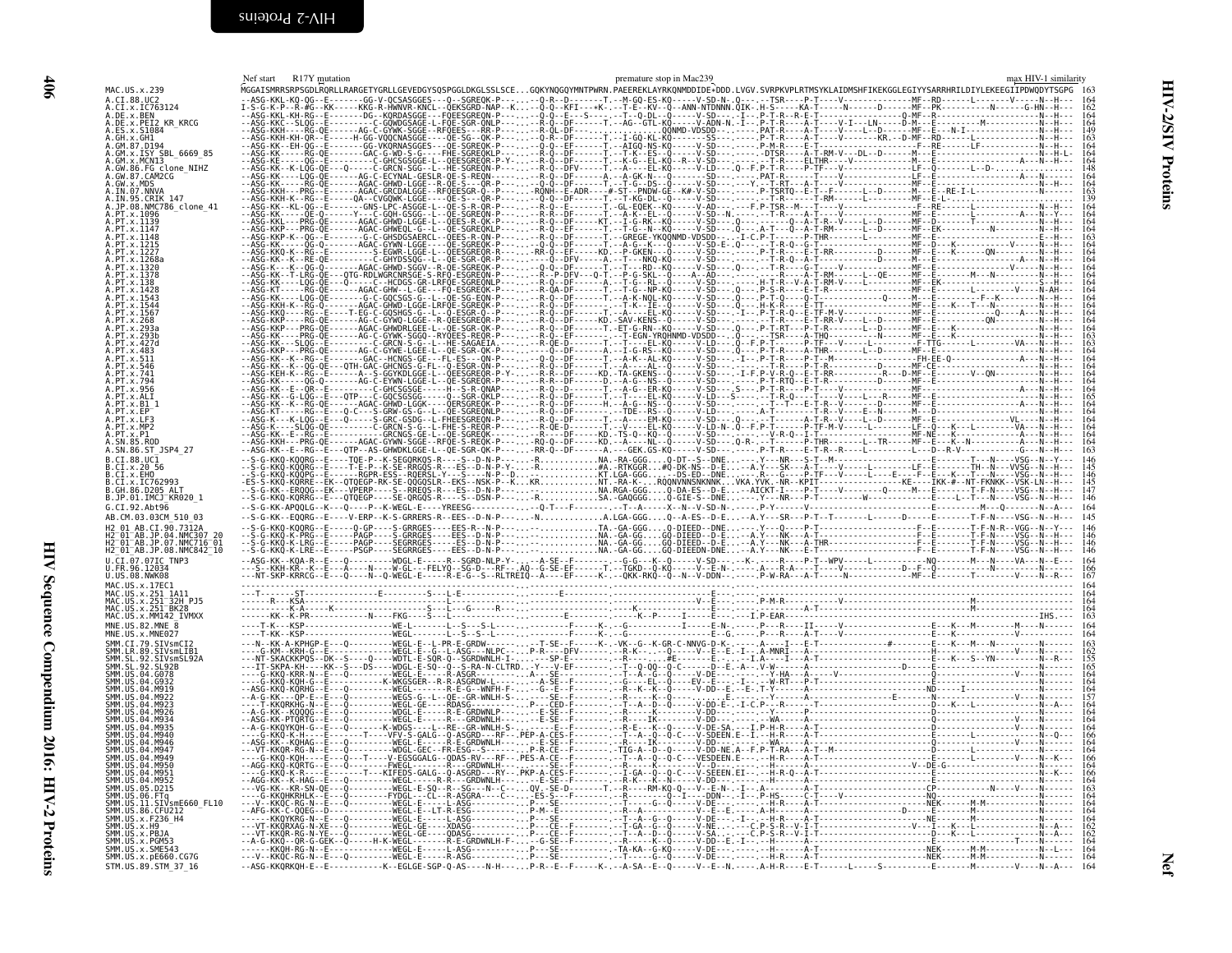<span id="page-31-0"></span>

| \$10                        |  |  |
|-----------------------------|--|--|
|                             |  |  |
|                             |  |  |
|                             |  |  |
|                             |  |  |
|                             |  |  |
|                             |  |  |
|                             |  |  |
|                             |  |  |
|                             |  |  |
|                             |  |  |
|                             |  |  |
|                             |  |  |
|                             |  |  |
|                             |  |  |
|                             |  |  |
| $\frac{1}{2}$               |  |  |
| <b>Cuucin</b>               |  |  |
|                             |  |  |
|                             |  |  |
| nce Compendium 201          |  |  |
|                             |  |  |
|                             |  |  |
| <b>OIO: HIV-7-A FIORIES</b> |  |  |
|                             |  |  |
| Į                           |  |  |
| ă                           |  |  |

 $90t$ 

<span id="page-31-1"></span>

|                                                                   | Nef start R17Y mutation | premature stop in Mac239                                                                                                                                                         | max HIV-1 similarity |
|-------------------------------------------------------------------|-------------------------|----------------------------------------------------------------------------------------------------------------------------------------------------------------------------------|----------------------|
| MAC.US.x.239<br>A.CI.88.UC2                                       |                         | .<br>MGGAISMRRSRPSGDLRQRLLRARGETYGRLLGEVEDGYSQSPGGLDKGLSSLSCEGQKYNQGQYMNTPWRN.PAEEREKLAYRKQNMDDIDE*DDD.LVGV.SVRPKVPLRTMSYKLAIDMSHFIKEKGGLEGIYYSARRHRILDIYLEKEEGIIPDWQDYTSGPG 163 |                      |
| A.CI.x.IC763124                                                   |                         |                                                                                                                                                                                  |                      |
| A.DE.x.BEN<br>A.DE.x.PEI2 KR KRCG                                 |                         |                                                                                                                                                                                  |                      |
| A.ES.x.S1084                                                      |                         |                                                                                                                                                                                  |                      |
| A GM 87 D194<br>.GM.x.ISY                                         |                         |                                                                                                                                                                                  |                      |
| _SBL_6669_85                                                      |                         |                                                                                                                                                                                  |                      |
| .GW.86.FG_clone_NIHZ<br>.GW.87.CAM2CG                             |                         |                                                                                                                                                                                  |                      |
| GW x MDS                                                          |                         |                                                                                                                                                                                  |                      |
| A.IN.07.NNVA<br>A.IN.95.CRIK 147                                  |                         |                                                                                                                                                                                  |                      |
| A.JP.08.NMC786_clone_41                                           |                         |                                                                                                                                                                                  |                      |
|                                                                   |                         |                                                                                                                                                                                  |                      |
| PT. x. 1147                                                       |                         |                                                                                                                                                                                  |                      |
|                                                                   |                         |                                                                                                                                                                                  |                      |
|                                                                   |                         |                                                                                                                                                                                  |                      |
|                                                                   |                         |                                                                                                                                                                                  |                      |
|                                                                   |                         |                                                                                                                                                                                  |                      |
|                                                                   |                         |                                                                                                                                                                                  |                      |
|                                                                   |                         |                                                                                                                                                                                  |                      |
|                                                                   |                         |                                                                                                                                                                                  |                      |
|                                                                   |                         |                                                                                                                                                                                  |                      |
|                                                                   |                         |                                                                                                                                                                                  |                      |
|                                                                   |                         |                                                                                                                                                                                  |                      |
|                                                                   |                         |                                                                                                                                                                                  |                      |
| A.PT.x.794                                                        |                         |                                                                                                                                                                                  |                      |
| A.PT.x.956<br>A.PT.x.AL                                           |                         |                                                                                                                                                                                  |                      |
|                                                                   |                         |                                                                                                                                                                                  |                      |
| A.PT.x.EP<br>PT. x. LF3                                           |                         |                                                                                                                                                                                  |                      |
| .PT.x.MP2<br>A.PT.x.P1                                            |                         |                                                                                                                                                                                  |                      |
|                                                                   |                         |                                                                                                                                                                                  |                      |
| A.SN.86.ST JSP4 27<br>$B.CI.88.UC\bar{1}$                         |                         |                                                                                                                                                                                  | 146                  |
| B.CI.x.20 56                                                      |                         |                                                                                                                                                                                  |                      |
| B.CI.x.EHO<br>B.CI.x.IC762993                                     |                         |                                                                                                                                                                                  |                      |
| B.JP.01.IMCJ_KR020 1                                              |                         |                                                                                                                                                                                  | - 146                |
| G.CI.92.Abt96                                                     |                         |                                                                                                                                                                                  | 164                  |
| AB.CM.03.03CM 510 03                                              |                         |                                                                                                                                                                                  | 145                  |
| H2 01 AB.CI.90.7312A                                              |                         |                                                                                                                                                                                  |                      |
| H2 01 AB.JP.04.NMC307 20<br>H2 01 AB.JP.07.NMC716 01              |                         |                                                                                                                                                                                  | $\frac{146}{146}$    |
| H2_01_AB.JP.08.NMC842_10<br>U.CI.07.07IC TNP3                     |                         |                                                                                                                                                                                  | 164                  |
| U.FR.96.12034                                                     |                         |                                                                                                                                                                                  |                      |
| U.US.08.NWK08<br>MAC.US.x.17EC1                                   |                         |                                                                                                                                                                                  | 164                  |
| MAČ.UŠ.X.251 IA11<br>MAČ.UŠ.X.251 IA11                            |                         |                                                                                                                                                                                  |                      |
| MAC.US.x.251                                                      |                         |                                                                                                                                                                                  |                      |
| MAČ.ŪŠ.x.MM142 IVMXX                                              |                         |                                                                                                                                                                                  |                      |
| $MNE. US.82.MNE \overline{8}$<br>MNE.US.x.MNE027                  |                         |                                                                                                                                                                                  |                      |
| SMM.CI.79.SIVsmCI2                                                |                         |                                                                                                                                                                                  |                      |
| SMM.LR.89.SIVsmLIB1<br>SMM.SL.92.SIVsmSL92A                       |                         |                                                                                                                                                                                  |                      |
| SMM.US.04.G078                                                    |                         |                                                                                                                                                                                  |                      |
| SMM IIS 04 G932                                                   |                         |                                                                                                                                                                                  |                      |
|                                                                   |                         |                                                                                                                                                                                  |                      |
|                                                                   |                         |                                                                                                                                                                                  |                      |
|                                                                   |                         |                                                                                                                                                                                  |                      |
|                                                                   |                         |                                                                                                                                                                                  |                      |
|                                                                   |                         |                                                                                                                                                                                  |                      |
|                                                                   |                         |                                                                                                                                                                                  |                      |
|                                                                   |                         |                                                                                                                                                                                  |                      |
|                                                                   |                         |                                                                                                                                                                                  |                      |
|                                                                   |                         |                                                                                                                                                                                  |                      |
| SMM.US.11.SIVsmE660 FL10                                          |                         |                                                                                                                                                                                  |                      |
| SMM.US.86.CFU212                                                  |                         |                                                                                                                                                                                  |                      |
|                                                                   |                         |                                                                                                                                                                                  |                      |
|                                                                   |                         |                                                                                                                                                                                  |                      |
| ŠMM.ŪŠ.X.FŽ36_H4<br>SMM.US.x.H9<br>SMM.US.x.PBJA<br>SMM.US.x.PGM5 |                         |                                                                                                                                                                                  |                      |
| SMM.US.x.SME543<br>SMM.US.x.pE660.CG7G                            |                         |                                                                                                                                                                                  |                      |